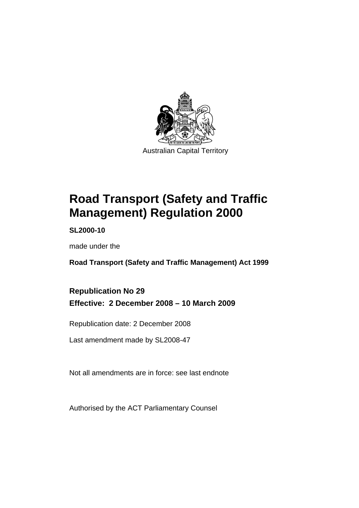

# **[Road Transport \(Safety and Traffic](#page-10-0)  [Management\) Regulation 2000](#page-10-0)**

**SL2000-10** 

made under the

**[Road Transport \(Safety and Traffic Management\) Act 1999](#page-10-0)** 

# **Republication No 29 Effective: 2 December 2008 – 10 March 2009**

Republication date: 2 December 2008

Last amendment made by SL2008-47

Not all amendments are in force: see last endnote

Authorised by the ACT Parliamentary Counsel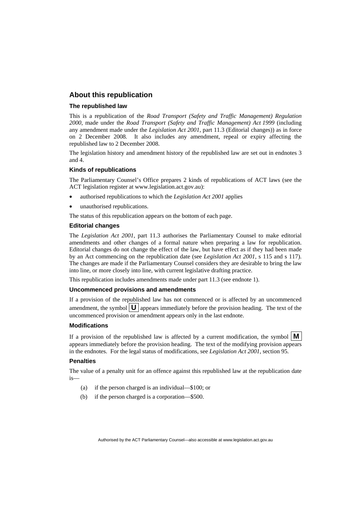#### **About this republication**

#### **The republished law**

This is a republication of the *Road Transport (Safety and Traffic Management) Regulation 2000*, made under the *[Road Transport \(Safety and Traffic Management\) Act 1999](#page-10-0)* (including any amendment made under the *Legislation Act 2001*, part 11.3 (Editorial changes)) as in force on 2 December 2008*.* It also includes any amendment, repeal or expiry affecting the republished law to 2 December 2008.

The legislation history and amendment history of the republished law are set out in endnotes 3 and 4.

#### **Kinds of republications**

The Parliamentary Counsel's Office prepares 2 kinds of republications of ACT laws (see the ACT legislation register at www.legislation.act.gov.au):

- authorised republications to which the *Legislation Act 2001* applies
- unauthorised republications.

The status of this republication appears on the bottom of each page.

#### **Editorial changes**

The *Legislation Act 2001*, part 11.3 authorises the Parliamentary Counsel to make editorial amendments and other changes of a formal nature when preparing a law for republication. Editorial changes do not change the effect of the law, but have effect as if they had been made by an Act commencing on the republication date (see *Legislation Act 2001*, s 115 and s 117). The changes are made if the Parliamentary Counsel considers they are desirable to bring the law into line, or more closely into line, with current legislative drafting practice.

This republication includes amendments made under part 11.3 (see endnote 1).

#### **Uncommenced provisions and amendments**

If a provision of the republished law has not commenced or is affected by an uncommenced amendment, the symbol  $\mathbf{U}$  appears immediately before the provision heading. The text of the uncommenced provision or amendment appears only in the last endnote.

#### **Modifications**

If a provision of the republished law is affected by a current modification, the symbol  $\vert \mathbf{M} \vert$ appears immediately before the provision heading. The text of the modifying provision appears in the endnotes. For the legal status of modifications, see *Legislation Act 2001*, section 95.

#### **Penalties**

The value of a penalty unit for an offence against this republished law at the republication date  $i<sub>s</sub>$ 

- (a) if the person charged is an individual—\$100; or
- (b) if the person charged is a corporation—\$500.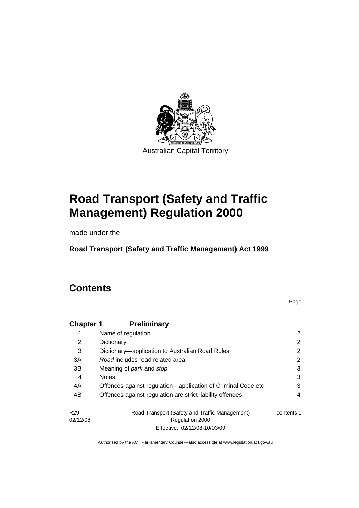

# **[Road Transport \(Safety and Traffic](#page-10-0)  [Management\) Regulation 2000](#page-10-0)**

made under the

**[Road Transport \(Safety and Traffic Management\) Act 1999](#page-10-0)** 

# **Contents**

Page

| <b>Chapter 1</b> | <b>Preliminary</b>                                           |            |
|------------------|--------------------------------------------------------------|------------|
| 1                | Name of regulation                                           | 2          |
| 2                | Dictionary                                                   | 2          |
| 3                | Dictionary—application to Australian Road Rules              | 2          |
| 3A               | Road includes road related area                              | 2          |
| 3B               | Meaning of <i>park</i> and <i>stop</i>                       | 3          |
| 4                | <b>Notes</b>                                                 | 3          |
| 4A               | Offences against regulation—application of Criminal Code etc | 3          |
| 4B               | Offences against regulation are strict liability offences    | 4          |
| R <sub>29</sub>  | Road Transport (Safety and Traffic Management)               | contents 1 |
| 02/12/08         | Regulation 2000                                              |            |
|                  | Effective: 02/12/08-10/03/09                                 |            |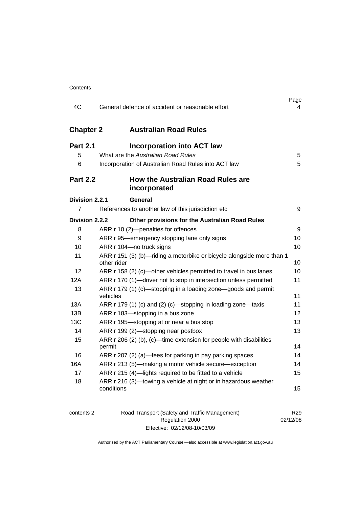| 4C                    | General defence of accident or reasonable effort                                     | Page<br>4 |
|-----------------------|--------------------------------------------------------------------------------------|-----------|
| <b>Chapter 2</b>      | <b>Australian Road Rules</b>                                                         |           |
| <b>Part 2.1</b><br>5  | <b>Incorporation into ACT law</b><br>What are the Australian Road Rules              | 5         |
| 6                     | Incorporation of Australian Road Rules into ACT law                                  | 5         |
| <b>Part 2.2</b>       | How the Australian Road Rules are<br>incorporated                                    |           |
| <b>Division 2.2.1</b> | <b>General</b>                                                                       |           |
| 7                     | References to another law of this jurisdiction etc                                   | 9         |
| <b>Division 2.2.2</b> | Other provisions for the Australian Road Rules                                       |           |
| 8                     | ARR r 10 (2)-penalties for offences                                                  | 9         |
| 9                     | ARR r 95—emergency stopping lane only signs                                          | 10        |
| 10                    | ARR r 104-no truck signs                                                             | 10        |
| 11                    | ARR r 151 (3) (b)-riding a motorbike or bicycle alongside more than 1<br>other rider | 10        |
| 12                    | ARR r 158 (2) (c)-other vehicles permitted to travel in bus lanes                    | 10        |
| 12A                   | ARR r 170 (1)-driver not to stop in intersection unless permitted                    | 11        |
| 13                    | ARR r 179 (1) (c)—stopping in a loading zone—goods and permit<br>vehicles            | 11        |
| 13A                   | ARR r 179 (1) (c) and (2) (c)-stopping in loading zone-taxis                         | 11        |
| 13B                   | ARR r 183-stopping in a bus zone                                                     | 12        |
| 13C                   | ARR r 195—stopping at or near a bus stop                                             | 13        |
| 14                    | ARR r 199 (2)-stopping near postbox                                                  | 13        |
| 15                    | ARR r 206 (2) (b), (c)—time extension for people with disabilities<br>permit         | 14        |
| 16                    | ARR r 207 (2) (a)—fees for parking in pay parking spaces                             | 14        |
| 16A                   | ARR r 213 (5)—making a motor vehicle secure—exception                                | 14        |
| 17                    | ARR r 215 (4)-lights required to be fitted to a vehicle                              | 15        |
| 18                    | ARR r 216 (3)-towing a vehicle at night or in hazardous weather<br>conditions        | 15        |

| contents 2 | Road Transport (Safety and Traffic Management) | R <sub>29</sub> |
|------------|------------------------------------------------|-----------------|
|            | Regulation 2000                                | 02/12/08        |
|            | Effective: 02/12/08-10/03/09                   |                 |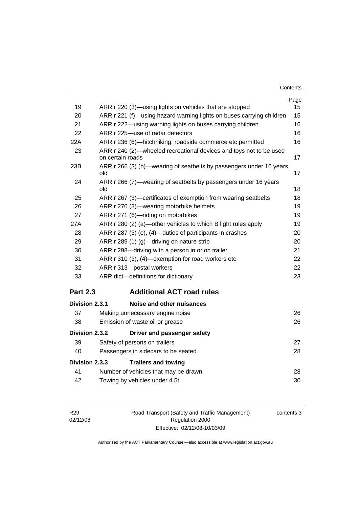| Contents |
|----------|
|----------|

|                 |                                                                                        | Page |
|-----------------|----------------------------------------------------------------------------------------|------|
| 19              | ARR r 220 (3)—using lights on vehicles that are stopped                                | 15   |
| 20              | ARR r 221 (f)—using hazard warning lights on buses carrying children                   | 15   |
| 21              | ARR r 222—using warning lights on buses carrying children                              | 16   |
| 22              | ARR r 225-use of radar detectors                                                       | 16   |
| 22A             | ARR r 236 (6)-hitchhiking, roadside commerce etc permitted                             | 16   |
| 23              | ARR r 240 (2)-wheeled recreational devices and toys not to be used<br>on certain roads | 17   |
| 23B             | ARR r 266 (3) (b)—wearing of seatbelts by passengers under 16 years<br>old             | 17   |
| 24              | ARR r 266 (7)—wearing of seatbelts by passengers under 16 years<br>old                 | 18   |
| 25              | ARR r 267 (3)—certificates of exemption from wearing seatbelts                         | 18   |
| 26              | ARR r 270 (3)—wearing motorbike helmets                                                | 19   |
| 27              | ARR r 271 (6)-riding on motorbikes                                                     | 19   |
| 27A             | ARR r 280 (2) (a)—other vehicles to which B light rules apply                          | 19   |
| 28              | ARR r 287 (3) (e), (4)—duties of participants in crashes                               | 20   |
| 29              | ARR r 289 (1) (g)-driving on nature strip                                              | 20   |
| 30              | ARR r 298-driving with a person in or on trailer                                       | 21   |
| 31              | ARR r 310 (3), (4)—exemption for road workers etc                                      | 22   |
| 32              | ARR r 313-postal workers                                                               | 22   |
| 33              | ARR dict-definitions for dictionary                                                    | 23   |
| <b>Part 2.3</b> | <b>Additional ACT road rules</b>                                                       |      |
| Division 2.3.1  | Noise and other nuisances                                                              |      |
| 37              | Making unnecessary engine noise                                                        | 26   |
| 38              | Emission of waste oil or grease                                                        | 26   |
| Division 2.3.2  | Driver and passenger safety                                                            |      |
| 39              | Safety of persons on trailers                                                          | 27   |
| 40              | Passengers in sidecars to be seated                                                    | 28   |
| Division 2.3.3  | <b>Trailers and towing</b>                                                             |      |
| 41              | Number of vehicles that may be drawn                                                   | 28   |
| 42              | Towing by vehicles under 4.5t                                                          | 30   |

Road Transport (Safety and Traffic Management) Regulation 2000 Effective: 02/12/08-10/03/09

contents 3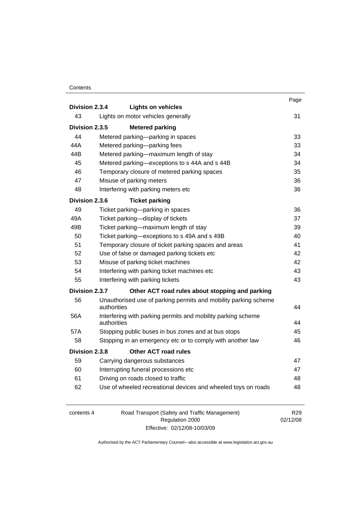#### **Contents**

|                |             |                                                                 | Page |
|----------------|-------------|-----------------------------------------------------------------|------|
| Division 2.3.4 |             | <b>Lights on vehicles</b>                                       |      |
| 43             |             | Lights on motor vehicles generally                              | 31   |
| Division 2.3.5 |             | <b>Metered parking</b>                                          |      |
| 44             |             | Metered parking-parking in spaces                               | 33   |
| 44A            |             | Metered parking-parking fees                                    | 33   |
| 44B            |             | Metered parking—maximum length of stay                          | 34   |
| 45             |             | Metered parking-exceptions to s 44A and s 44B                   | 34   |
| 46             |             | Temporary closure of metered parking spaces                     | 35   |
| 47             |             | Misuse of parking meters                                        | 36   |
| 48             |             | Interfering with parking meters etc                             | 36   |
| Division 2.3.6 |             | <b>Ticket parking</b>                                           |      |
| 49             |             | Ticket parking-parking in spaces                                | 36   |
| 49A            |             | Ticket parking-display of tickets                               | 37   |
| 49B            |             | Ticket parking-maximum length of stay                           | 39   |
| 50             |             | Ticket parking-exceptions to s 49A and s 49B                    | 40   |
| 51             |             | Temporary closure of ticket parking spaces and areas            | 41   |
| 52             |             | Use of false or damaged parking tickets etc                     | 42   |
| 53             |             | Misuse of parking ticket machines                               | 42   |
| 54             |             | Interfering with parking ticket machines etc                    | 43   |
| 55             |             | Interfering with parking tickets                                | 43   |
| Division 2.3.7 |             | Other ACT road rules about stopping and parking                 |      |
| 56             | authorities | Unauthorised use of parking permits and mobility parking scheme | 44   |
| 56A            | authorities | Interfering with parking permits and mobility parking scheme    | 44   |
| 57A            |             | Stopping public buses in bus zones and at bus stops             | 45   |
| 58             |             | Stopping in an emergency etc or to comply with another law      | 46   |
| Division 2.3.8 |             | <b>Other ACT road rules</b>                                     |      |
| 59             |             |                                                                 | 47   |
|                |             | Carrying dangerous substances                                   |      |
| 60             |             | Interrupting funeral processions etc                            | 47   |
| 61             |             | Driving on roads closed to traffic                              | 48   |
| 62             |             | Use of wheeled recreational devices and wheeled toys on roads   | 48   |
|                |             |                                                                 |      |

| contents 4 | Road Transport (Safety and Traffic Management) | R <sub>29</sub> |
|------------|------------------------------------------------|-----------------|
|            | Regulation 2000                                | 02/12/08        |
|            | Effective: 02/12/08-10/03/09                   |                 |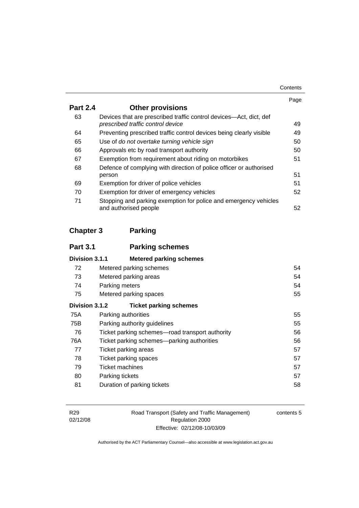| Contents |
|----------|
|----------|

|                 |                                                                                                         | Page |
|-----------------|---------------------------------------------------------------------------------------------------------|------|
| <b>Part 2.4</b> | <b>Other provisions</b>                                                                                 |      |
| 63              | Devices that are prescribed traffic control devices—Act, dict, def<br>prescribed traffic control device | 49   |
| 64              | Preventing prescribed traffic control devices being clearly visible                                     | 49   |
| 65              | Use of do not overtake turning vehicle sign                                                             | 50   |
| 66              | Approvals etc by road transport authority                                                               | 50   |
| 67              | Exemption from requirement about riding on motorbikes                                                   | 51   |
| 68              | Defence of complying with direction of police officer or authorised                                     |      |
|                 | person                                                                                                  | 51   |
| 69              | Exemption for driver of police vehicles                                                                 | 51   |
| 70              | Exemption for driver of emergency vehicles                                                              | 52   |
| 71              | Stopping and parking exemption for police and emergency vehicles<br>and authorised people               | 52   |

# **Chapter 3 Parking**

| <b>Part 3.1</b> | <b>Parking schemes</b>                          |    |
|-----------------|-------------------------------------------------|----|
| Division 3.1.1  | <b>Metered parking schemes</b>                  |    |
| 72              | Metered parking schemes                         | 54 |
| 73              | Metered parking areas                           | 54 |
| 74              | Parking meters                                  | 54 |
| 75              | Metered parking spaces                          | 55 |
| Division 3.1.2  | <b>Ticket parking schemes</b>                   |    |
| 75A             | Parking authorities                             | 55 |
| 75B             | Parking authority guidelines                    | 55 |
| 76              | Ticket parking schemes-road transport authority | 56 |
| 76A             | Ticket parking schemes—parking authorities      | 56 |
| 77              | <b>Ticket parking areas</b>                     | 57 |
| 78              | Ticket parking spaces                           | 57 |
| 79              | Ticket machines                                 | 57 |
| 80              | Parking tickets                                 | 57 |
| 81              | Duration of parking tickets                     | 58 |

Road Transport (Safety and Traffic Management) Regulation 2000 Effective: 02/12/08-10/03/09

contents 5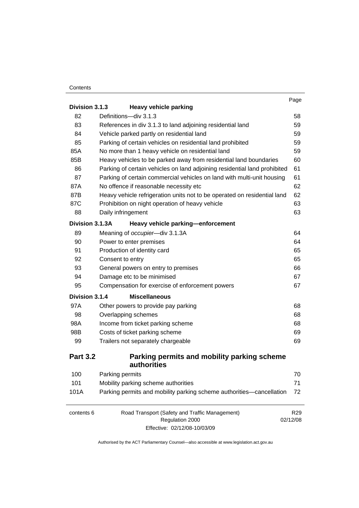#### **Contents**

|                 |                                                                           | Page            |
|-----------------|---------------------------------------------------------------------------|-----------------|
| Division 3.1.3  | <b>Heavy vehicle parking</b>                                              |                 |
| 82              | Definitions-div 3.1.3                                                     | 58              |
| 83              | References in div 3.1.3 to land adjoining residential land                | 59              |
| 84              | Vehicle parked partly on residential land                                 | 59              |
| 85              | Parking of certain vehicles on residential land prohibited                | 59              |
| 85A             | No more than 1 heavy vehicle on residential land                          | 59              |
| 85B             | Heavy vehicles to be parked away from residential land boundaries         | 60              |
| 86              | Parking of certain vehicles on land adjoining residential land prohibited | 61              |
| 87              | Parking of certain commercial vehicles on land with multi-unit housing    | 61              |
| 87A             | No offence if reasonable necessity etc                                    | 62              |
| 87B             | Heavy vehicle refrigeration units not to be operated on residential land  | 62              |
| 87C             | Prohibition on night operation of heavy vehicle                           | 63              |
| 88              | Daily infringement                                                        | 63              |
| Division 3.1.3A | Heavy vehicle parking-enforcement                                         |                 |
| 89              | Meaning of occupier-div 3.1.3A                                            | 64              |
| 90              | Power to enter premises                                                   | 64              |
| 91              | Production of identity card                                               | 65              |
| 92              | Consent to entry                                                          | 65              |
| 93              | General powers on entry to premises                                       | 66              |
| 94              | Damage etc to be minimised                                                | 67              |
| 95              | Compensation for exercise of enforcement powers                           | 67              |
| Division 3.1.4  | <b>Miscellaneous</b>                                                      |                 |
| 97A             | Other powers to provide pay parking                                       | 68              |
| 98              | Overlapping schemes                                                       | 68              |
| 98A             | Income from ticket parking scheme                                         | 68              |
| 98B             | Costs of ticket parking scheme                                            | 69              |
| 99              | Trailers not separately chargeable                                        | 69              |
| <b>Part 3.2</b> | Parking permits and mobility parking scheme<br>authorities                |                 |
| 100             | Parking permits                                                           | 70              |
| 101             | Mobility parking scheme authorities                                       | 71              |
| 101A            | Parking permits and mobility parking scheme authorities-cancellation      | 72              |
| contents 6      | Road Transport (Safety and Traffic Management)<br>Regulation 2000         | R29<br>02/12/08 |
|                 | Effective: 02/12/08-10/03/09                                              |                 |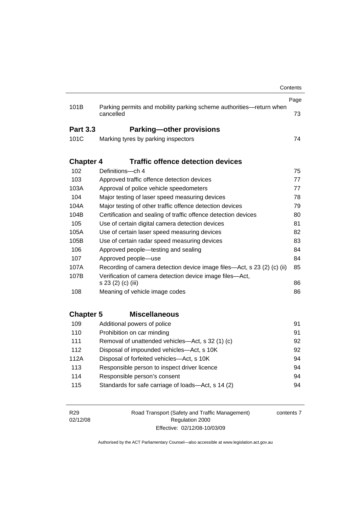|                  |                                                                         | Contents |
|------------------|-------------------------------------------------------------------------|----------|
|                  |                                                                         | Page     |
| 101B             | Parking permits and mobility parking scheme authorities-return when     |          |
|                  | cancelled                                                               | 73       |
| <b>Part 3.3</b>  | <b>Parking-other provisions</b>                                         |          |
| 101C             | Marking tyres by parking inspectors                                     | 74       |
|                  |                                                                         |          |
| <b>Chapter 4</b> | <b>Traffic offence detection devices</b>                                |          |
| 102              | Definitions-ch 4                                                        | 75       |
| 103              | Approved traffic offence detection devices                              | 77       |
| 103A             | Approval of police vehicle speedometers                                 | 77       |
| 104              | Major testing of laser speed measuring devices                          | 78       |
| 104A             | Major testing of other traffic offence detection devices                | 79       |
| 104B             | Certification and sealing of traffic offence detection devices          | 80       |
| 105              | Use of certain digital camera detection devices                         | 81       |
| 105A             | Use of certain laser speed measuring devices<br>82                      |          |
| 105B             | Use of certain radar speed measuring devices<br>83                      |          |
| 106              | Approved people-testing and sealing                                     | 84       |
| 107              | Approved people-use                                                     | 84       |
| 107A             | Recording of camera detection device image files—Act, s 23 (2) (c) (ii) | 85       |
| 107B             | Verification of camera detection device image files-Act,                |          |
|                  | s 23 (2) (c) (iii)                                                      | 86       |
| 108              | Meaning of vehicle image codes                                          | 86       |
|                  |                                                                         |          |
| <b>Chapter 5</b> | <b>Miscellaneous</b>                                                    |          |
| 109              | Additional powers of police                                             | 91       |
| 110              | Prohibition on car minding                                              | 91       |
| 111              | Removal of unattended vehicles—Act, s 32 (1) (c)                        | 92<br>92 |
| 112              | Disposal of impounded vehicles-Act, s 10K                               |          |
| 112A             | Disposal of forfeited vehicles-Act, s 10K                               | 94       |
| 113              | Responsible person to inspect driver licence                            | 94       |
| 114              | Responsible person's consent                                            | 94       |
| 115              | Standards for safe carriage of loads-Act, s 14 (2)                      | 94       |
|                  |                                                                         |          |
|                  |                                                                         |          |

R29 02/12/08 Road Transport (Safety and Traffic Management) Regulation 2000 Effective: 02/12/08-10/03/09

contents 7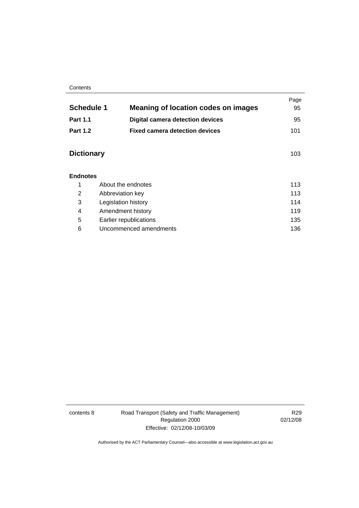#### **Contents**

|                   |                                            | Page |
|-------------------|--------------------------------------------|------|
| <b>Schedule 1</b> | <b>Meaning of location codes on images</b> | 95   |
| <b>Part 1.1</b>   | <b>Digital camera detection devices</b>    | 95   |
| <b>Part 1.2</b>   | <b>Fixed camera detection devices</b>      | 101  |
|                   |                                            |      |
| <b>Dictionary</b> |                                            | 103  |
|                   |                                            |      |
| <b>Endnotes</b>   |                                            |      |
| 1                 | About the endnotes                         |      |
| 2                 | 113<br>Abbreviation key                    |      |
| 3                 | 114<br>Legislation history                 |      |
| 4                 | 119<br>Amendment history                   |      |
| 5                 | 135<br>Earlier republications              |      |
| 6                 | Uncommenced amendments                     |      |

contents 8 Road Transport (Safety and Traffic Management) Regulation 2000 Effective: 02/12/08-10/03/09

R29 02/12/08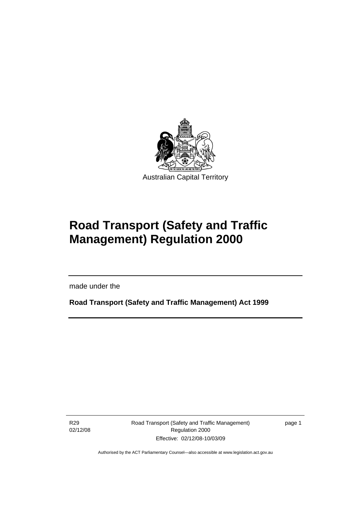<span id="page-10-0"></span>

# **Road Transport (Safety and Traffic Management) Regulation 2000**

made under the

**Road Transport (Safety and Traffic Management) Act 1999** 

R29 02/12/08

Ī

Road Transport (Safety and Traffic Management) Regulation 2000 Effective: 02/12/08-10/03/09

page 1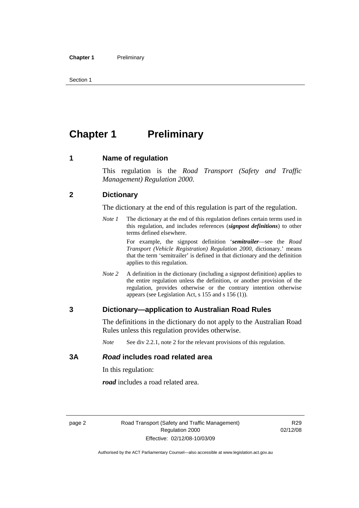<span id="page-11-0"></span>Section 1

# **Chapter 1** Preliminary

#### **1 Name of regulation**

This regulation is the *Road Transport (Safety and Traffic Management) Regulation 2000*.

#### **2 Dictionary**

The dictionary at the end of this regulation is part of the regulation.

*Note 1* The dictionary at the end of this regulation defines certain terms used in this regulation, and includes references (*signpost definitions*) to other terms defined elsewhere.

> For example, the signpost definition '*semitrailer*—see the *Road Transport (Vehicle Registration) Regulation 2000*, dictionary.' means that the term 'semitrailer' is defined in that dictionary and the definition applies to this regulation.

*Note 2* A definition in the dictionary (including a signpost definition) applies to the entire regulation unless the definition, or another provision of the regulation, provides otherwise or the contrary intention otherwise appears (see Legislation Act, s 155 and s 156 (1)).

#### **3 Dictionary—application to Australian Road Rules**

The definitions in the dictionary do not apply to the Australian Road Rules unless this regulation provides otherwise.

*Note* See div 2.2.1, note 2 for the relevant provisions of this regulation.

#### **3A** *Road* **includes road related area**

In this regulation:

*road* includes a road related area.

R29 02/12/08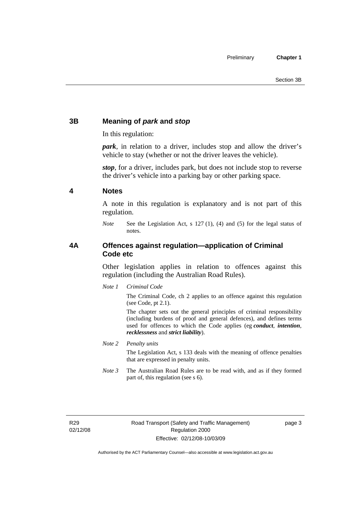### <span id="page-12-0"></span>**3B Meaning of** *park* **and** *stop*

In this regulation:

*park*, in relation to a driver, includes stop and allow the driver's vehicle to stay (whether or not the driver leaves the vehicle).

*stop*, for a driver, includes park, but does not include stop to reverse the driver's vehicle into a parking bay or other parking space.

#### **4 Notes**

A note in this regulation is explanatory and is not part of this regulation.

*Note* See the Legislation Act, s 127 (1), (4) and (5) for the legal status of notes.

### **4A Offences against regulation—application of Criminal Code etc**

Other legislation applies in relation to offences against this regulation (including the Australian Road Rules).

*Note 1 Criminal Code*

The Criminal Code, ch 2 applies to an offence against this regulation (see Code, pt 2.1).

The chapter sets out the general principles of criminal responsibility (including burdens of proof and general defences), and defines terms used for offences to which the Code applies (eg *conduct*, *intention*, *recklessness* and *strict liability*).

*Note 2 Penalty units* 

The Legislation Act, s 133 deals with the meaning of offence penalties that are expressed in penalty units.

*Note 3* The Australian Road Rules are to be read with, and as if they formed part of, this regulation (see s 6).

R29 02/12/08 page 3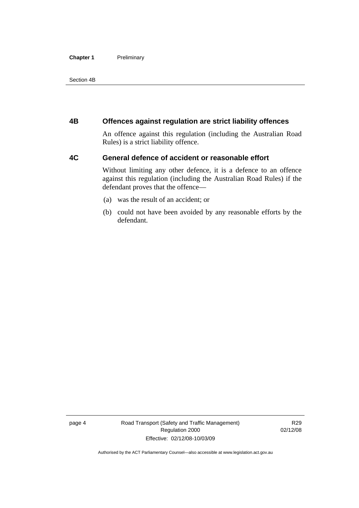#### <span id="page-13-0"></span>**Chapter 1** Preliminary

Section 4B

#### **4B Offences against regulation are strict liability offences**

An offence against this regulation (including the Australian Road Rules) is a strict liability offence.

#### **4C General defence of accident or reasonable effort**

Without limiting any other defence, it is a defence to an offence against this regulation (including the Australian Road Rules) if the defendant proves that the offence—

- (a) was the result of an accident; or
- (b) could not have been avoided by any reasonable efforts by the defendant.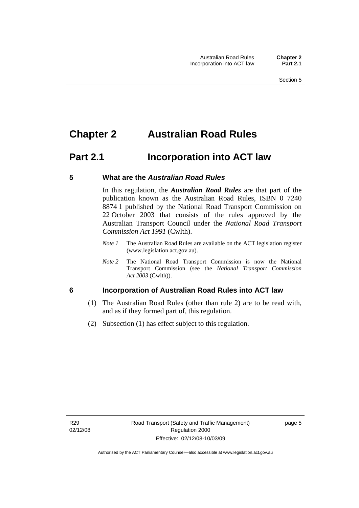# <span id="page-14-0"></span>**Chapter 2 Australian Road Rules**

# **Part 2.1 Incorporation into ACT law**

#### **5 What are the** *Australian Road Rules*

In this regulation, the *Australian Road Rules* are that part of the publication known as the Australian Road Rules, ISBN 0 7240 8874 1 published by the National Road Transport Commission on 22 October 2003 that consists of the rules approved by the Australian Transport Council under the *National Road Transport Commission Act 1991* (Cwlth).

- *Note 1* The Australian Road Rules are available on the ACT legislation register (www.legislation.act.gov.au).
- *Note 2* The National Road Transport Commission is now the National Transport Commission (see the *National Transport Commission Act 2003* (Cwlth)).

#### **6 Incorporation of Australian Road Rules into ACT law**

- (1) The Australian Road Rules (other than rule 2) are to be read with, and as if they formed part of, this regulation.
- (2) Subsection (1) has effect subject to this regulation.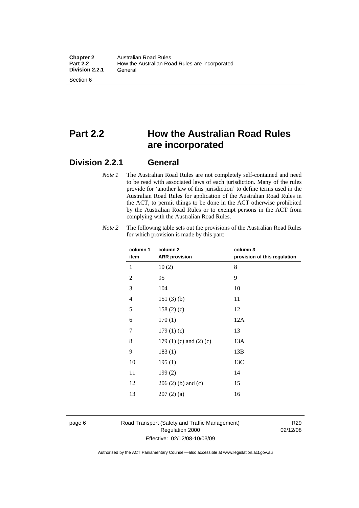# **Part 2.2 How the Australian Road Rules are incorporated**

### **Division 2.2.1 General**

*Note 1* The Australian Road Rules are not completely self-contained and need to be read with associated laws of each jurisdiction. Many of the rules provide for 'another law of this jurisdiction' to define terms used in the Australian Road Rules for application of the Australian Road Rules in the ACT, to permit things to be done in the ACT otherwise prohibited by the Australian Road Rules or to exempt persons in the ACT from complying with the Australian Road Rules.

| column 2                        | column 3<br>provision of this regulation |
|---------------------------------|------------------------------------------|
| 10(2)                           | 8                                        |
| 95                              | 9                                        |
| 104                             | 10                                       |
| 151(3)(b)                       | 11                                       |
| 158(2)(c)                       | 12                                       |
| 170(1)                          | 12A                                      |
| 179(1)(c)                       | 13                                       |
| 179 $(1)$ $(c)$ and $(2)$ $(c)$ | 13A                                      |
| 183(1)                          | 13B                                      |
| 195(1)                          | 13C                                      |
| 199(2)                          | 14                                       |
| $206(2)$ (b) and (c)            | 15                                       |
| 207(2)(a)                       | 16                                       |
|                                 | <b>ARR</b> provision                     |

*Note 2* The following table sets out the provisions of the Australian Road Rules for which provision is made by this part:

#### page 6 Road Transport (Safety and Traffic Management) Regulation 2000 Effective: 02/12/08-10/03/09

R29 02/12/08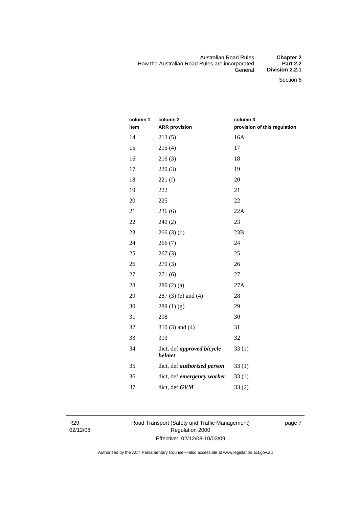#### Australian Road Rules **Chapter 2**  How the Australian Road Rules are incorporated<br>General **Division 2.2.1**

| column 1<br>item | column <sub>2</sub><br><b>ARR provision</b> | column 3<br>provision of this regulation |
|------------------|---------------------------------------------|------------------------------------------|
| 14               | 213(5)                                      | 16A                                      |
| 15               | 215(4)                                      | 17                                       |
| 16               | 216(3)                                      | 18                                       |
| 17               | 220(3)                                      | 19                                       |
| 18               | 221(f)                                      | 20                                       |
| 19               | 222                                         | 21                                       |
| 20               | 225                                         | 22                                       |
| 21               | 236(6)                                      | 22A                                      |
| 22               | 240(2)                                      | 23                                       |
| 23               | 266(3)(b)                                   | 23B                                      |
| 24               | 266(7)                                      | 24                                       |
| 25               | 267(3)                                      | 25                                       |
| 26               | 270(3)                                      | 26                                       |
| 27               | 271(6)                                      | 27                                       |
| 28               | 280(2)(a)                                   | 27A                                      |
| 29               | 287 (3) (e) and (4)                         | 28                                       |
| 30               | 289(1)(g)                                   | 29                                       |
| 31               | 298                                         | 30                                       |
| 32               | $310(3)$ and $(4)$                          | 31                                       |
| 33               | 313                                         | 32                                       |
| 34               | dict, def approved bicycle<br>helmet        | 33(1)                                    |
| 35               | dict, def <i>authorised</i> person          | 33(1)                                    |
| 36               | dict, def emergency worker                  | 33(1)                                    |
| 37               | dict, def GVM                               | 33(2)                                    |

R29 02/12/08 Road Transport (Safety and Traffic Management) Regulation 2000 Effective: 02/12/08-10/03/09

page 7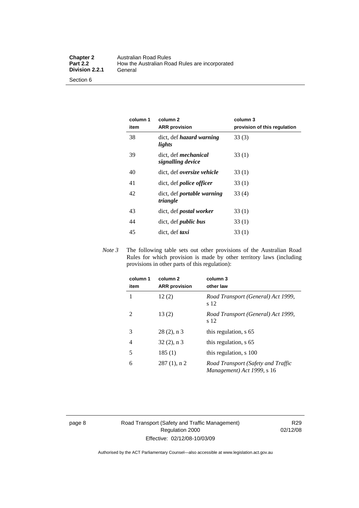Section 6

| column 1<br>item | column 2<br><b>ARR</b> provision                 | column 3<br>provision of this regulation |
|------------------|--------------------------------------------------|------------------------------------------|
| 38               | dict, def <i>hazard</i> warning<br>lights        | 33(3)                                    |
| 39               | dict, def <i>mechanical</i><br>signalling device | 33(1)                                    |
| 40               | dict, def <i>oversize</i> vehicle                | 33 (1)                                   |
| 41               | dict, def <i>police</i> officer                  | 33(1)                                    |
| 42               | dict, def <i>portable</i> warning<br>triangle    | 33(4)                                    |
| 43               | dict, def <i>postal</i> worker                   | 33(1)                                    |
| 44               | dict, def <i>public</i> bus                      | 33(1)                                    |
| 45               | dict, def taxi                                   | 33(1)                                    |

*Note 3* The following table sets out other provisions of the Australian Road Rules for which provision is made by other territory laws (including provisions in other parts of this regulation):

| column 1<br>item | column <sub>2</sub><br><b>ARR</b> provision | column 3<br>other law                                            |
|------------------|---------------------------------------------|------------------------------------------------------------------|
|                  | 12(2)                                       | Road Transport (General) Act 1999,<br>s 12                       |
| 2                | 13(2)                                       | Road Transport (General) Act 1999,<br>s 12                       |
| 3                | $28(2)$ , n 3                               | this regulation, s 65                                            |
| 4                | $32(2)$ , n 3                               | this regulation, s 65                                            |
| 5                | 185(1)                                      | this regulation, s 100                                           |
| 6                | $287(1)$ , n 2                              | Road Transport (Safety and Traffic<br>Management) Act 1999, s 16 |

page 8 Road Transport (Safety and Traffic Management) Regulation 2000 Effective: 02/12/08-10/03/09

R29 02/12/08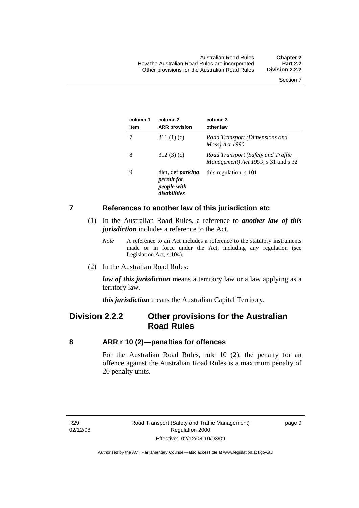<span id="page-18-0"></span>

| column 1<br>item | column 2<br><b>ARR</b> provision                                             | column 3<br>other law                                                     |
|------------------|------------------------------------------------------------------------------|---------------------------------------------------------------------------|
|                  | 311 $(1)(c)$                                                                 | Road Transport (Dimensions and<br>Mass) Act 1990                          |
| 8                | 312(3)(c)                                                                    | Road Transport (Safety and Traffic<br>Management) Act 1999, s 31 and s 32 |
| 9                | dict, def <i>parking</i><br><i>permit for</i><br>people with<br>disabilities | this regulation, s 101                                                    |

#### **7 References to another law of this jurisdiction etc**

- (1) In the Australian Road Rules, a reference to *another law of this jurisdiction* includes a reference to the Act.
	- *Note* A reference to an Act includes a reference to the statutory instruments made or in force under the Act, including any regulation (see Legislation Act, s 104).
- (2) In the Australian Road Rules:

*law of this jurisdiction* means a territory law or a law applying as a territory law.

*this jurisdiction* means the Australian Capital Territory.

## **Division 2.2.2 Other provisions for the Australian Road Rules**

#### **8 ARR r 10 (2)—penalties for offences**

For the Australian Road Rules, rule 10 (2), the penalty for an offence against the Australian Road Rules is a maximum penalty of 20 penalty units.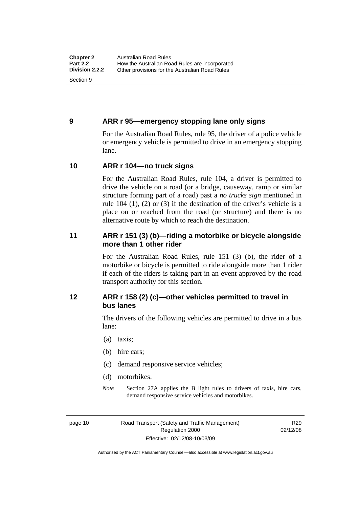#### <span id="page-19-0"></span>**9 ARR r 95—emergency stopping lane only signs**

For the Australian Road Rules, rule 95, the driver of a police vehicle or emergency vehicle is permitted to drive in an emergency stopping lane.

#### **10 ARR r 104—no truck signs**

For the Australian Road Rules, rule 104, a driver is permitted to drive the vehicle on a road (or a bridge, causeway, ramp or similar structure forming part of a road) past a *no trucks sign* mentioned in rule 104 (1), (2) or (3) if the destination of the driver's vehicle is a place on or reached from the road (or structure) and there is no alternative route by which to reach the destination.

#### **11 ARR r 151 (3) (b)—riding a motorbike or bicycle alongside more than 1 other rider**

For the Australian Road Rules, rule 151 (3) (b), the rider of a motorbike or bicycle is permitted to ride alongside more than 1 rider if each of the riders is taking part in an event approved by the road transport authority for this section.

#### **12 ARR r 158 (2) (c)—other vehicles permitted to travel in bus lanes**

The drivers of the following vehicles are permitted to drive in a bus lane:

- (a) taxis;
- (b) hire cars;
- (c) demand responsive service vehicles;
- (d) motorbikes.
- *Note* Section 27A applies the B light rules to drivers of taxis, hire cars, demand responsive service vehicles and motorbikes.

page 10 Road Transport (Safety and Traffic Management) Regulation 2000 Effective: 02/12/08-10/03/09

R29 02/12/08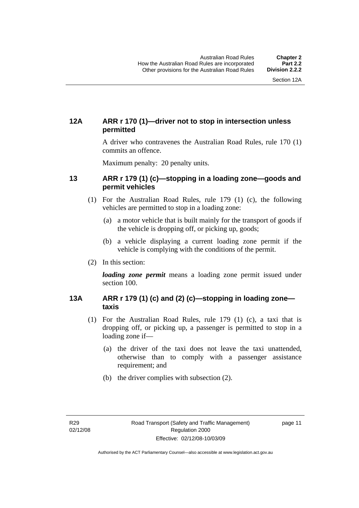### <span id="page-20-0"></span>**12A ARR r 170 (1)—driver not to stop in intersection unless permitted**

A driver who contravenes the Australian Road Rules, rule 170 (1) commits an offence.

Maximum penalty: 20 penalty units.

#### **13 ARR r 179 (1) (c)—stopping in a loading zone—goods and permit vehicles**

- (1) For the Australian Road Rules, rule 179 (1) (c), the following vehicles are permitted to stop in a loading zone:
	- (a) a motor vehicle that is built mainly for the transport of goods if the vehicle is dropping off, or picking up, goods;
	- (b) a vehicle displaying a current loading zone permit if the vehicle is complying with the conditions of the permit.
- (2) In this section:

*loading zone permit* means a loading zone permit issued under section 100.

#### **13A ARR r 179 (1) (c) and (2) (c)—stopping in loading zone taxis**

- (1) For the Australian Road Rules, rule 179 (1) (c), a taxi that is dropping off, or picking up, a passenger is permitted to stop in a loading zone if—
	- (a) the driver of the taxi does not leave the taxi unattended, otherwise than to comply with a passenger assistance requirement; and
	- (b) the driver complies with subsection (2).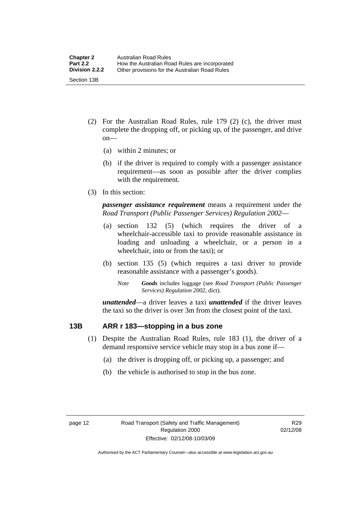- <span id="page-21-0"></span> (2) For the Australian Road Rules, rule 179 (2) (c), the driver must complete the dropping off, or picking up, of the passenger, and drive on—
	- (a) within 2 minutes; or
	- (b) if the driver is required to comply with a passenger assistance requirement—as soon as possible after the driver complies with the requirement.
- (3) In this section:

*passenger assistance requirement* means a requirement under the *Road Transport (Public Passenger Services) Regulation 2002*—

- (a) section 132 (5) (which requires the driver of a wheelchair-accessible taxi to provide reasonable assistance in loading and unloading a wheelchair, or a person in a wheelchair, into or from the taxi); or
- (b) section 135 (5) (which requires a taxi driver to provide reasonable assistance with a passenger's goods).
	- *Note Goods* includes luggage (see *Road Transport (Public Passenger Services) Regulation 2002*, dict).

*unattended*—a driver leaves a taxi *unattended* if the driver leaves the taxi so the driver is over 3m from the closest point of the taxi.

#### **13B ARR r 183—stopping in a bus zone**

- (1) Despite the Australian Road Rules, rule 183 (1), the driver of a demand responsive service vehicle may stop in a bus zone if—
	- (a) the driver is dropping off, or picking up, a passenger; and
	- (b) the vehicle is authorised to stop in the bus zone.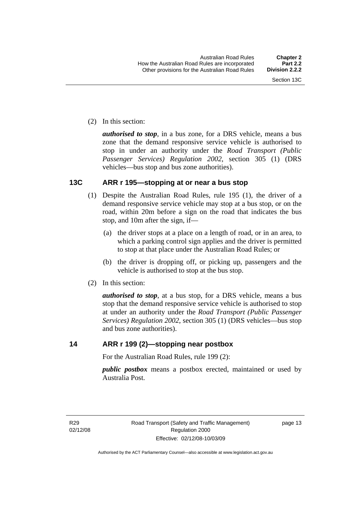<span id="page-22-0"></span>(2) In this section:

*authorised to stop*, in a bus zone, for a DRS vehicle, means a bus zone that the demand responsive service vehicle is authorised to stop in under an authority under the *Road Transport (Public Passenger Services) Regulation 2002*, section 305 (1) (DRS vehicles—bus stop and bus zone authorities).

### **13C ARR r 195—stopping at or near a bus stop**

- (1) Despite the Australian Road Rules, rule 195 (1), the driver of a demand responsive service vehicle may stop at a bus stop, or on the road, within 20m before a sign on the road that indicates the bus stop, and 10m after the sign, if—
	- (a) the driver stops at a place on a length of road, or in an area, to which a parking control sign applies and the driver is permitted to stop at that place under the Australian Road Rules; or
	- (b) the driver is dropping off, or picking up, passengers and the vehicle is authorised to stop at the bus stop.
- (2) In this section:

*authorised to stop*, at a bus stop, for a DRS vehicle, means a bus stop that the demand responsive service vehicle is authorised to stop at under an authority under the *Road Transport (Public Passenger Services) Regulation 2002*, section 305 (1) (DRS vehicles—bus stop and bus zone authorities).

#### **14 ARR r 199 (2)—stopping near postbox**

For the Australian Road Rules, rule 199 (2):

*public postbox* means a postbox erected, maintained or used by Australia Post.

R29 02/12/08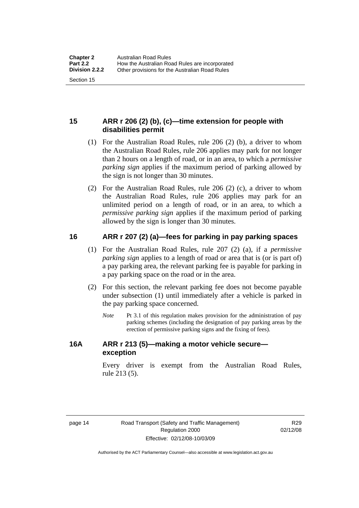### <span id="page-23-0"></span>**15 ARR r 206 (2) (b), (c)—time extension for people with disabilities permit**

- (1) For the Australian Road Rules, rule 206 (2) (b), a driver to whom the Australian Road Rules, rule 206 applies may park for not longer than 2 hours on a length of road, or in an area, to which a *permissive parking sign* applies if the maximum period of parking allowed by the sign is not longer than 30 minutes.
- (2) For the Australian Road Rules, rule 206 (2) (c), a driver to whom the Australian Road Rules, rule 206 applies may park for an unlimited period on a length of road, or in an area, to which a *permissive parking sign* applies if the maximum period of parking allowed by the sign is longer than 30 minutes.

### **16 ARR r 207 (2) (a)—fees for parking in pay parking spaces**

- (1) For the Australian Road Rules, rule 207 (2) (a), if a *permissive parking sign* applies to a length of road or area that is (or is part of) a pay parking area, the relevant parking fee is payable for parking in a pay parking space on the road or in the area.
- (2) For this section, the relevant parking fee does not become payable under subsection (1) until immediately after a vehicle is parked in the pay parking space concerned.
	- *Note* Pt 3.1 of this regulation makes provision for the administration of pay parking schemes (including the designation of pay parking areas by the erection of permissive parking signs and the fixing of fees).

#### **16A ARR r 213 (5)—making a motor vehicle secure exception**

Every driver is exempt from the Australian Road Rules, rule 213 (5).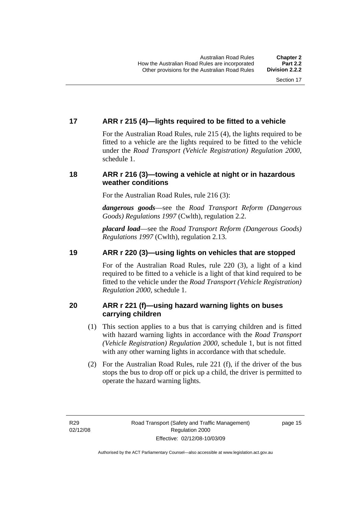### <span id="page-24-0"></span>**17 ARR r 215 (4)—lights required to be fitted to a vehicle**

For the Australian Road Rules, rule 215 (4), the lights required to be fitted to a vehicle are the lights required to be fitted to the vehicle under the *Road Transport (Vehicle Registration) Regulation 2000,*  schedule 1.

### **18 ARR r 216 (3)—towing a vehicle at night or in hazardous weather conditions**

For the Australian Road Rules, rule 216 (3):

*dangerous goods*—see the *Road Transport Reform (Dangerous Goods) Regulations 1997* (Cwlth), regulation 2.2.

*placard load*—see the *Road Transport Reform (Dangerous Goods) Regulations 1997* (Cwlth), regulation 2.13.

### **19 ARR r 220 (3)—using lights on vehicles that are stopped**

For of the Australian Road Rules, rule 220 (3), a light of a kind required to be fitted to a vehicle is a light of that kind required to be fitted to the vehicle under the *Road Transport (Vehicle Registration) Regulation 2000*, schedule 1.

### **20 ARR r 221 (f)—using hazard warning lights on buses carrying children**

- (1) This section applies to a bus that is carrying children and is fitted with hazard warning lights in accordance with the *Road Transport (Vehicle Registration) Regulation 2000*, schedule 1, but is not fitted with any other warning lights in accordance with that schedule.
- (2) For the Australian Road Rules, rule 221 (f), if the driver of the bus stops the bus to drop off or pick up a child, the driver is permitted to operate the hazard warning lights.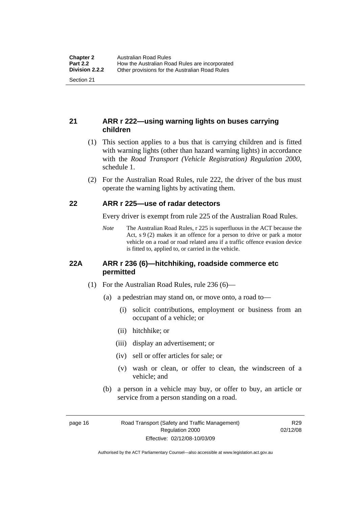### <span id="page-25-0"></span>**21 ARR r 222—using warning lights on buses carrying children**

- (1) This section applies to a bus that is carrying children and is fitted with warning lights (other than hazard warning lights) in accordance with the *Road Transport (Vehicle Registration) Regulation 2000*, schedule 1.
- (2) For the Australian Road Rules, rule 222, the driver of the bus must operate the warning lights by activating them.

#### **22 ARR r 225—use of radar detectors**

Every driver is exempt from rule 225 of the Australian Road Rules.

*Note* The Australian Road Rules, r 225 is superfluous in the ACT because the Act, s 9 (2) makes it an offence for a person to drive or park a motor vehicle on a road or road related area if a traffic offence evasion device is fitted to, applied to, or carried in the vehicle.

#### **22A ARR r 236 (6)—hitchhiking, roadside commerce etc permitted**

- (1) For the Australian Road Rules, rule 236 (6)—
	- (a) a pedestrian may stand on, or move onto, a road to—
		- (i) solicit contributions, employment or business from an occupant of a vehicle; or
		- (ii) hitchhike; or
		- (iii) display an advertisement; or
		- (iv) sell or offer articles for sale; or
		- (v) wash or clean, or offer to clean, the windscreen of a vehicle; and
	- (b) a person in a vehicle may buy, or offer to buy, an article or service from a person standing on a road.

page 16 Road Transport (Safety and Traffic Management) Regulation 2000 Effective: 02/12/08-10/03/09

R29 02/12/08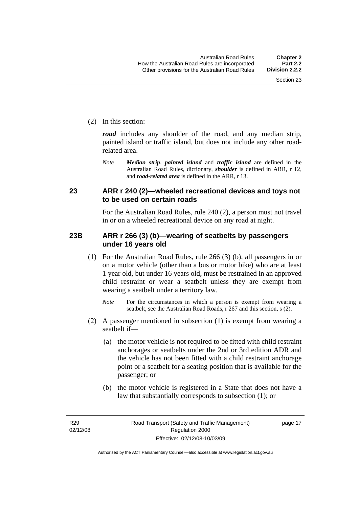<span id="page-26-0"></span>(2) In this section:

*road* includes any shoulder of the road, and any median strip, painted island or traffic island, but does not include any other roadrelated area.

*Note Median strip*, *painted island* and *traffic island* are defined in the Australian Road Rules, dictionary, *shoulder* is defined in ARR, r 12, and *road-related area* is defined in the ARR, r 13.

#### **23 ARR r 240 (2)—wheeled recreational devices and toys not to be used on certain roads**

For the Australian Road Rules, rule 240 (2), a person must not travel in or on a wheeled recreational device on any road at night.

#### **23B ARR r 266 (3) (b)—wearing of seatbelts by passengers under 16 years old**

- (1) For the Australian Road Rules, rule 266 (3) (b), all passengers in or on a motor vehicle (other than a bus or motor bike) who are at least 1 year old, but under 16 years old, must be restrained in an approved child restraint or wear a seatbelt unless they are exempt from wearing a seatbelt under a territory law.
	- *Note* For the circumstances in which a person is exempt from wearing a seatbelt, see the Australian Road Roads, r 267 and this section, s (2).
- (2) A passenger mentioned in subsection (1) is exempt from wearing a seatbelt if—
	- (a) the motor vehicle is not required to be fitted with child restraint anchorages or seatbelts under the 2nd or 3rd edition ADR and the vehicle has not been fitted with a child restraint anchorage point or a seatbelt for a seating position that is available for the passenger; or
	- (b) the motor vehicle is registered in a State that does not have a law that substantially corresponds to subsection (1); or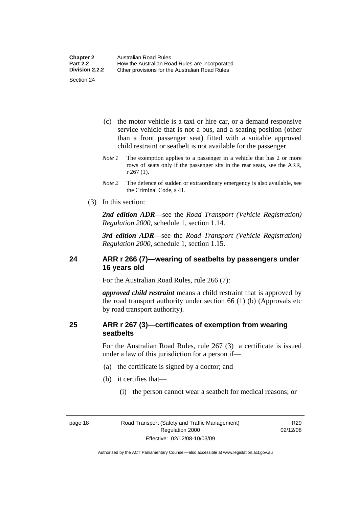- <span id="page-27-0"></span> (c) the motor vehicle is a taxi or hire car, or a demand responsive service vehicle that is not a bus, and a seating position (other than a front passenger seat) fitted with a suitable approved child restraint or seatbelt is not available for the passenger.
- *Note 1* The exemption applies to a passenger in a vehicle that has 2 or more rows of seats only if the passenger sits in the rear seats, see the ARR, r 267 (1).
- *Note 2* The defence of sudden or extraordinary emergency is also available, see the Criminal Code, s 41.
- (3) In this section:

*2nd edition ADR*—see the *Road Transport (Vehicle Registration) Regulation 2000*, schedule 1, section 1.14.

*3rd edition ADR*—see the *Road Transport (Vehicle Registration) Regulation 2000*, schedule 1, section 1.15.

#### **24 ARR r 266 (7)—wearing of seatbelts by passengers under 16 years old**

For the Australian Road Rules, rule 266 (7):

*approved child restraint* means a child restraint that is approved by the road transport authority under section 66 (1) (b) (Approvals etc by road transport authority).

#### **25 ARR r 267 (3)—certificates of exemption from wearing seatbelts**

For the Australian Road Rules, rule 267 (3) a certificate is issued under a law of this jurisdiction for a person if—

- (a) the certificate is signed by a doctor; and
- (b) it certifies that—
	- (i) the person cannot wear a seatbelt for medical reasons; or

R29 02/12/08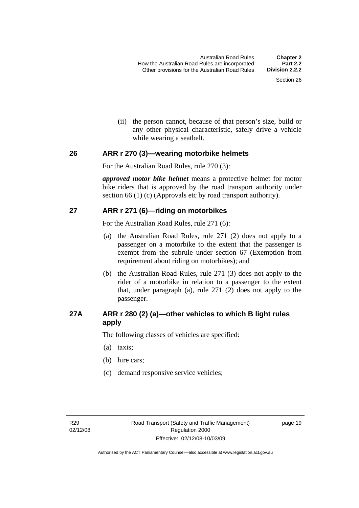(ii) the person cannot, because of that person's size, build or any other physical characteristic, safely drive a vehicle while wearing a seatbelt.

#### <span id="page-28-0"></span>**26 ARR r 270 (3)—wearing motorbike helmets**

For the Australian Road Rules, rule 270 (3):

*approved motor bike helmet* means a protective helmet for motor bike riders that is approved by the road transport authority under section 66 (1) (c) (Approvals etc by road transport authority).

### **27 ARR r 271 (6)—riding on motorbikes**

For the Australian Road Rules, rule 271 (6):

- (a) the Australian Road Rules, rule 271 (2) does not apply to a passenger on a motorbike to the extent that the passenger is exempt from the subrule under section 67 (Exemption from requirement about riding on motorbikes); and
- (b) the Australian Road Rules, rule 271 (3) does not apply to the rider of a motorbike in relation to a passenger to the extent that, under paragraph (a), rule 271 (2) does not apply to the passenger.

### **27A ARR r 280 (2) (a)—other vehicles to which B light rules apply**

The following classes of vehicles are specified:

- (a) taxis;
- (b) hire cars;
- (c) demand responsive service vehicles;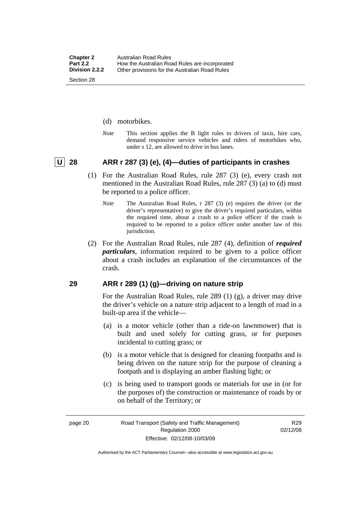- <span id="page-29-0"></span>(d) motorbikes.
- *Note* This section applies the B light rules to drivers of taxis, hire cars, demand responsive service vehicles and riders of motorbikes who, under s 12, are allowed to drive in bus lanes.

#### **U 28 ARR r 287 (3) (e), (4)—duties of participants in crashes**

- (1) For the Australian Road Rules, rule 287 (3) (e), every crash not mentioned in the Australian Road Rules, rule 287 (3) (a) to (d) must be reported to a police officer.
	- *Note* The Australian Road Rules, r 287 (3) (e) requires the driver (or the driver's representative) to give the driver's required particulars, within the required time, about a crash to a police officer if the crash is required to be reported to a police officer under another law of this jurisdiction.
- (2) For the Australian Road Rules, rule 287 (4), definition of *required particulars*, information required to be given to a police officer about a crash includes an explanation of the circumstances of the crash.

#### **29 ARR r 289 (1) (g)—driving on nature strip**

For the Australian Road Rules, rule 289 (1) (g), a driver may drive the driver's vehicle on a nature strip adjacent to a length of road in a built-up area if the vehicle—

- (a) is a motor vehicle (other than a ride-on lawnmower) that is built and used solely for cutting grass, or for purposes incidental to cutting grass; or
- (b) is a motor vehicle that is designed for cleaning footpaths and is being driven on the nature strip for the purpose of cleaning a footpath and is displaying an amber flashing light; or
- (c) is being used to transport goods or materials for use in (or for the purposes of) the construction or maintenance of roads by or on behalf of the Territory; or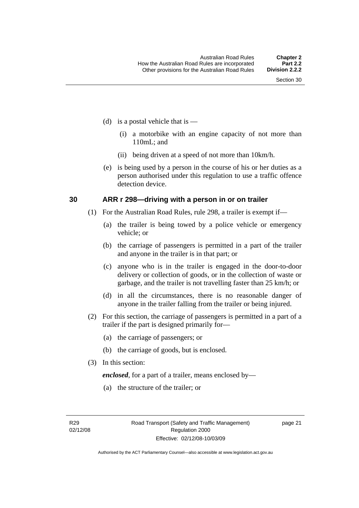- <span id="page-30-0"></span>(d) is a postal vehicle that is  $-$ 
	- (i) a motorbike with an engine capacity of not more than 110mL; and
	- (ii) being driven at a speed of not more than 10km/h.
- (e) is being used by a person in the course of his or her duties as a person authorised under this regulation to use a traffic offence detection device.

#### **30 ARR r 298—driving with a person in or on trailer**

- (1) For the Australian Road Rules, rule 298, a trailer is exempt if—
	- (a) the trailer is being towed by a police vehicle or emergency vehicle; or
	- (b) the carriage of passengers is permitted in a part of the trailer and anyone in the trailer is in that part; or
	- (c) anyone who is in the trailer is engaged in the door-to-door delivery or collection of goods, or in the collection of waste or garbage, and the trailer is not travelling faster than 25 km/h; or
	- (d) in all the circumstances, there is no reasonable danger of anyone in the trailer falling from the trailer or being injured.
- (2) For this section, the carriage of passengers is permitted in a part of a trailer if the part is designed primarily for—
	- (a) the carriage of passengers; or
	- (b) the carriage of goods, but is enclosed.
- (3) In this section:

*enclosed*, for a part of a trailer, means enclosed by—

(a) the structure of the trailer; or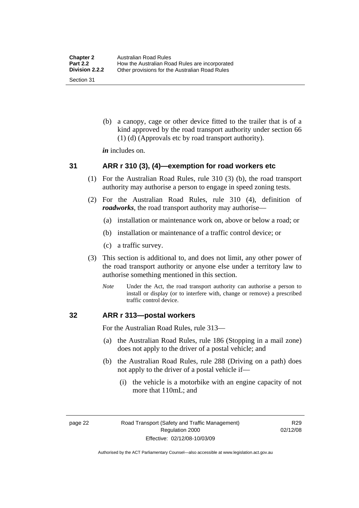<span id="page-31-0"></span> (b) a canopy, cage or other device fitted to the trailer that is of a kind approved by the road transport authority under section 66 (1) (d) (Approvals etc by road transport authority).

*in* includes on.

#### **31 ARR r 310 (3), (4)—exemption for road workers etc**

- (1) For the Australian Road Rules, rule 310 (3) (b), the road transport authority may authorise a person to engage in speed zoning tests.
- (2) For the Australian Road Rules, rule 310 (4), definition of *roadworks*, the road transport authority may authorise—
	- (a) installation or maintenance work on, above or below a road; or
	- (b) installation or maintenance of a traffic control device; or
	- (c) a traffic survey.
- (3) This section is additional to, and does not limit, any other power of the road transport authority or anyone else under a territory law to authorise something mentioned in this section.
	- *Note* Under the Act, the road transport authority can authorise a person to install or display (or to interfere with, change or remove) a prescribed traffic control device.

#### **32 ARR r 313—postal workers**

For the Australian Road Rules, rule 313—

- (a) the Australian Road Rules, rule 186 (Stopping in a mail zone) does not apply to the driver of a postal vehicle; and
- (b) the Australian Road Rules, rule 288 (Driving on a path) does not apply to the driver of a postal vehicle if—
	- (i) the vehicle is a motorbike with an engine capacity of not more that 110mL; and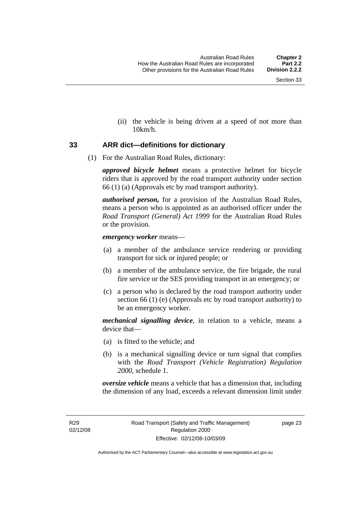(ii) the vehicle is being driven at a speed of not more than 10km/h.

#### <span id="page-32-0"></span>**33 ARR dict—definitions for dictionary**

(1) For the Australian Road Rules, dictionary:

*approved bicycle helmet* means a protective helmet for bicycle riders that is approved by the road transport authority under section 66 (1) (a) (Approvals etc by road transport authority).

*authorised person,* for a provision of the Australian Road Rules, means a person who is appointed as an authorised officer under the *Road Transport (General) Act 1999* for the Australian Road Rules or the provision.

#### *emergency worker* means—

- (a) a member of the ambulance service rendering or providing transport for sick or injured people; or
- (b) a member of the ambulance service, the fire brigade, the rural fire service or the SES providing transport in an emergency; or
- (c) a person who is declared by the road transport authority under section 66 (1) (e) (Approvals etc by road transport authority) to be an emergency worker.

*mechanical signalling device*, in relation to a vehicle, means a device that—

- (a) is fitted to the vehicle; and
- (b) is a mechanical signalling device or turn signal that complies with the *Road Transport (Vehicle Registration) Regulation 2000*, schedule 1.

*oversize vehicle* means a vehicle that has a dimension that, including the dimension of any load, exceeds a relevant dimension limit under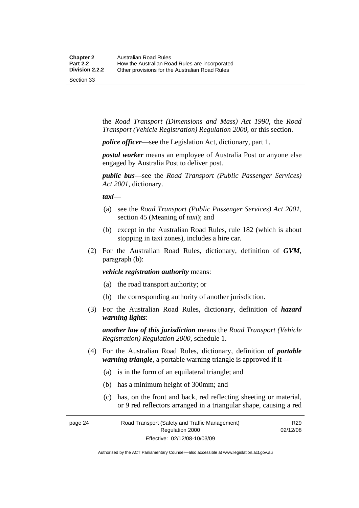the *Road Transport (Dimensions and Mass) Act 1990*, the *Road Transport (Vehicle Registration) Regulation 2000*, or this section.

*police officer*—see the Legislation Act, dictionary, part 1.

*postal worker* means an employee of Australia Post or anyone else engaged by Australia Post to deliver post.

*public bus*—see the *Road Transport (Public Passenger Services) Act 2001*, dictionary.

*taxi*—

- (a) see the *Road Transport (Public Passenger Services) Act 2001*, section 45 (Meaning of *taxi*); and
- (b) except in the Australian Road Rules, rule 182 (which is about stopping in taxi zones), includes a hire car.
- (2) For the Australian Road Rules, dictionary, definition of *GVM*, paragraph (b):

*vehicle registration authority* means:

- (a) the road transport authority; or
- (b) the corresponding authority of another jurisdiction.
- (3) For the Australian Road Rules, dictionary, definition of *hazard warning lights*:

*another law of this jurisdiction* means the *Road Transport (Vehicle Registration) Regulation 2000*, schedule 1.

- (4) For the Australian Road Rules, dictionary, definition of *portable warning triangle*, a portable warning triangle is approved if it—
	- (a) is in the form of an equilateral triangle; and
	- (b) has a minimum height of 300mm; and
	- (c) has, on the front and back, red reflecting sheeting or material, or 9 red reflectors arranged in a triangular shape, causing a red

R29 02/12/08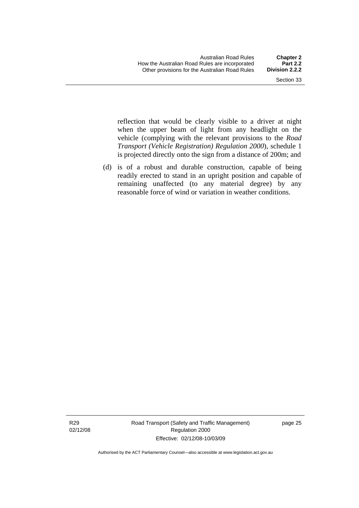reflection that would be clearly visible to a driver at night when the upper beam of light from any headlight on the vehicle (complying with the relevant provisions to the *Road Transport (Vehicle Registration) Regulation 2000*), schedule 1 is projected directly onto the sign from a distance of 200m; and

 (d) is of a robust and durable construction, capable of being readily erected to stand in an upright position and capable of remaining unaffected (to any material degree) by any reasonable force of wind or variation in weather conditions.

R29 02/12/08 Road Transport (Safety and Traffic Management) Regulation 2000 Effective: 02/12/08-10/03/09

page 25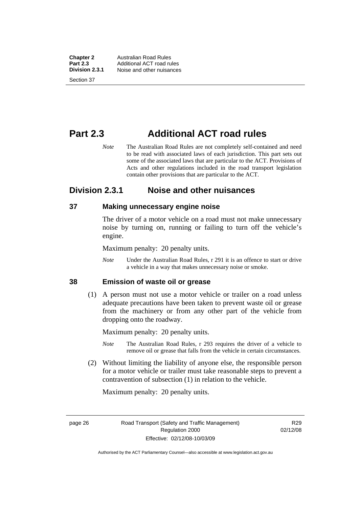<span id="page-35-0"></span>**Chapter 2** Australian Road Rules<br>**Part 2.3** Additional ACT road ru **Part 2.3** Additional ACT road rules<br>**Division 2.3.1** Noise and other nuisances **Division 2.3.1** Noise and other nuisances Section 37

# **Part 2.3 Additional ACT road rules**

*Note* The Australian Road Rules are not completely self-contained and need to be read with associated laws of each jurisdiction. This part sets out some of the associated laws that are particular to the ACT. Provisions of Acts and other regulations included in the road transport legislation contain other provisions that are particular to the ACT.

### **Division 2.3.1 Noise and other nuisances**

#### **37 Making unnecessary engine noise**

The driver of a motor vehicle on a road must not make unnecessary noise by turning on, running or failing to turn off the vehicle's engine.

Maximum penalty: 20 penalty units.

*Note* Under the Australian Road Rules, r 291 it is an offence to start or drive a vehicle in a way that makes unnecessary noise or smoke.

#### **38 Emission of waste oil or grease**

 (1) A person must not use a motor vehicle or trailer on a road unless adequate precautions have been taken to prevent waste oil or grease from the machinery or from any other part of the vehicle from dropping onto the roadway.

Maximum penalty: 20 penalty units.

- *Note* The Australian Road Rules, r 293 requires the driver of a vehicle to remove oil or grease that falls from the vehicle in certain circumstances.
- (2) Without limiting the liability of anyone else, the responsible person for a motor vehicle or trailer must take reasonable steps to prevent a contravention of subsection (1) in relation to the vehicle.

Maximum penalty: 20 penalty units.

R29 02/12/08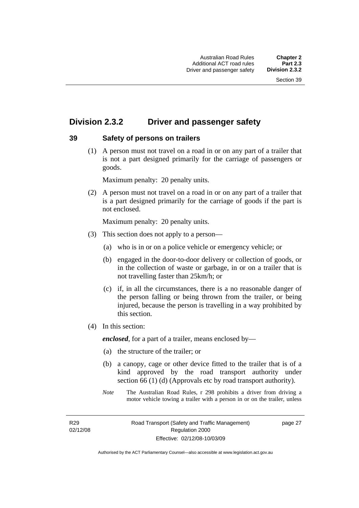# **Division 2.3.2 Driver and passenger safety**

# **39 Safety of persons on trailers**

 (1) A person must not travel on a road in or on any part of a trailer that is not a part designed primarily for the carriage of passengers or goods.

Maximum penalty: 20 penalty units.

 (2) A person must not travel on a road in or on any part of a trailer that is a part designed primarily for the carriage of goods if the part is not enclosed.

Maximum penalty: 20 penalty units.

- (3) This section does not apply to a person—
	- (a) who is in or on a police vehicle or emergency vehicle; or
	- (b) engaged in the door-to-door delivery or collection of goods, or in the collection of waste or garbage, in or on a trailer that is not travelling faster than 25km/h; or
	- (c) if, in all the circumstances, there is a no reasonable danger of the person falling or being thrown from the trailer, or being injured, because the person is travelling in a way prohibited by this section.
- (4) In this section:

*enclosed*, for a part of a trailer, means enclosed by—

- (a) the structure of the trailer; or
- (b) a canopy, cage or other device fitted to the trailer that is of a kind approved by the road transport authority under section 66 (1) (d) (Approvals etc by road transport authority).
- *Note* The Australian Road Rules, r 298 prohibits a driver from driving a motor vehicle towing a trailer with a person in or on the trailer, unless

R29 02/12/08 page 27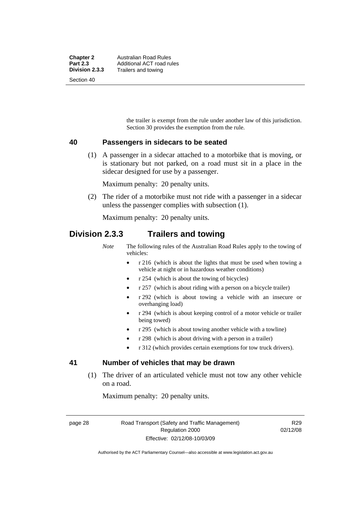the trailer is exempt from the rule under another law of this jurisdiction. Section 30 provides the exemption from the rule.

### **40 Passengers in sidecars to be seated**

 (1) A passenger in a sidecar attached to a motorbike that is moving, or is stationary but not parked, on a road must sit in a place in the sidecar designed for use by a passenger.

Maximum penalty: 20 penalty units.

 (2) The rider of a motorbike must not ride with a passenger in a sidecar unless the passenger complies with subsection (1).

Maximum penalty: 20 penalty units.

# **Division 2.3.3 Trailers and towing**

*Note* The following rules of the Australian Road Rules apply to the towing of vehicles:

- r 216 (which is about the lights that must be used when towing a vehicle at night or in hazardous weather conditions)
- r 254 (which is about the towing of bicycles)
- r 257 (which is about riding with a person on a bicycle trailer)
- r 292 (which is about towing a vehicle with an insecure or overhanging load)
- r 294 (which is about keeping control of a motor vehicle or trailer being towed)
- r 295 (which is about towing another vehicle with a towline)
- r 298 (which is about driving with a person in a trailer)
- r 312 (which provides certain exemptions for tow truck drivers).

# **41 Number of vehicles that may be drawn**

 (1) The driver of an articulated vehicle must not tow any other vehicle on a road.

Maximum penalty: 20 penalty units.

page 28 Road Transport (Safety and Traffic Management) Regulation 2000 Effective: 02/12/08-10/03/09

R29 02/12/08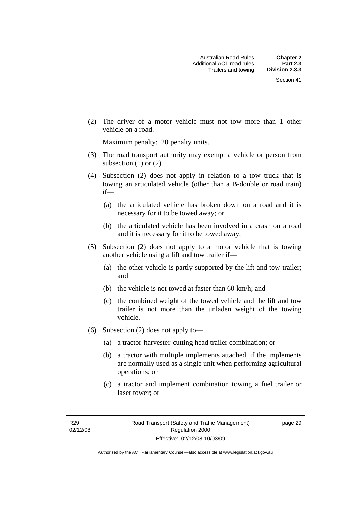(2) The driver of a motor vehicle must not tow more than 1 other vehicle on a road.

Maximum penalty: 20 penalty units.

- (3) The road transport authority may exempt a vehicle or person from subsection  $(1)$  or  $(2)$ .
- (4) Subsection (2) does not apply in relation to a tow truck that is towing an articulated vehicle (other than a B-double or road train) if—
	- (a) the articulated vehicle has broken down on a road and it is necessary for it to be towed away; or
	- (b) the articulated vehicle has been involved in a crash on a road and it is necessary for it to be towed away.
- (5) Subsection (2) does not apply to a motor vehicle that is towing another vehicle using a lift and tow trailer if—
	- (a) the other vehicle is partly supported by the lift and tow trailer; and
	- (b) the vehicle is not towed at faster than 60 km/h; and
	- (c) the combined weight of the towed vehicle and the lift and tow trailer is not more than the unladen weight of the towing vehicle.
- (6) Subsection (2) does not apply to—
	- (a) a tractor-harvester-cutting head trailer combination; or
	- (b) a tractor with multiple implements attached, if the implements are normally used as a single unit when performing agricultural operations; or
	- (c) a tractor and implement combination towing a fuel trailer or laser tower; or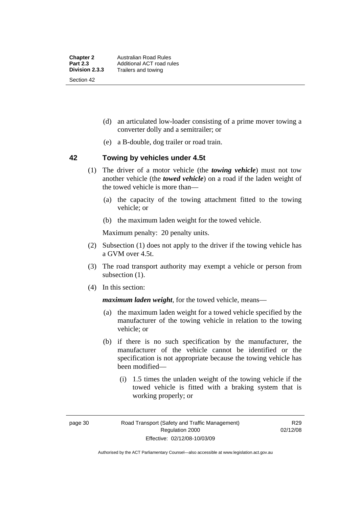- (d) an articulated low-loader consisting of a prime mover towing a converter dolly and a semitrailer; or
- (e) a B-double, dog trailer or road train.

### **42 Towing by vehicles under 4.5t**

- (1) The driver of a motor vehicle (the *towing vehicle*) must not tow another vehicle (the *towed vehicle*) on a road if the laden weight of the towed vehicle is more than—
	- (a) the capacity of the towing attachment fitted to the towing vehicle; or
	- (b) the maximum laden weight for the towed vehicle.

Maximum penalty: 20 penalty units.

- (2) Subsection (1) does not apply to the driver if the towing vehicle has a GVM over 4.5t.
- (3) The road transport authority may exempt a vehicle or person from subsection  $(1)$ .
- (4) In this section:

*maximum laden weight*, for the towed vehicle, means—

- (a) the maximum laden weight for a towed vehicle specified by the manufacturer of the towing vehicle in relation to the towing vehicle; or
- (b) if there is no such specification by the manufacturer, the manufacturer of the vehicle cannot be identified or the specification is not appropriate because the towing vehicle has been modified—
	- (i) 1.5 times the unladen weight of the towing vehicle if the towed vehicle is fitted with a braking system that is working properly; or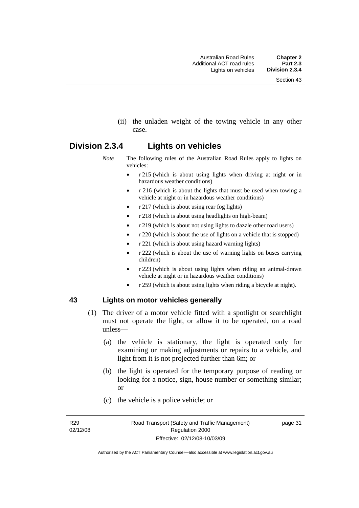(ii) the unladen weight of the towing vehicle in any other case.

# **Division 2.3.4 Lights on vehicles**

- *Note* The following rules of the Australian Road Rules apply to lights on vehicles:
	- r 215 (which is about using lights when driving at night or in hazardous weather conditions)
	- r 216 (which is about the lights that must be used when towing a vehicle at night or in hazardous weather conditions)
	- r 217 (which is about using rear fog lights)
	- r 218 (which is about using headlights on high-beam)
	- r 219 (which is about not using lights to dazzle other road users)
	- r 220 (which is about the use of lights on a vehicle that is stopped)
	- r 221 (which is about using hazard warning lights)
	- r 222 (which is about the use of warning lights on buses carrying children)
	- r 223 (which is about using lights when riding an animal-drawn vehicle at night or in hazardous weather conditions)
	- r 259 (which is about using lights when riding a bicycle at night).

# **43 Lights on motor vehicles generally**

- (1) The driver of a motor vehicle fitted with a spotlight or searchlight must not operate the light, or allow it to be operated, on a road unless—
	- (a) the vehicle is stationary, the light is operated only for examining or making adjustments or repairs to a vehicle, and light from it is not projected further than 6m; or
	- (b) the light is operated for the temporary purpose of reading or looking for a notice, sign, house number or something similar; or
	- (c) the vehicle is a police vehicle; or

R29 02/12/08 page 31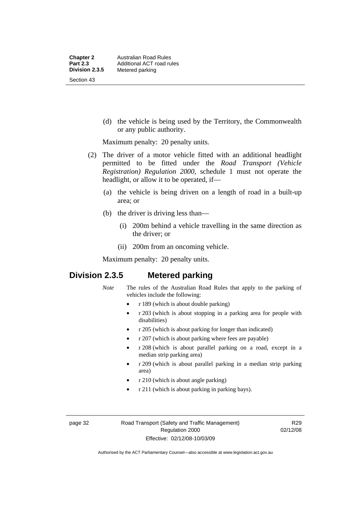(d) the vehicle is being used by the Territory, the Commonwealth or any public authority.

Maximum penalty: 20 penalty units.

- (2) The driver of a motor vehicle fitted with an additional headlight permitted to be fitted under the *Road Transport (Vehicle Registration) Regulation 2000*, schedule 1 must not operate the headlight, or allow it to be operated, if—
	- (a) the vehicle is being driven on a length of road in a built-up area; or
	- (b) the driver is driving less than—
		- (i) 200m behind a vehicle travelling in the same direction as the driver; or
		- (ii) 200m from an oncoming vehicle.

Maximum penalty: 20 penalty units.

# **Division 2.3.5 Metered parking**

- *Note* The rules of the Australian Road Rules that apply to the parking of vehicles include the following:
	- r 189 (which is about double parking)
	- r 203 (which is about stopping in a parking area for people with disabilities)
	- r 205 (which is about parking for longer than indicated)
	- r 207 (which is about parking where fees are payable)
	- r 208 (which is about parallel parking on a road, except in a median strip parking area)
	- r 209 (which is about parallel parking in a median strip parking area)
	- r 210 (which is about angle parking)
	- r 211 (which is about parking in parking bays).

page 32 Road Transport (Safety and Traffic Management) Regulation 2000 Effective: 02/12/08-10/03/09

R29 02/12/08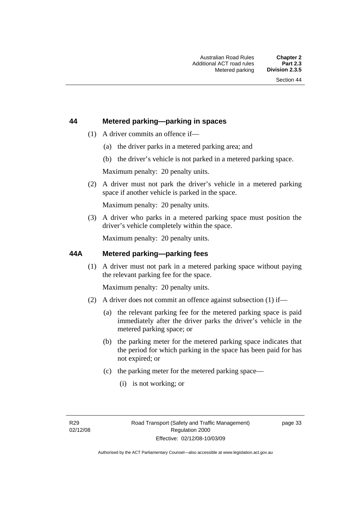# **44 Metered parking—parking in spaces**

- (1) A driver commits an offence if—
	- (a) the driver parks in a metered parking area; and
	- (b) the driver's vehicle is not parked in a metered parking space.

Maximum penalty: 20 penalty units.

 (2) A driver must not park the driver's vehicle in a metered parking space if another vehicle is parked in the space.

Maximum penalty: 20 penalty units.

 (3) A driver who parks in a metered parking space must position the driver's vehicle completely within the space.

Maximum penalty: 20 penalty units.

### **44A Metered parking—parking fees**

 (1) A driver must not park in a metered parking space without paying the relevant parking fee for the space.

Maximum penalty: 20 penalty units.

- (2) A driver does not commit an offence against subsection (1) if—
	- (a) the relevant parking fee for the metered parking space is paid immediately after the driver parks the driver's vehicle in the metered parking space; or
	- (b) the parking meter for the metered parking space indicates that the period for which parking in the space has been paid for has not expired; or
	- (c) the parking meter for the metered parking space—
		- (i) is not working; or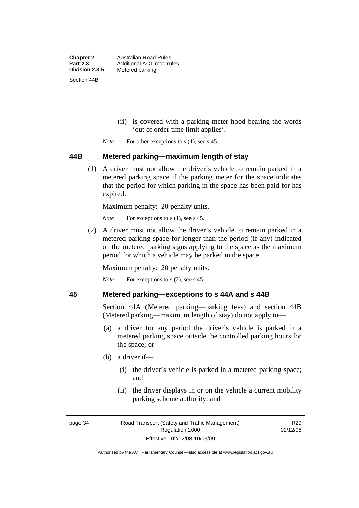**Chapter 2** Australian Road Rules<br>**Part 2.3** Additional ACT road ru **Part 2.3 Additional ACT road rules**<br>**Division 2.3.5** Metered parking **Metered parking** Section 44B

- (ii) is covered with a parking meter hood bearing the words 'out of order time limit applies'.
- *Note* For other exceptions to s (1), see s 45.

### **44B Metered parking—maximum length of stay**

 (1) A driver must not allow the driver's vehicle to remain parked in a metered parking space if the parking meter for the space indicates that the period for which parking in the space has been paid for has expired.

Maximum penalty: 20 penalty units.

*Note* For exceptions to s (1), see s 45.

 (2) A driver must not allow the driver's vehicle to remain parked in a metered parking space for longer than the period (if any) indicated on the metered parking signs applying to the space as the maximum period for which a vehicle may be parked in the space.

Maximum penalty: 20 penalty units.

*Note* For exceptions to s (2), see s 45.

# **45 Metered parking—exceptions to s 44A and s 44B**

Section 44A (Metered parking—parking fees) and section 44B (Metered parking—maximum length of stay) do not apply to—

- (a) a driver for any period the driver's vehicle is parked in a metered parking space outside the controlled parking hours for the space; or
- (b) a driver if—
	- (i) the driver's vehicle is parked in a metered parking space; and
	- (ii) the driver displays in or on the vehicle a current mobility parking scheme authority; and

page 34 Road Transport (Safety and Traffic Management) Regulation 2000 Effective: 02/12/08-10/03/09

R29 02/12/08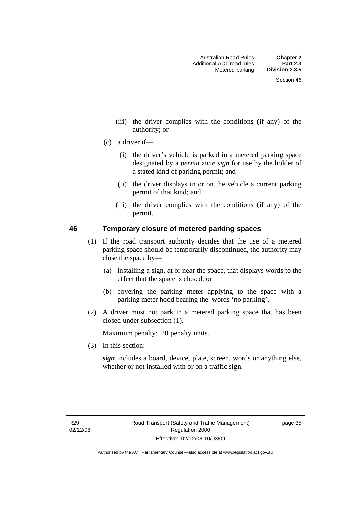- (iii) the driver complies with the conditions (if any) of the authority; or
- (c) a driver if—
	- (i) the driver's vehicle is parked in a metered parking space designated by a *permit zone sign* for use by the holder of a stated kind of parking permit; and
	- (ii) the driver displays in or on the vehicle a current parking permit of that kind; and
	- (iii) the driver complies with the conditions (if any) of the permit.

### **46 Temporary closure of metered parking spaces**

- (1) If the road transport authority decides that the use of a metered parking space should be temporarily discontinued, the authority may close the space by—
	- (a) installing a sign, at or near the space, that displays words to the effect that the space is closed; or
	- (b) covering the parking meter applying to the space with a parking meter hood bearing the words 'no parking'.
- (2) A driver must not park in a metered parking space that has been closed under subsection (1).

Maximum penalty: 20 penalty units.

(3) In this section:

*sign* includes a board, device, plate, screen, words or anything else, whether or not installed with or on a traffic sign.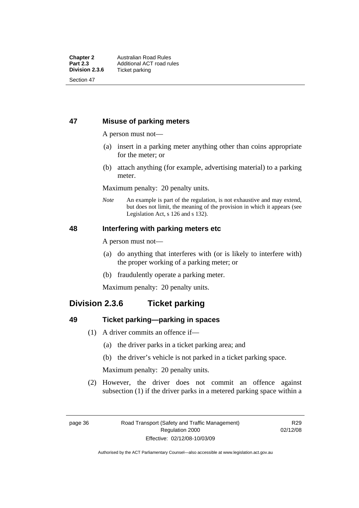# **47 Misuse of parking meters**

A person must not—

- (a) insert in a parking meter anything other than coins appropriate for the meter; or
- (b) attach anything (for example, advertising material) to a parking meter.

Maximum penalty: 20 penalty units.

*Note* An example is part of the regulation, is not exhaustive and may extend, but does not limit, the meaning of the provision in which it appears (see Legislation Act, s 126 and s 132).

# **48 Interfering with parking meters etc**

A person must not—

- (a) do anything that interferes with (or is likely to interfere with) the proper working of a parking meter; or
- (b) fraudulently operate a parking meter.

Maximum penalty: 20 penalty units.

# **Division 2.3.6 Ticket parking**

# **49 Ticket parking—parking in spaces**

- (1) A driver commits an offence if—
	- (a) the driver parks in a ticket parking area; and
	- (b) the driver's vehicle is not parked in a ticket parking space.

Maximum penalty: 20 penalty units.

 (2) However, the driver does not commit an offence against subsection (1) if the driver parks in a metered parking space within a

Authorised by the ACT Parliamentary Counsel—also accessible at www.legislation.act.gov.au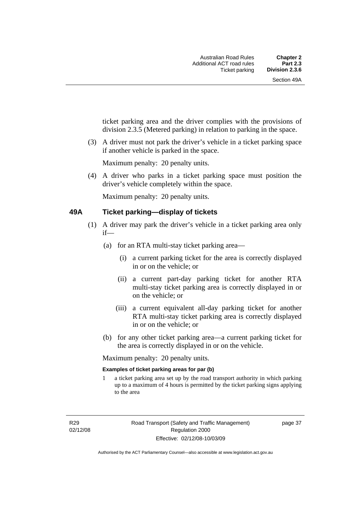ticket parking area and the driver complies with the provisions of division 2.3.5 (Metered parking) in relation to parking in the space.

 (3) A driver must not park the driver's vehicle in a ticket parking space if another vehicle is parked in the space.

Maximum penalty: 20 penalty units.

 (4) A driver who parks in a ticket parking space must position the driver's vehicle completely within the space.

Maximum penalty: 20 penalty units.

### **49A Ticket parking—display of tickets**

- (1) A driver may park the driver's vehicle in a ticket parking area only if—
	- (a) for an RTA multi-stay ticket parking area—
		- (i) a current parking ticket for the area is correctly displayed in or on the vehicle; or
		- (ii) a current part-day parking ticket for another RTA multi-stay ticket parking area is correctly displayed in or on the vehicle; or
		- (iii) a current equivalent all-day parking ticket for another RTA multi-stay ticket parking area is correctly displayed in or on the vehicle; or
	- (b) for any other ticket parking area—a current parking ticket for the area is correctly displayed in or on the vehicle.

Maximum penalty: 20 penalty units.

### **Examples of ticket parking areas for par (b)**

1 a ticket parking area set up by the road transport authority in which parking up to a maximum of 4 hours is permitted by the ticket parking signs applying to the area

R29 02/12/08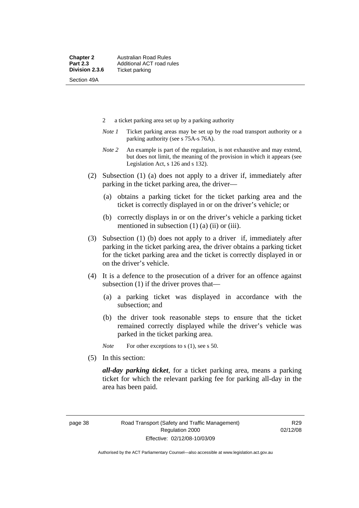- 2 a ticket parking area set up by a parking authority
- *Note 1* Ticket parking areas may be set up by the road transport authority or a parking authority (see s 75A-s 76A).
- *Note 2* An example is part of the regulation, is not exhaustive and may extend, but does not limit, the meaning of the provision in which it appears (see Legislation Act, s 126 and s 132).
- (2) Subsection (1) (a) does not apply to a driver if, immediately after parking in the ticket parking area, the driver—
	- (a) obtains a parking ticket for the ticket parking area and the ticket is correctly displayed in or on the driver's vehicle; or
	- (b) correctly displays in or on the driver's vehicle a parking ticket mentioned in subsection  $(1)$   $(a)$   $(ii)$  or  $(iii)$ .
- (3) Subsection (1) (b) does not apply to a driver if, immediately after parking in the ticket parking area, the driver obtains a parking ticket for the ticket parking area and the ticket is correctly displayed in or on the driver's vehicle.
- (4) It is a defence to the prosecution of a driver for an offence against subsection (1) if the driver proves that—
	- (a) a parking ticket was displayed in accordance with the subsection; and
	- (b) the driver took reasonable steps to ensure that the ticket remained correctly displayed while the driver's vehicle was parked in the ticket parking area.

*Note* For other exceptions to s (1), see s 50.

(5) In this section:

*all-day parking ticket*, for a ticket parking area, means a parking ticket for which the relevant parking fee for parking all-day in the area has been paid.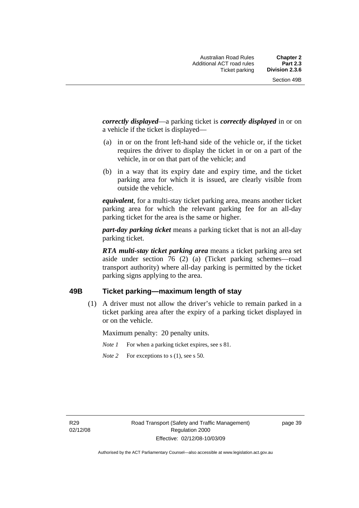*correctly displayed*—a parking ticket is *correctly displayed* in or on a vehicle if the ticket is displayed—

- (a) in or on the front left-hand side of the vehicle or, if the ticket requires the driver to display the ticket in or on a part of the vehicle, in or on that part of the vehicle; and
- (b) in a way that its expiry date and expiry time, and the ticket parking area for which it is issued, are clearly visible from outside the vehicle.

*equivalent*, for a multi-stay ticket parking area, means another ticket parking area for which the relevant parking fee for an all-day parking ticket for the area is the same or higher.

*part-day parking ticket* means a parking ticket that is not an all-day parking ticket.

*RTA multi-stay ticket parking area* means a ticket parking area set aside under section 76 (2) (a) (Ticket parking schemes—road transport authority) where all-day parking is permitted by the ticket parking signs applying to the area.

# **49B Ticket parking—maximum length of stay**

 (1) A driver must not allow the driver's vehicle to remain parked in a ticket parking area after the expiry of a parking ticket displayed in or on the vehicle.

Maximum penalty: 20 penalty units.

- *Note 1* For when a parking ticket expires, see s 81.
- *Note* 2 For exceptions to s (1), see s 50.

R29 02/12/08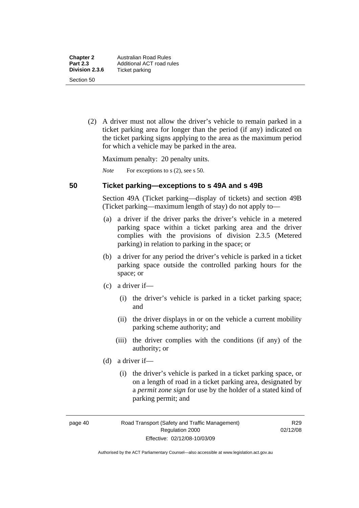(2) A driver must not allow the driver's vehicle to remain parked in a ticket parking area for longer than the period (if any) indicated on the ticket parking signs applying to the area as the maximum period for which a vehicle may be parked in the area.

Maximum penalty: 20 penalty units.

*Note* For exceptions to s (2), see s 50.

# **50 Ticket parking—exceptions to s 49A and s 49B**

Section 49A (Ticket parking—display of tickets) and section 49B (Ticket parking—maximum length of stay) do not apply to—

- (a) a driver if the driver parks the driver's vehicle in a metered parking space within a ticket parking area and the driver complies with the provisions of division 2.3.5 (Metered parking) in relation to parking in the space; or
- (b) a driver for any period the driver's vehicle is parked in a ticket parking space outside the controlled parking hours for the space; or
- (c) a driver if—
	- (i) the driver's vehicle is parked in a ticket parking space; and
	- (ii) the driver displays in or on the vehicle a current mobility parking scheme authority; and
	- (iii) the driver complies with the conditions (if any) of the authority; or
- (d) a driver if—
	- (i) the driver's vehicle is parked in a ticket parking space, or on a length of road in a ticket parking area, designated by a *permit zone sign* for use by the holder of a stated kind of parking permit; and

page 40 Road Transport (Safety and Traffic Management) Regulation 2000 Effective: 02/12/08-10/03/09

R29 02/12/08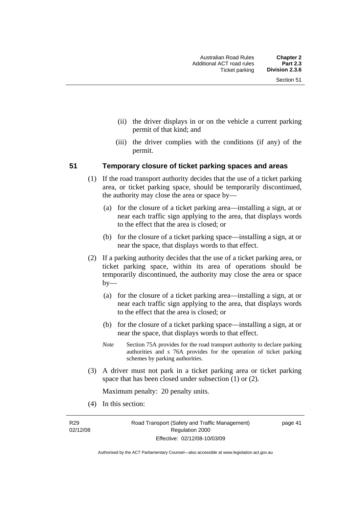- (ii) the driver displays in or on the vehicle a current parking permit of that kind; and
- (iii) the driver complies with the conditions (if any) of the permit.

### **51 Temporary closure of ticket parking spaces and areas**

- (1) If the road transport authority decides that the use of a ticket parking area, or ticket parking space, should be temporarily discontinued, the authority may close the area or space by—
	- (a) for the closure of a ticket parking area—installing a sign, at or near each traffic sign applying to the area, that displays words to the effect that the area is closed; or
	- (b) for the closure of a ticket parking space—installing a sign, at or near the space, that displays words to that effect.
- (2) If a parking authority decides that the use of a ticket parking area, or ticket parking space, within its area of operations should be temporarily discontinued, the authority may close the area or space by—
	- (a) for the closure of a ticket parking area—installing a sign, at or near each traffic sign applying to the area, that displays words to the effect that the area is closed; or
	- (b) for the closure of a ticket parking space—installing a sign, at or near the space, that displays words to that effect.
	- *Note* Section 75A provides for the road transport authority to declare parking authorities and s 76A provides for the operation of ticket parking schemes by parking authorities.
- (3) A driver must not park in a ticket parking area or ticket parking space that has been closed under subsection (1) or (2).

Maximum penalty: 20 penalty units.

(4) In this section:

R29 02/12/08 page 41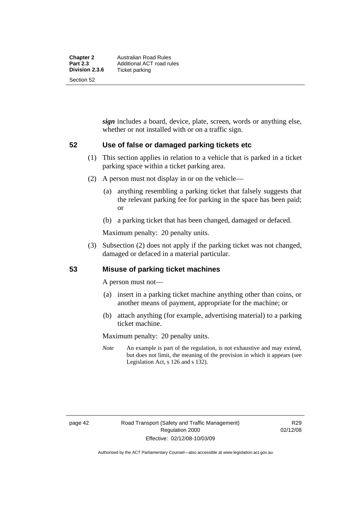*sign* includes a board, device, plate, screen, words or anything else, whether or not installed with or on a traffic sign.

# **52 Use of false or damaged parking tickets etc**

- (1) This section applies in relation to a vehicle that is parked in a ticket parking space within a ticket parking area.
- (2) A person must not display in or on the vehicle—
	- (a) anything resembling a parking ticket that falsely suggests that the relevant parking fee for parking in the space has been paid; or
	- (b) a parking ticket that has been changed, damaged or defaced.

Maximum penalty: 20 penalty units.

 (3) Subsection (2) does not apply if the parking ticket was not changed, damaged or defaced in a material particular.

# **53 Misuse of parking ticket machines**

A person must not—

- (a) insert in a parking ticket machine anything other than coins, or another means of payment, appropriate for the machine; or
- (b) attach anything (for example, advertising material) to a parking ticket machine.

Maximum penalty: 20 penalty units.

*Note* An example is part of the regulation, is not exhaustive and may extend, but does not limit, the meaning of the provision in which it appears (see Legislation Act, s 126 and s 132).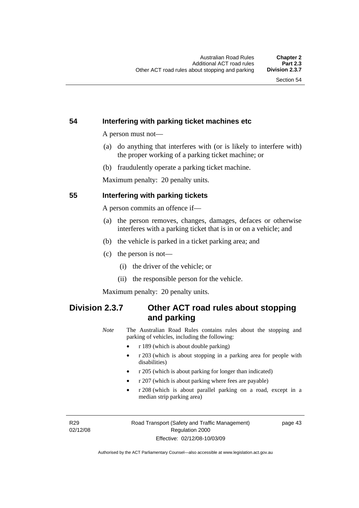# **54 Interfering with parking ticket machines etc**

A person must not—

- (a) do anything that interferes with (or is likely to interfere with) the proper working of a parking ticket machine; or
- (b) fraudulently operate a parking ticket machine.

Maximum penalty: 20 penalty units.

# **55 Interfering with parking tickets**

A person commits an offence if—

- (a) the person removes, changes, damages, defaces or otherwise interferes with a parking ticket that is in or on a vehicle; and
- (b) the vehicle is parked in a ticket parking area; and
- (c) the person is not—
	- (i) the driver of the vehicle; or
	- (ii) the responsible person for the vehicle.

Maximum penalty: 20 penalty units.

# **Division 2.3.7 Other ACT road rules about stopping and parking**

*Note* The Australian Road Rules contains rules about the stopping and parking of vehicles, including the following:

- r 189 (which is about double parking)
- r 203 (which is about stopping in a parking area for people with disabilities)
- r 205 (which is about parking for longer than indicated)
- r 207 (which is about parking where fees are payable)
- r 208 (which is about parallel parking on a road, except in a median strip parking area)

R29 02/12/08 page 43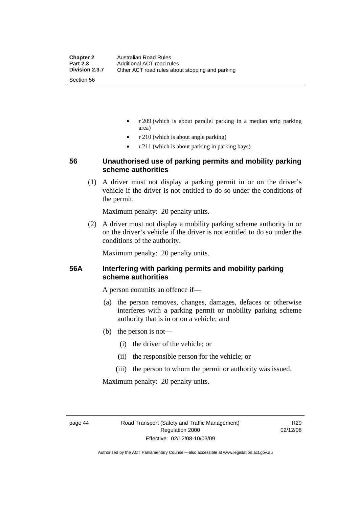- r 209 (which is about parallel parking in a median strip parking area)
- r 210 (which is about angle parking)
- r 211 (which is about parking in parking bays).

# **56 Unauthorised use of parking permits and mobility parking scheme authorities**

 (1) A driver must not display a parking permit in or on the driver's vehicle if the driver is not entitled to do so under the conditions of the permit.

Maximum penalty: 20 penalty units.

 (2) A driver must not display a mobility parking scheme authority in or on the driver's vehicle if the driver is not entitled to do so under the conditions of the authority.

Maximum penalty: 20 penalty units.

# **56A Interfering with parking permits and mobility parking scheme authorities**

A person commits an offence if—

- (a) the person removes, changes, damages, defaces or otherwise interferes with a parking permit or mobility parking scheme authority that is in or on a vehicle; and
- (b) the person is not—
	- (i) the driver of the vehicle; or
	- (ii) the responsible person for the vehicle; or
	- (iii) the person to whom the permit or authority was issued.

Maximum penalty: 20 penalty units.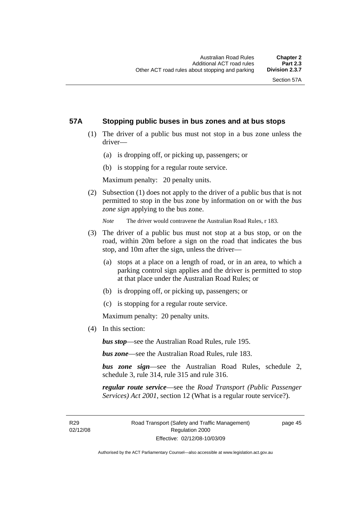# **57A Stopping public buses in bus zones and at bus stops**

- (1) The driver of a public bus must not stop in a bus zone unless the driver—
	- (a) is dropping off, or picking up, passengers; or
	- (b) is stopping for a regular route service.

Maximum penalty: 20 penalty units.

 (2) Subsection (1) does not apply to the driver of a public bus that is not permitted to stop in the bus zone by information on or with the *bus zone sign* applying to the bus zone.

*Note* The driver would contravene the Australian Road Rules, r 183.

- (3) The driver of a public bus must not stop at a bus stop, or on the road, within 20m before a sign on the road that indicates the bus stop, and 10m after the sign, unless the driver—
	- (a) stops at a place on a length of road, or in an area, to which a parking control sign applies and the driver is permitted to stop at that place under the Australian Road Rules; or
	- (b) is dropping off, or picking up, passengers; or
	- (c) is stopping for a regular route service.

Maximum penalty: 20 penalty units.

(4) In this section:

*bus stop*—see the Australian Road Rules, rule 195.

*bus zone*—see the Australian Road Rules, rule 183.

*bus zone sign*—see the Australian Road Rules, schedule 2, schedule 3, rule 314, rule 315 and rule 316.

*regular route service*—see the *Road Transport (Public Passenger Services) Act 2001*, section 12 (What is a regular route service?).

R29 02/12/08 page 45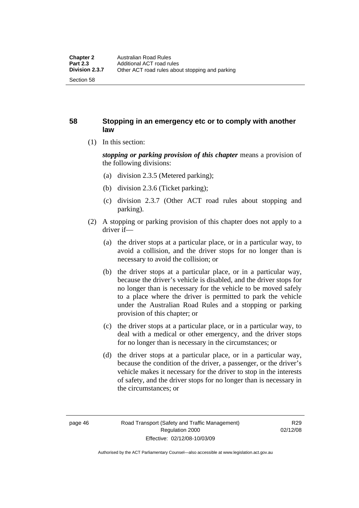# **58 Stopping in an emergency etc or to comply with another law**

(1) In this section:

*stopping or parking provision of this chapter* means a provision of the following divisions:

- (a) division 2.3.5 (Metered parking);
- (b) division 2.3.6 (Ticket parking);
- (c) division 2.3.7 (Other ACT road rules about stopping and parking).
- (2) A stopping or parking provision of this chapter does not apply to a driver if—
	- (a) the driver stops at a particular place, or in a particular way, to avoid a collision, and the driver stops for no longer than is necessary to avoid the collision; or
	- (b) the driver stops at a particular place, or in a particular way, because the driver's vehicle is disabled, and the driver stops for no longer than is necessary for the vehicle to be moved safely to a place where the driver is permitted to park the vehicle under the Australian Road Rules and a stopping or parking provision of this chapter; or
	- (c) the driver stops at a particular place, or in a particular way, to deal with a medical or other emergency, and the driver stops for no longer than is necessary in the circumstances; or
	- (d) the driver stops at a particular place, or in a particular way, because the condition of the driver, a passenger, or the driver's vehicle makes it necessary for the driver to stop in the interests of safety, and the driver stops for no longer than is necessary in the circumstances; or

Authorised by the ACT Parliamentary Counsel—also accessible at www.legislation.act.gov.au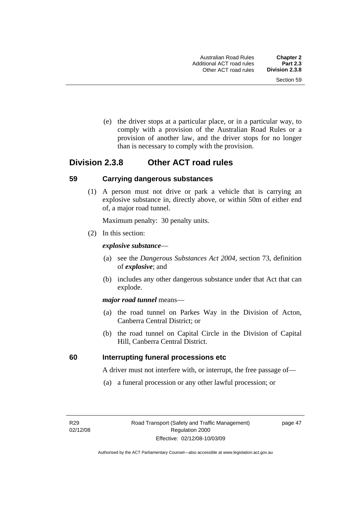(e) the driver stops at a particular place, or in a particular way, to comply with a provision of the Australian Road Rules or a provision of another law, and the driver stops for no longer than is necessary to comply with the provision.

# **Division 2.3.8 Other ACT road rules**

### **59 Carrying dangerous substances**

 (1) A person must not drive or park a vehicle that is carrying an explosive substance in, directly above, or within 50m of either end of, a major road tunnel.

Maximum penalty: 30 penalty units.

(2) In this section:

### *explosive substance*—

- (a) see the *Dangerous Substances Act 2004*, section 73, definition of *explosive*; and
- (b) includes any other dangerous substance under that Act that can explode.

### *major road tunnel* means—

- (a) the road tunnel on Parkes Way in the Division of Acton, Canberra Central District; or
- (b) the road tunnel on Capital Circle in the Division of Capital Hill, Canberra Central District.

# **60 Interrupting funeral processions etc**

A driver must not interfere with, or interrupt, the free passage of—

(a) a funeral procession or any other lawful procession; or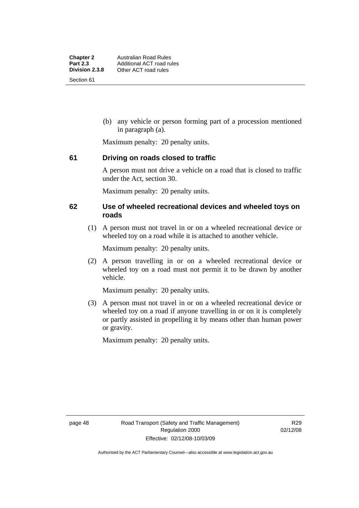(b) any vehicle or person forming part of a procession mentioned in paragraph (a).

Maximum penalty: 20 penalty units.

# **61 Driving on roads closed to traffic**

A person must not drive a vehicle on a road that is closed to traffic under the Act, section 30.

Maximum penalty: 20 penalty units.

# **62 Use of wheeled recreational devices and wheeled toys on roads**

 (1) A person must not travel in or on a wheeled recreational device or wheeled toy on a road while it is attached to another vehicle.

Maximum penalty: 20 penalty units.

 (2) A person travelling in or on a wheeled recreational device or wheeled toy on a road must not permit it to be drawn by another vehicle.

Maximum penalty: 20 penalty units.

 (3) A person must not travel in or on a wheeled recreational device or wheeled toy on a road if anyone travelling in or on it is completely or partly assisted in propelling it by means other than human power or gravity.

Maximum penalty: 20 penalty units.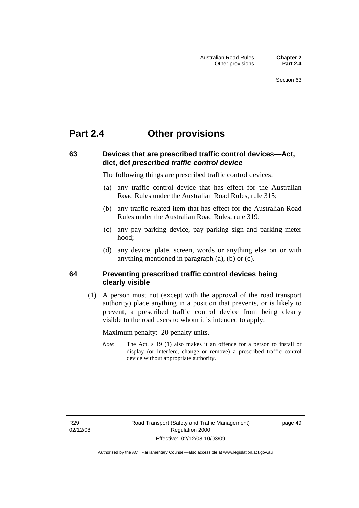# **Part 2.4 Other provisions**

# **63 Devices that are prescribed traffic control devices—Act, dict, def** *prescribed traffic control device*

The following things are prescribed traffic control devices:

- (a) any traffic control device that has effect for the Australian Road Rules under the Australian Road Rules, rule 315;
- (b) any traffic-related item that has effect for the Australian Road Rules under the Australian Road Rules, rule 319;
- (c) any pay parking device, pay parking sign and parking meter hood;
- (d) any device, plate, screen, words or anything else on or with anything mentioned in paragraph (a), (b) or (c).

# **64 Preventing prescribed traffic control devices being clearly visible**

 (1) A person must not (except with the approval of the road transport authority) place anything in a position that prevents, or is likely to prevent, a prescribed traffic control device from being clearly visible to the road users to whom it is intended to apply.

Maximum penalty: 20 penalty units.

*Note* The Act, s 19 (1) also makes it an offence for a person to install or display (or interfere, change or remove) a prescribed traffic control device without appropriate authority.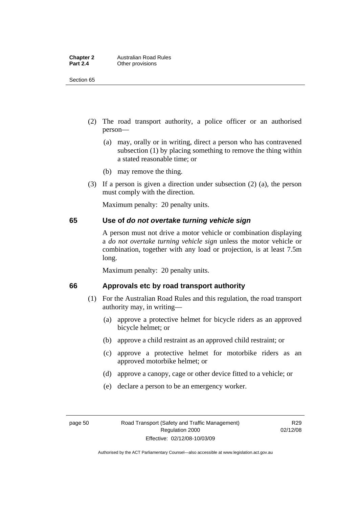| <b>Chapter 2</b> | <b>Australian Road Rules</b> |
|------------------|------------------------------|
| <b>Part 2.4</b>  | Other provisions             |

Section 65

- (2) The road transport authority, a police officer or an authorised person—
	- (a) may, orally or in writing, direct a person who has contravened subsection (1) by placing something to remove the thing within a stated reasonable time; or
	- (b) may remove the thing.
- (3) If a person is given a direction under subsection (2) (a), the person must comply with the direction.

Maximum penalty: 20 penalty units.

# **65 Use of** *do not overtake turning vehicle sign*

A person must not drive a motor vehicle or combination displaying a *do not overtake turning vehicle sign* unless the motor vehicle or combination, together with any load or projection, is at least 7.5m long.

Maximum penalty: 20 penalty units.

# **66 Approvals etc by road transport authority**

- (1) For the Australian Road Rules and this regulation, the road transport authority may, in writing—
	- (a) approve a protective helmet for bicycle riders as an approved bicycle helmet; or
	- (b) approve a child restraint as an approved child restraint; or
	- (c) approve a protective helmet for motorbike riders as an approved motorbike helmet; or
	- (d) approve a canopy, cage or other device fitted to a vehicle; or
	- (e) declare a person to be an emergency worker.

Authorised by the ACT Parliamentary Counsel—also accessible at www.legislation.act.gov.au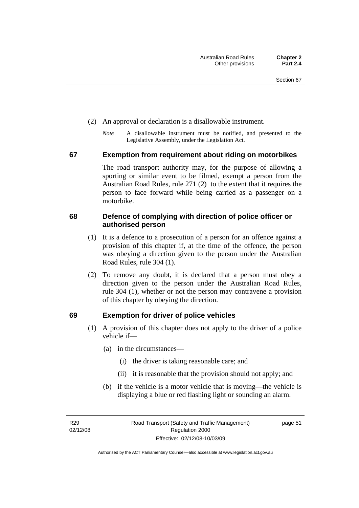- (2) An approval or declaration is a disallowable instrument.
	- *Note* A disallowable instrument must be notified, and presented to the Legislative Assembly, under the Legislation Act.

### **67 Exemption from requirement about riding on motorbikes**

The road transport authority may, for the purpose of allowing a sporting or similar event to be filmed, exempt a person from the Australian Road Rules, rule 271 (2) to the extent that it requires the person to face forward while being carried as a passenger on a motorbike.

# **68 Defence of complying with direction of police officer or authorised person**

- (1) It is a defence to a prosecution of a person for an offence against a provision of this chapter if, at the time of the offence, the person was obeying a direction given to the person under the Australian Road Rules, rule 304 (1).
- (2) To remove any doubt, it is declared that a person must obey a direction given to the person under the Australian Road Rules, rule 304 (1), whether or not the person may contravene a provision of this chapter by obeying the direction.

# **69 Exemption for driver of police vehicles**

- (1) A provision of this chapter does not apply to the driver of a police vehicle if—
	- (a) in the circumstances—
		- (i) the driver is taking reasonable care; and
		- (ii) it is reasonable that the provision should not apply; and
	- (b) if the vehicle is a motor vehicle that is moving—the vehicle is displaying a blue or red flashing light or sounding an alarm.

R29 02/12/08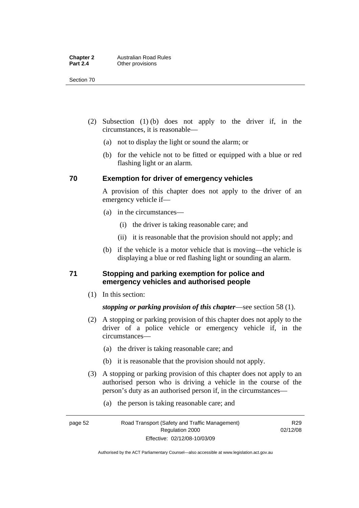Section 70

- (2) Subsection (1) (b) does not apply to the driver if, in the circumstances, it is reasonable—
	- (a) not to display the light or sound the alarm; or
	- (b) for the vehicle not to be fitted or equipped with a blue or red flashing light or an alarm.

# **70 Exemption for driver of emergency vehicles**

A provision of this chapter does not apply to the driver of an emergency vehicle if—

- (a) in the circumstances—
	- (i) the driver is taking reasonable care; and
	- (ii) it is reasonable that the provision should not apply; and
- (b) if the vehicle is a motor vehicle that is moving—the vehicle is displaying a blue or red flashing light or sounding an alarm.

# **71 Stopping and parking exemption for police and emergency vehicles and authorised people**

(1) In this section:

# *stopping or parking provision of this chapter*—see section 58 (1).

- (2) A stopping or parking provision of this chapter does not apply to the driver of a police vehicle or emergency vehicle if, in the circumstances—
	- (a) the driver is taking reasonable care; and
	- (b) it is reasonable that the provision should not apply.
- (3) A stopping or parking provision of this chapter does not apply to an authorised person who is driving a vehicle in the course of the person's duty as an authorised person if, in the circumstances—
	- (a) the person is taking reasonable care; and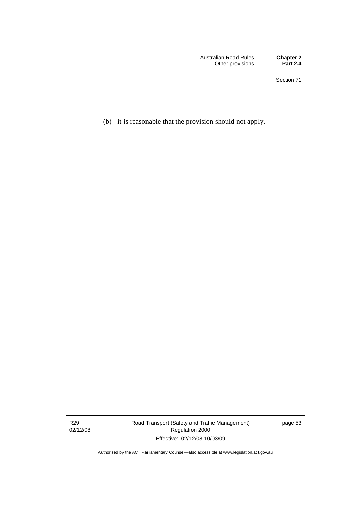(b) it is reasonable that the provision should not apply.

R29 02/12/08 Road Transport (Safety and Traffic Management) Regulation 2000 Effective: 02/12/08-10/03/09

page 53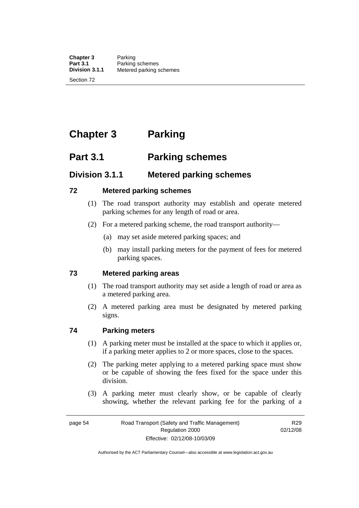**Chapter 3** Parking<br>**Part 3.1** Parking **Part 3.1 Parking schemes**<br>**Division 3.1.1** Metered parking s **Division 3.1.1** Metered parking schemes

Section 72

# **Chapter 3 Parking**

# **Part 3.1 Parking schemes**

# **Division 3.1.1 Metered parking schemes**

# **72 Metered parking schemes**

- (1) The road transport authority may establish and operate metered parking schemes for any length of road or area.
- (2) For a metered parking scheme, the road transport authority—
	- (a) may set aside metered parking spaces; and
	- (b) may install parking meters for the payment of fees for metered parking spaces.

# **73 Metered parking areas**

- (1) The road transport authority may set aside a length of road or area as a metered parking area.
- (2) A metered parking area must be designated by metered parking signs.

# **74 Parking meters**

- (1) A parking meter must be installed at the space to which it applies or, if a parking meter applies to 2 or more spaces, close to the spaces.
- (2) The parking meter applying to a metered parking space must show or be capable of showing the fees fixed for the space under this division.
- (3) A parking meter must clearly show, or be capable of clearly showing, whether the relevant parking fee for the parking of a

R29 02/12/08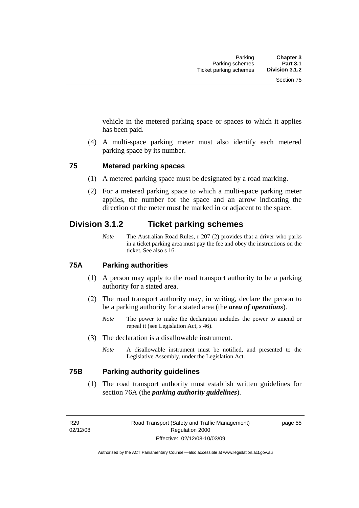vehicle in the metered parking space or spaces to which it applies has been paid.

 (4) A multi-space parking meter must also identify each metered parking space by its number.

# **75 Metered parking spaces**

- (1) A metered parking space must be designated by a road marking.
- (2) For a metered parking space to which a multi-space parking meter applies, the number for the space and an arrow indicating the direction of the meter must be marked in or adjacent to the space.

# **Division 3.1.2 Ticket parking schemes**

*Note* The Australian Road Rules, r 207 (2) provides that a driver who parks in a ticket parking area must pay the fee and obey the instructions on the ticket. See also s 16.

# **75A Parking authorities**

- (1) A person may apply to the road transport authority to be a parking authority for a stated area.
- (2) The road transport authority may, in writing, declare the person to be a parking authority for a stated area (the *area of operations*).
	- *Note* The power to make the declaration includes the power to amend or repeal it (see Legislation Act, s 46).
- (3) The declaration is a disallowable instrument.
	- *Note* A disallowable instrument must be notified, and presented to the Legislative Assembly, under the Legislation Act.

# **75B Parking authority guidelines**

 (1) The road transport authority must establish written guidelines for section 76A (the *parking authority guidelines*).

R29 02/12/08 page 55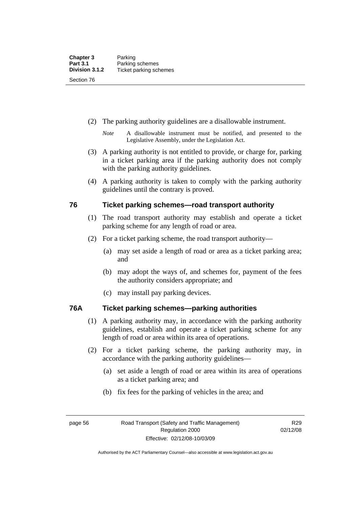- (2) The parking authority guidelines are a disallowable instrument.
	- *Note* A disallowable instrument must be notified, and presented to the Legislative Assembly, under the Legislation Act.
- (3) A parking authority is not entitled to provide, or charge for, parking in a ticket parking area if the parking authority does not comply with the parking authority guidelines.
- (4) A parking authority is taken to comply with the parking authority guidelines until the contrary is proved.

# **76 Ticket parking schemes—road transport authority**

- (1) The road transport authority may establish and operate a ticket parking scheme for any length of road or area.
- (2) For a ticket parking scheme, the road transport authority—
	- (a) may set aside a length of road or area as a ticket parking area; and
	- (b) may adopt the ways of, and schemes for, payment of the fees the authority considers appropriate; and
	- (c) may install pay parking devices.

# **76A Ticket parking schemes—parking authorities**

- (1) A parking authority may, in accordance with the parking authority guidelines, establish and operate a ticket parking scheme for any length of road or area within its area of operations.
- (2) For a ticket parking scheme, the parking authority may, in accordance with the parking authority guidelines—
	- (a) set aside a length of road or area within its area of operations as a ticket parking area; and
	- (b) fix fees for the parking of vehicles in the area; and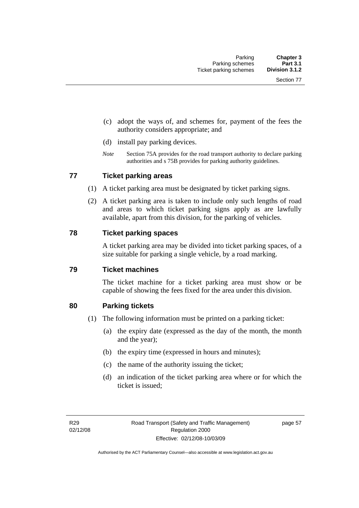- (c) adopt the ways of, and schemes for, payment of the fees the authority considers appropriate; and
- (d) install pay parking devices.
- *Note* Section 75A provides for the road transport authority to declare parking authorities and s 75B provides for parking authority guidelines.

# **77 Ticket parking areas**

- (1) A ticket parking area must be designated by ticket parking signs.
- (2) A ticket parking area is taken to include only such lengths of road and areas to which ticket parking signs apply as are lawfully available, apart from this division, for the parking of vehicles.

### **78 Ticket parking spaces**

A ticket parking area may be divided into ticket parking spaces, of a size suitable for parking a single vehicle, by a road marking.

# **79 Ticket machines**

The ticket machine for a ticket parking area must show or be capable of showing the fees fixed for the area under this division.

# **80 Parking tickets**

- (1) The following information must be printed on a parking ticket:
	- (a) the expiry date (expressed as the day of the month, the month and the year);
	- (b) the expiry time (expressed in hours and minutes);
	- (c) the name of the authority issuing the ticket;
	- (d) an indication of the ticket parking area where or for which the ticket is issued;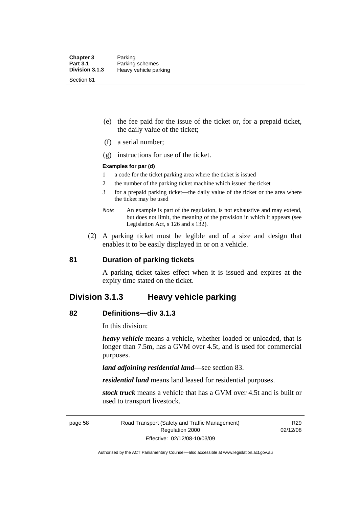- (e) the fee paid for the issue of the ticket or, for a prepaid ticket, the daily value of the ticket;
- (f) a serial number;
- (g) instructions for use of the ticket.

### **Examples for par (d)**

- 1 a code for the ticket parking area where the ticket is issued
- 2 the number of the parking ticket machine which issued the ticket
- 3 for a prepaid parking ticket—the daily value of the ticket or the area where the ticket may be used
- *Note* An example is part of the regulation, is not exhaustive and may extend, but does not limit, the meaning of the provision in which it appears (see Legislation Act, s 126 and s 132).
- (2) A parking ticket must be legible and of a size and design that enables it to be easily displayed in or on a vehicle.

### **81 Duration of parking tickets**

A parking ticket takes effect when it is issued and expires at the expiry time stated on the ticket.

# **Division 3.1.3 Heavy vehicle parking**

### **82 Definitions—div 3.1.3**

In this division:

*heavy vehicle* means a vehicle, whether loaded or unloaded, that is longer than 7.5m, has a GVM over 4.5t, and is used for commercial purposes.

*land adjoining residential land*—see section 83.

*residential land* means land leased for residential purposes.

*stock truck* means a vehicle that has a GVM over 4.5t and is built or used to transport livestock.

page 58 Road Transport (Safety and Traffic Management) Regulation 2000 Effective: 02/12/08-10/03/09

R29 02/12/08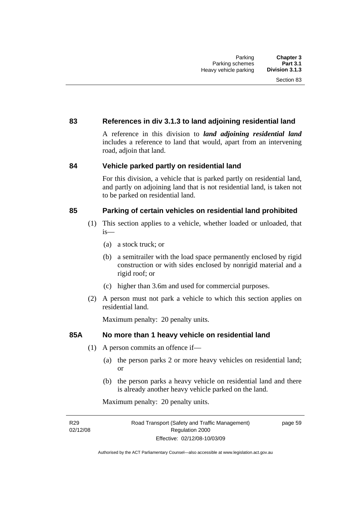# **83 References in div 3.1.3 to land adjoining residential land**

A reference in this division to *land adjoining residential land* includes a reference to land that would, apart from an intervening road, adjoin that land.

# **84 Vehicle parked partly on residential land**

For this division, a vehicle that is parked partly on residential land, and partly on adjoining land that is not residential land, is taken not to be parked on residential land.

# **85 Parking of certain vehicles on residential land prohibited**

- (1) This section applies to a vehicle, whether loaded or unloaded, that is—
	- (a) a stock truck; or
	- (b) a semitrailer with the load space permanently enclosed by rigid construction or with sides enclosed by nonrigid material and a rigid roof; or
	- (c) higher than 3.6m and used for commercial purposes.
- (2) A person must not park a vehicle to which this section applies on residential land.

Maximum penalty: 20 penalty units.

# **85A No more than 1 heavy vehicle on residential land**

- (1) A person commits an offence if—
	- (a) the person parks 2 or more heavy vehicles on residential land; or
	- (b) the person parks a heavy vehicle on residential land and there is already another heavy vehicle parked on the land.

Maximum penalty: 20 penalty units.

R29 02/12/08 page 59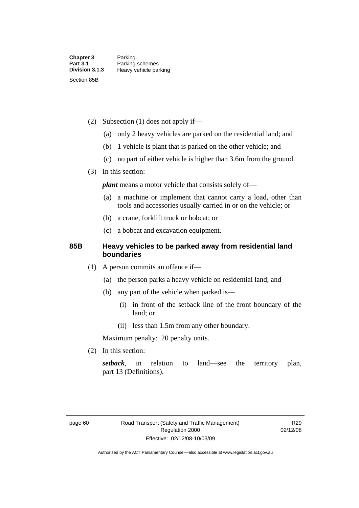- (2) Subsection (1) does not apply if—
	- (a) only 2 heavy vehicles are parked on the residential land; and
	- (b) 1 vehicle is plant that is parked on the other vehicle; and
	- (c) no part of either vehicle is higher than 3.6m from the ground.
- (3) In this section:

*plant* means a motor vehicle that consists solely of-

- (a) a machine or implement that cannot carry a load, other than tools and accessories usually carried in or on the vehicle; or
- (b) a crane, forklift truck or bobcat; or
- (c) a bobcat and excavation equipment.

# **85B Heavy vehicles to be parked away from residential land boundaries**

- (1) A person commits an offence if—
	- (a) the person parks a heavy vehicle on residential land; and
	- (b) any part of the vehicle when parked is—
		- (i) in front of the setback line of the front boundary of the land; or
		- (ii) less than 1.5m from any other boundary.

Maximum penalty: 20 penalty units.

(2) In this section:

*setback*, in relation to land—see the territory plan, part 13 (Definitions).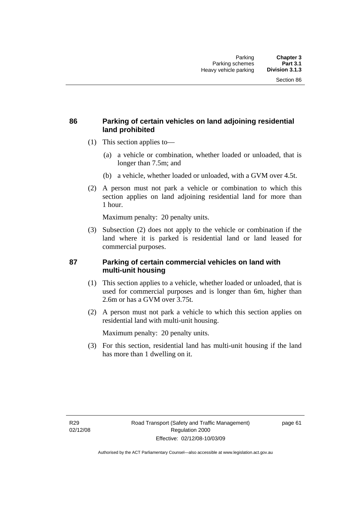# **86 Parking of certain vehicles on land adjoining residential land prohibited**

- (1) This section applies to—
	- (a) a vehicle or combination, whether loaded or unloaded, that is longer than 7.5m; and
	- (b) a vehicle, whether loaded or unloaded, with a GVM over 4.5t.
- (2) A person must not park a vehicle or combination to which this section applies on land adjoining residential land for more than 1 hour.

Maximum penalty: 20 penalty units.

 (3) Subsection (2) does not apply to the vehicle or combination if the land where it is parked is residential land or land leased for commercial purposes.

# **87 Parking of certain commercial vehicles on land with multi-unit housing**

- (1) This section applies to a vehicle, whether loaded or unloaded, that is used for commercial purposes and is longer than 6m, higher than 2.6m or has a GVM over 3.75t.
- (2) A person must not park a vehicle to which this section applies on residential land with multi-unit housing.

Maximum penalty: 20 penalty units.

 (3) For this section, residential land has multi-unit housing if the land has more than 1 dwelling on it.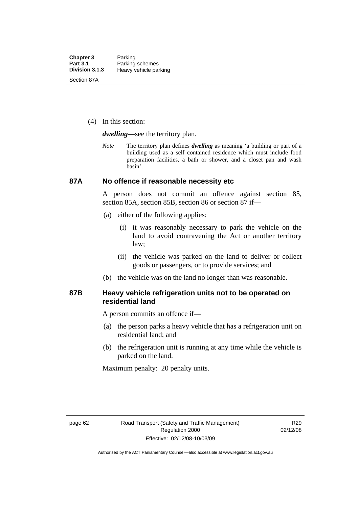(4) In this section:

*dwelling—*see the territory plan.

*Note* The territory plan defines *dwelling* as meaning 'a building or part of a building used as a self contained residence which must include food preparation facilities, a bath or shower, and a closet pan and wash basin'.

### **87A No offence if reasonable necessity etc**

A person does not commit an offence against section 85, section 85A, section 85B, section 86 or section 87 if—

- (a) either of the following applies:
	- (i) it was reasonably necessary to park the vehicle on the land to avoid contravening the Act or another territory law;
	- (ii) the vehicle was parked on the land to deliver or collect goods or passengers, or to provide services; and
- (b) the vehicle was on the land no longer than was reasonable.

### **87B Heavy vehicle refrigeration units not to be operated on residential land**

A person commits an offence if—

- (a) the person parks a heavy vehicle that has a refrigeration unit on residential land; and
- (b) the refrigeration unit is running at any time while the vehicle is parked on the land.

Maximum penalty: 20 penalty units.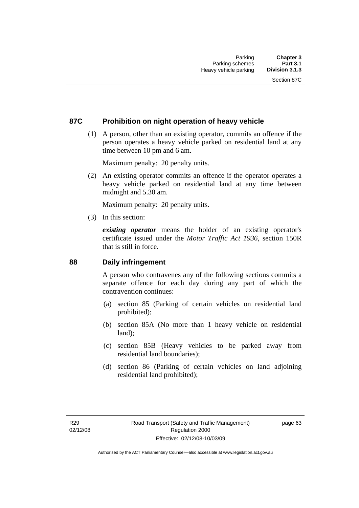### **87C Prohibition on night operation of heavy vehicle**

 (1) A person, other than an existing operator, commits an offence if the person operates a heavy vehicle parked on residential land at any time between 10 pm and 6 am.

Maximum penalty: 20 penalty units.

 (2) An existing operator commits an offence if the operator operates a heavy vehicle parked on residential land at any time between midnight and 5.30 am.

Maximum penalty: 20 penalty units.

(3) In this section:

*existing operator* means the holder of an existing operator's certificate issued under the *Motor Traffic Act 1936*, section 150R that is still in force.

### **88 Daily infringement**

A person who contravenes any of the following sections commits a separate offence for each day during any part of which the contravention continues:

- (a) section 85 (Parking of certain vehicles on residential land prohibited);
- (b) section 85A (No more than 1 heavy vehicle on residential land);
- (c) section 85B (Heavy vehicles to be parked away from residential land boundaries);
- (d) section 86 (Parking of certain vehicles on land adjoining residential land prohibited);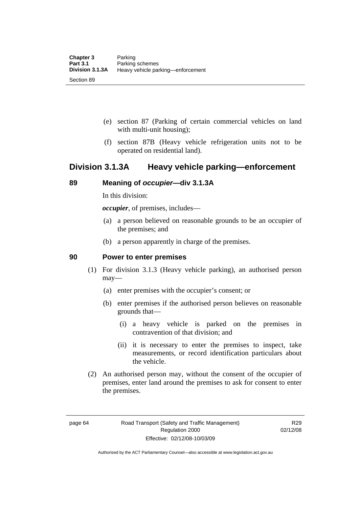- (e) section 87 (Parking of certain commercial vehicles on land with multi-unit housing);
- (f) section 87B (Heavy vehicle refrigeration units not to be operated on residential land).

## **Division 3.1.3A Heavy vehicle parking—enforcement**

### **89 Meaning of** *occupier***—div 3.1.3A**

In this division:

*occupier*, of premises, includes—

- (a) a person believed on reasonable grounds to be an occupier of the premises; and
- (b) a person apparently in charge of the premises.

### **90 Power to enter premises**

- (1) For division 3.1.3 (Heavy vehicle parking), an authorised person may—
	- (a) enter premises with the occupier's consent; or
	- (b) enter premises if the authorised person believes on reasonable grounds that—
		- (i) a heavy vehicle is parked on the premises in contravention of that division; and
		- (ii) it is necessary to enter the premises to inspect, take measurements, or record identification particulars about the vehicle.
- (2) An authorised person may, without the consent of the occupier of premises, enter land around the premises to ask for consent to enter the premises.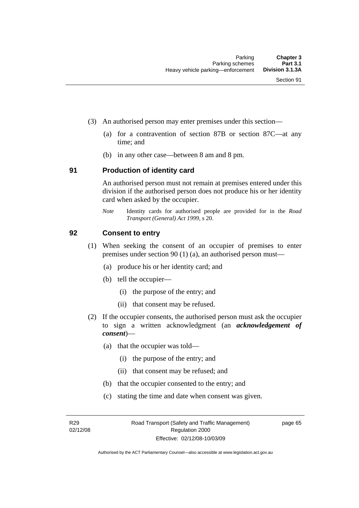- (3) An authorised person may enter premises under this section––
	- (a) for a contravention of section 87B or section 87C––at any time; and
	- (b) in any other case––between 8 am and 8 pm.

### **91 Production of identity card**

An authorised person must not remain at premises entered under this division if the authorised person does not produce his or her identity card when asked by the occupier.

*Note* Identity cards for authorised people are provided for in the *Road Transport (General) Act 1999*, s 20.

### **92 Consent to entry**

- (1) When seeking the consent of an occupier of premises to enter premises under section 90 (1) (a), an authorised person must—
	- (a) produce his or her identity card; and
	- (b) tell the occupier—
		- (i) the purpose of the entry; and
		- (ii) that consent may be refused.
- (2) If the occupier consents, the authorised person must ask the occupier to sign a written acknowledgment (an *acknowledgement of consent*)—
	- (a) that the occupier was told—
		- (i) the purpose of the entry; and
		- (ii) that consent may be refused; and
	- (b) that the occupier consented to the entry; and
	- (c) stating the time and date when consent was given.

R29 02/12/08 page 65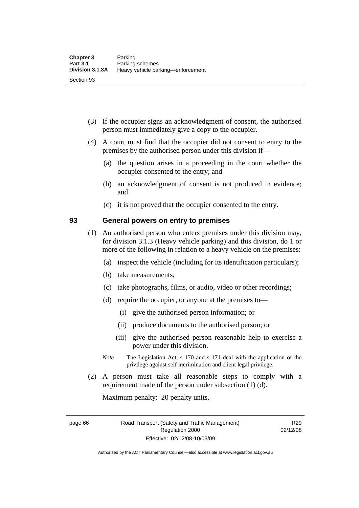- (3) If the occupier signs an acknowledgment of consent, the authorised person must immediately give a copy to the occupier.
- (4) A court must find that the occupier did not consent to entry to the premises by the authorised person under this division if—
	- (a) the question arises in a proceeding in the court whether the occupier consented to the entry; and
	- (b) an acknowledgment of consent is not produced in evidence; and
	- (c) it is not proved that the occupier consented to the entry.

### **93 General powers on entry to premises**

- (1) An authorised person who enters premises under this division may, for division 3.1.3 (Heavy vehicle parking) and this division, do 1 or more of the following in relation to a heavy vehicle on the premises:
	- (a) inspect the vehicle (including for its identification particulars);
	- (b) take measurements;
	- (c) take photographs, films, or audio, video or other recordings;
	- (d) require the occupier, or anyone at the premises to—
		- (i) give the authorised person information; or
		- (ii) produce documents to the authorised person; or
		- (iii) give the authorised person reasonable help to exercise a power under this division.
	- *Note* The Legislation Act, s 170 and s 171 deal with the application of the privilege against self incrimination and client legal privilege.
- (2) A person must take all reasonable steps to comply with a requirement made of the person under subsection (1) (d).

Maximum penalty: 20 penalty units.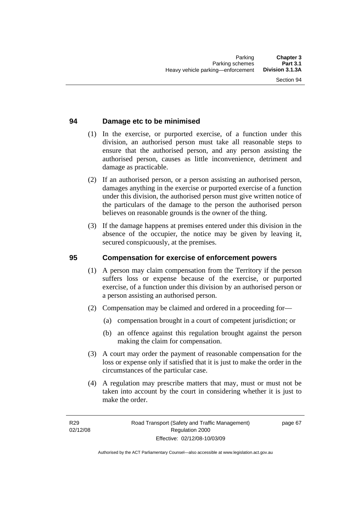### **94 Damage etc to be minimised**

- (1) In the exercise, or purported exercise, of a function under this division, an authorised person must take all reasonable steps to ensure that the authorised person, and any person assisting the authorised person, causes as little inconvenience, detriment and damage as practicable.
- (2) If an authorised person, or a person assisting an authorised person, damages anything in the exercise or purported exercise of a function under this division, the authorised person must give written notice of the particulars of the damage to the person the authorised person believes on reasonable grounds is the owner of the thing.
- (3) If the damage happens at premises entered under this division in the absence of the occupier, the notice may be given by leaving it, secured conspicuously, at the premises.

### **95 Compensation for exercise of enforcement powers**

- (1) A person may claim compensation from the Territory if the person suffers loss or expense because of the exercise, or purported exercise, of a function under this division by an authorised person or a person assisting an authorised person.
- (2) Compensation may be claimed and ordered in a proceeding for—
	- (a) compensation brought in a court of competent jurisdiction; or
	- (b) an offence against this regulation brought against the person making the claim for compensation.
- (3) A court may order the payment of reasonable compensation for the loss or expense only if satisfied that it is just to make the order in the circumstances of the particular case.
- (4) A regulation may prescribe matters that may, must or must not be taken into account by the court in considering whether it is just to make the order.

page 67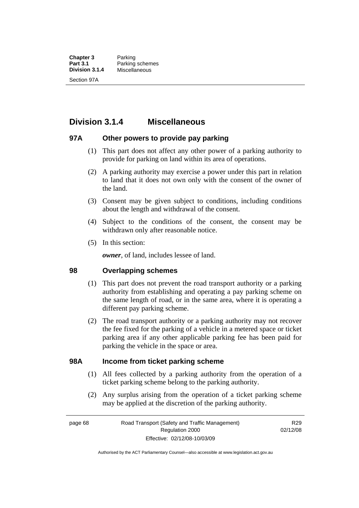**Chapter 3** Parking<br>**Part 3.1** Parking **Part 3.1** Parking schemes<br>**Division 3.1.4** Miscellaneous **Division 3.1.4** Miscellaneous Section 97A

## **Division 3.1.4 Miscellaneous**

### **97A Other powers to provide pay parking**

- (1) This part does not affect any other power of a parking authority to provide for parking on land within its area of operations.
- (2) A parking authority may exercise a power under this part in relation to land that it does not own only with the consent of the owner of the land.
- (3) Consent may be given subject to conditions, including conditions about the length and withdrawal of the consent.
- (4) Subject to the conditions of the consent, the consent may be withdrawn only after reasonable notice.
- (5) In this section:

*owner*, of land, includes lessee of land.

### **98 Overlapping schemes**

- (1) This part does not prevent the road transport authority or a parking authority from establishing and operating a pay parking scheme on the same length of road, or in the same area, where it is operating a different pay parking scheme.
- (2) The road transport authority or a parking authority may not recover the fee fixed for the parking of a vehicle in a metered space or ticket parking area if any other applicable parking fee has been paid for parking the vehicle in the space or area.

### **98A Income from ticket parking scheme**

- (1) All fees collected by a parking authority from the operation of a ticket parking scheme belong to the parking authority.
- (2) Any surplus arising from the operation of a ticket parking scheme may be applied at the discretion of the parking authority.

page 68 Road Transport (Safety and Traffic Management) Regulation 2000 Effective: 02/12/08-10/03/09

R29 02/12/08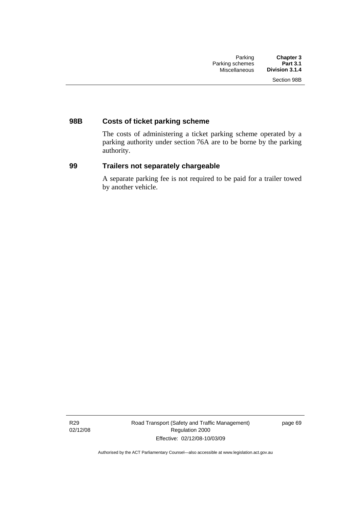### **98B Costs of ticket parking scheme**

The costs of administering a ticket parking scheme operated by a parking authority under section 76A are to be borne by the parking authority.

### **99 Trailers not separately chargeable**

A separate parking fee is not required to be paid for a trailer towed by another vehicle.

R29 02/12/08 Road Transport (Safety and Traffic Management) Regulation 2000 Effective: 02/12/08-10/03/09

page 69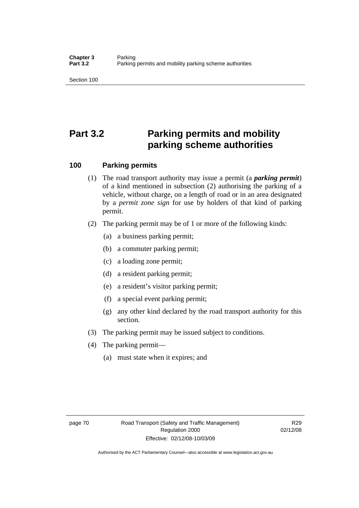Section 100

# **Part 3.2 Parking permits and mobility parking scheme authorities**

### **100 Parking permits**

- (1) The road transport authority may issue a permit (a *parking permit*) of a kind mentioned in subsection (2) authorising the parking of a vehicle, without charge, on a length of road or in an area designated by a *permit zone sign* for use by holders of that kind of parking permit.
- (2) The parking permit may be of 1 or more of the following kinds:
	- (a) a business parking permit;
	- (b) a commuter parking permit;
	- (c) a loading zone permit;
	- (d) a resident parking permit;
	- (e) a resident's visitor parking permit;
	- (f) a special event parking permit;
	- (g) any other kind declared by the road transport authority for this section.
- (3) The parking permit may be issued subject to conditions.
- (4) The parking permit—
	- (a) must state when it expires; and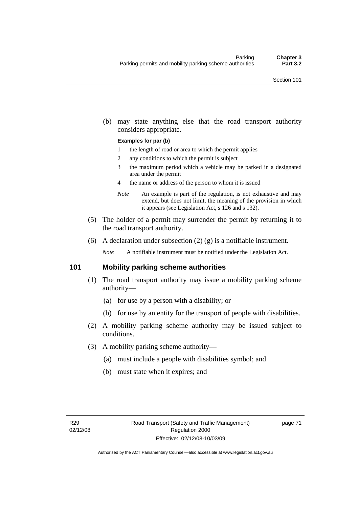(b) may state anything else that the road transport authority considers appropriate.

#### **Examples for par (b)**

- 1 the length of road or area to which the permit applies
- 2 any conditions to which the permit is subject
- 3 the maximum period which a vehicle may be parked in a designated area under the permit
- 4 the name or address of the person to whom it is issued
- *Note* An example is part of the regulation, is not exhaustive and may extend, but does not limit, the meaning of the provision in which it appears (see Legislation Act, s 126 and s 132).
- (5) The holder of a permit may surrender the permit by returning it to the road transport authority.
- (6) A declaration under subsection  $(2)$   $(g)$  is a notifiable instrument.

*Note* A notifiable instrument must be notified under the Legislation Act.

### **101 Mobility parking scheme authorities**

- (1) The road transport authority may issue a mobility parking scheme authority—
	- (a) for use by a person with a disability; or
	- (b) for use by an entity for the transport of people with disabilities.
- (2) A mobility parking scheme authority may be issued subject to conditions.
- (3) A mobility parking scheme authority—
	- (a) must include a people with disabilities symbol; and
	- (b) must state when it expires; and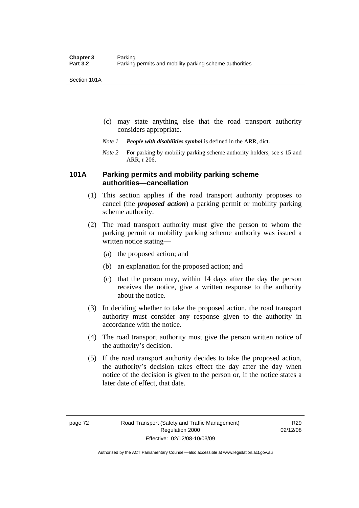Section 101A

- (c) may state anything else that the road transport authority considers appropriate.
- *Note 1 People with disabilities symbol* is defined in the ARR, dict.
- *Note 2* For parking by mobility parking scheme authority holders, see s 15 and ARR, r 206.

### **101A Parking permits and mobility parking scheme authorities—cancellation**

- (1) This section applies if the road transport authority proposes to cancel (the *proposed action*) a parking permit or mobility parking scheme authority.
- (2) The road transport authority must give the person to whom the parking permit or mobility parking scheme authority was issued a written notice stating—
	- (a) the proposed action; and
	- (b) an explanation for the proposed action; and
	- (c) that the person may, within 14 days after the day the person receives the notice, give a written response to the authority about the notice.
- (3) In deciding whether to take the proposed action, the road transport authority must consider any response given to the authority in accordance with the notice.
- (4) The road transport authority must give the person written notice of the authority's decision.
- (5) If the road transport authority decides to take the proposed action, the authority's decision takes effect the day after the day when notice of the decision is given to the person or, if the notice states a later date of effect, that date.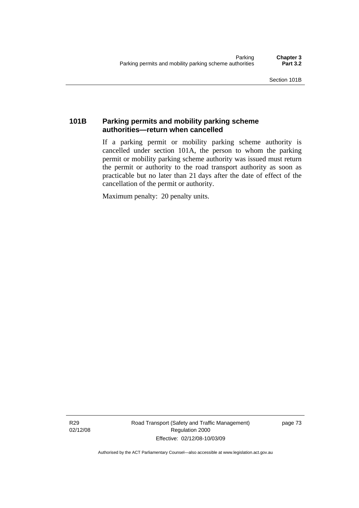### **101B Parking permits and mobility parking scheme authorities—return when cancelled**

If a parking permit or mobility parking scheme authority is cancelled under section 101A, the person to whom the parking permit or mobility parking scheme authority was issued must return the permit or authority to the road transport authority as soon as practicable but no later than 21 days after the date of effect of the cancellation of the permit or authority.

Maximum penalty: 20 penalty units.

R29 02/12/08 Road Transport (Safety and Traffic Management) Regulation 2000 Effective: 02/12/08-10/03/09

page 73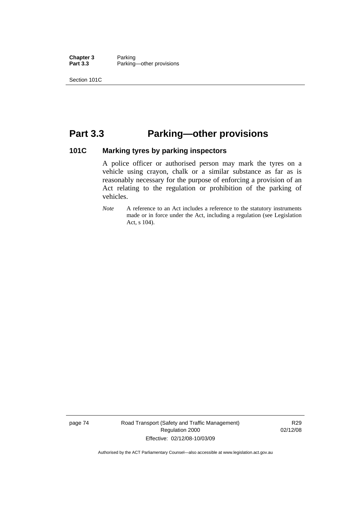**Chapter 3** Parking<br>**Part 3.3** Parking Parking—other provisions

Section 101C

## **Part 3.3 Parking—other provisions**

### **101C Marking tyres by parking inspectors**

A police officer or authorised person may mark the tyres on a vehicle using crayon, chalk or a similar substance as far as is reasonably necessary for the purpose of enforcing a provision of an Act relating to the regulation or prohibition of the parking of vehicles.

*Note* A reference to an Act includes a reference to the statutory instruments made or in force under the Act, including a regulation (see Legislation Act, s 104).

page 74 Road Transport (Safety and Traffic Management) Regulation 2000 Effective: 02/12/08-10/03/09

R29 02/12/08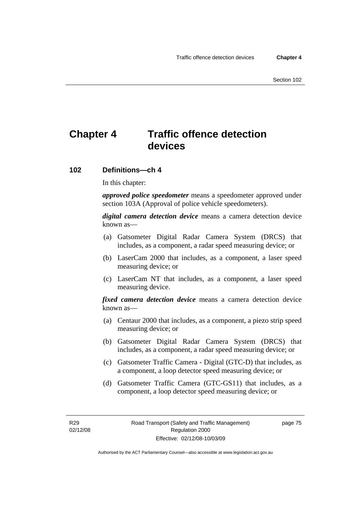## **Chapter 4 Traffic offence detection devices**

### **102 Definitions—ch 4**

In this chapter:

*approved police speedometer* means a speedometer approved under section 103A (Approval of police vehicle speedometers).

*digital camera detection device* means a camera detection device known as—

- (a) Gatsometer Digital Radar Camera System (DRCS) that includes, as a component, a radar speed measuring device; or
- (b) LaserCam 2000 that includes, as a component, a laser speed measuring device; or
- (c) LaserCam NT that includes, as a component, a laser speed measuring device.

*fixed camera detection device* means a camera detection device known as—

- (a) Centaur 2000 that includes, as a component, a piezo strip speed measuring device; or
- (b) Gatsometer Digital Radar Camera System (DRCS) that includes, as a component, a radar speed measuring device; or
- (c) Gatsometer Traffic Camera Digital (GTC-D) that includes, as a component, a loop detector speed measuring device; or
- (d) Gatsometer Traffic Camera (GTC-GS11) that includes, as a component, a loop detector speed measuring device; or

R29 02/12/08 page 75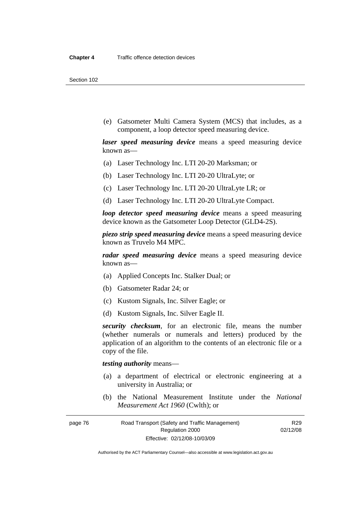Section 102

 (e) Gatsometer Multi Camera System (MCS) that includes, as a component, a loop detector speed measuring device.

*laser speed measuring device* means a speed measuring device known as—

- (a) Laser Technology Inc. LTI 20-20 Marksman; or
- (b) Laser Technology Inc. LTI 20-20 UltraLyte; or
- (c) Laser Technology Inc. LTI 20-20 UltraLyte LR; or
- (d) Laser Technology Inc. LTI 20-20 UltraLyte Compact.

*loop detector speed measuring device* means a speed measuring device known as the Gatsometer Loop Detector (GLD4-2S).

*piezo strip speed measuring device* means a speed measuring device known as Truvelo M4 MPC.

*radar speed measuring device* means a speed measuring device known as—

- (a) Applied Concepts Inc. Stalker Dual; or
- (b) Gatsometer Radar 24; or
- (c) Kustom Signals, Inc. Silver Eagle; or
- (d) Kustom Signals, Inc. Silver Eagle II.

*security checksum*, for an electronic file, means the number (whether numerals or numerals and letters) produced by the application of an algorithm to the contents of an electronic file or a copy of the file.

*testing authority* means—

- (a) a department of electrical or electronic engineering at a university in Australia; or
- (b) the National Measurement Institute under the *National Measurement Act 1960* (Cwlth); or

R29 02/12/08

page 76 Road Transport (Safety and Traffic Management) Regulation 2000 Effective: 02/12/08-10/03/09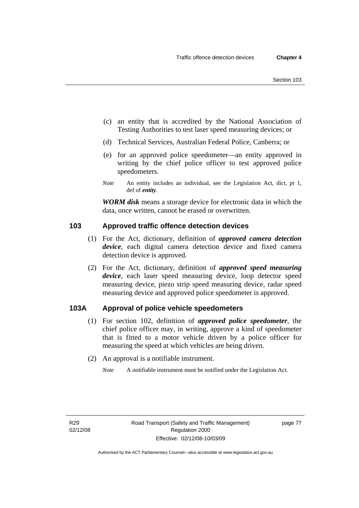- (c) an entity that is accredited by the National Association of Testing Authorities to test laser speed measuring devices; or
- (d) Technical Services, Australian Federal Police, Canberra; or
- (e) for an approved police speedometer—an entity approved in writing by the chief police officer to test approved police speedometers.
- *Note* An entity includes an individual, see the Legislation Act, dict, pt 1, def of *entity*.

*WORM disk* means a storage device for electronic data in which the data, once written, cannot be erased or overwritten.

### **103 Approved traffic offence detection devices**

- (1) For the Act, dictionary, definition of *approved camera detection device*, each digital camera detection device and fixed camera detection device is approved.
- (2) For the Act, dictionary, definition of *approved speed measuring device*, each laser speed measuring device, loop detector speed measuring device, piezo strip speed measuring device, radar speed measuring device and approved police speedometer is approved.

### **103A Approval of police vehicle speedometers**

- (1) For section 102, definition of *approved police speedometer*, the chief police officer may, in writing, approve a kind of speedometer that is fitted to a motor vehicle driven by a police officer for measuring the speed at which vehicles are being driven.
- (2) An approval is a notifiable instrument.
	- *Note* A notifiable instrument must be notified under the Legislation Act.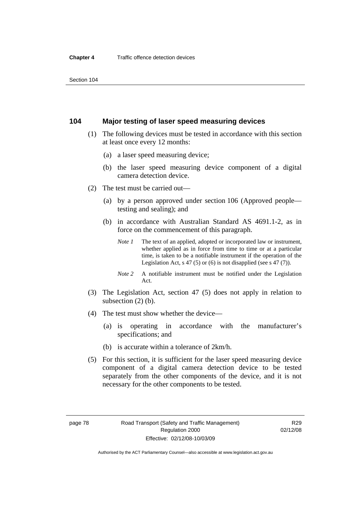### **104 Major testing of laser speed measuring devices**

- (1) The following devices must be tested in accordance with this section at least once every 12 months:
	- (a) a laser speed measuring device;
	- (b) the laser speed measuring device component of a digital camera detection device.
- (2) The test must be carried out—
	- (a) by a person approved under section 106 (Approved people testing and sealing); and
	- (b) in accordance with Australian Standard AS 4691.1-2, as in force on the commencement of this paragraph.
		- *Note 1* The text of an applied, adopted or incorporated law or instrument, whether applied as in force from time to time or at a particular time, is taken to be a notifiable instrument if the operation of the Legislation Act, s 47 (5) or (6) is not disapplied (see s 47 (7)).
		- *Note 2* A notifiable instrument must be notified under the Legislation Act.
- (3) The Legislation Act, section 47 (5) does not apply in relation to subsection (2) (b).
- (4) The test must show whether the device—
	- (a) is operating in accordance with the manufacturer's specifications; and
	- (b) is accurate within a tolerance of 2km/h.
- (5) For this section, it is sufficient for the laser speed measuring device component of a digital camera detection device to be tested separately from the other components of the device, and it is not necessary for the other components to be tested.

Authorised by the ACT Parliamentary Counsel—also accessible at www.legislation.act.gov.au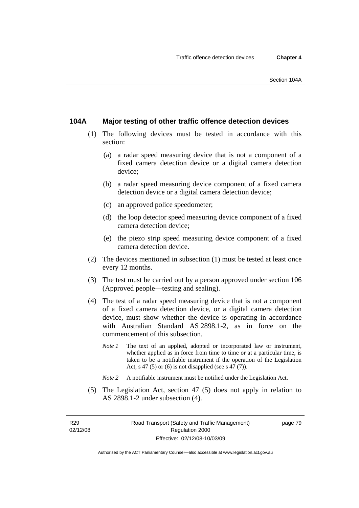### **104A Major testing of other traffic offence detection devices**

- (1) The following devices must be tested in accordance with this section:
	- (a) a radar speed measuring device that is not a component of a fixed camera detection device or a digital camera detection device;
	- (b) a radar speed measuring device component of a fixed camera detection device or a digital camera detection device;
	- (c) an approved police speedometer;
	- (d) the loop detector speed measuring device component of a fixed camera detection device;
	- (e) the piezo strip speed measuring device component of a fixed camera detection device.
- (2) The devices mentioned in subsection (1) must be tested at least once every 12 months.
- (3) The test must be carried out by a person approved under section 106 (Approved people—testing and sealing).
- (4) The test of a radar speed measuring device that is not a component of a fixed camera detection device, or a digital camera detection device, must show whether the device is operating in accordance with Australian Standard AS 2898.1-2, as in force on the commencement of this subsection.
	- *Note 1* The text of an applied, adopted or incorporated law or instrument, whether applied as in force from time to time or at a particular time, is taken to be a notifiable instrument if the operation of the Legislation Act, s 47 (5) or (6) is not disapplied (see s 47 (7)).
	- *Note 2* A notifiable instrument must be notified under the Legislation Act.
- (5) The Legislation Act, section 47 (5) does not apply in relation to AS 2898.1-2 under subsection (4).

R29 02/12/08 page 79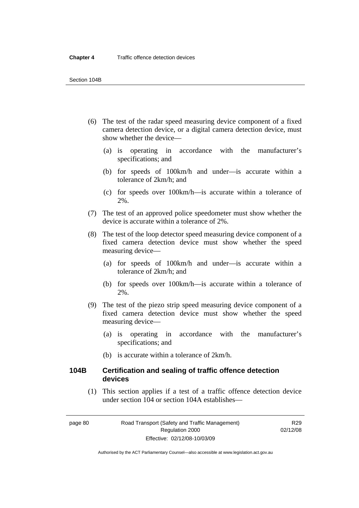- (6) The test of the radar speed measuring device component of a fixed camera detection device, or a digital camera detection device, must show whether the device—
	- (a) is operating in accordance with the manufacturer's specifications; and
	- (b) for speeds of 100km/h and under—is accurate within a tolerance of 2km/h; and
	- (c) for speeds over 100km/h—is accurate within a tolerance of 2%.
- (7) The test of an approved police speedometer must show whether the device is accurate within a tolerance of 2%.
- (8) The test of the loop detector speed measuring device component of a fixed camera detection device must show whether the speed measuring device—
	- (a) for speeds of 100km/h and under—is accurate within a tolerance of 2km/h; and
	- (b) for speeds over 100km/h—is accurate within a tolerance of 2%.
- (9) The test of the piezo strip speed measuring device component of a fixed camera detection device must show whether the speed measuring device—
	- (a) is operating in accordance with the manufacturer's specifications; and
	- (b) is accurate within a tolerance of 2km/h.

### **104B Certification and sealing of traffic offence detection devices**

 (1) This section applies if a test of a traffic offence detection device under section 104 or section 104A establishes—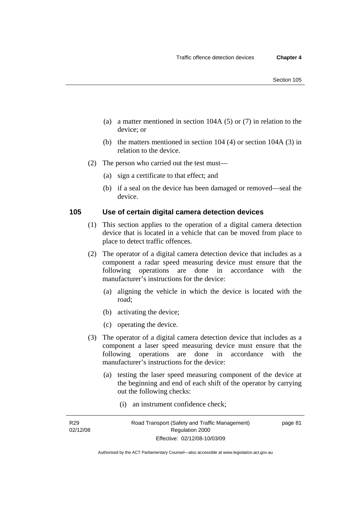- (a) a matter mentioned in section 104A (5) or (7) in relation to the device; or
- (b) the matters mentioned in section 104 (4) or section 104A (3) in relation to the device.
- (2) The person who carried out the test must—
	- (a) sign a certificate to that effect; and
	- (b) if a seal on the device has been damaged or removed—seal the device.

### **105 Use of certain digital camera detection devices**

- (1) This section applies to the operation of a digital camera detection device that is located in a vehicle that can be moved from place to place to detect traffic offences.
- (2) The operator of a digital camera detection device that includes as a component a radar speed measuring device must ensure that the following operations are done in accordance with the manufacturer's instructions for the device:
	- (a) aligning the vehicle in which the device is located with the road;
	- (b) activating the device;
	- (c) operating the device.
- (3) The operator of a digital camera detection device that includes as a component a laser speed measuring device must ensure that the following operations are done in accordance with the manufacturer's instructions for the device:
	- (a) testing the laser speed measuring component of the device at the beginning and end of each shift of the operator by carrying out the following checks:
		- (i) an instrument confidence check;

R29 02/12/08 page 81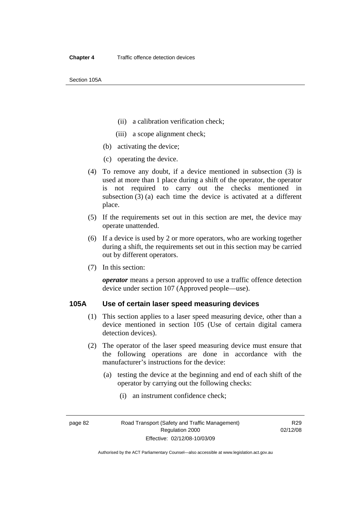Section 105A

- (ii) a calibration verification check;
- (iii) a scope alignment check;
- (b) activating the device;
- (c) operating the device.
- (4) To remove any doubt, if a device mentioned in subsection (3) is used at more than 1 place during a shift of the operator, the operator is not required to carry out the checks mentioned in subsection (3) (a) each time the device is activated at a different place.
- (5) If the requirements set out in this section are met, the device may operate unattended.
- (6) If a device is used by 2 or more operators, who are working together during a shift, the requirements set out in this section may be carried out by different operators.
- (7) In this section:

*operator* means a person approved to use a traffic offence detection device under section 107 (Approved people—use).

### **105A Use of certain laser speed measuring devices**

- (1) This section applies to a laser speed measuring device, other than a device mentioned in section 105 (Use of certain digital camera detection devices).
- (2) The operator of the laser speed measuring device must ensure that the following operations are done in accordance with the manufacturer's instructions for the device:
	- (a) testing the device at the beginning and end of each shift of the operator by carrying out the following checks:
		- (i) an instrument confidence check;

Authorised by the ACT Parliamentary Counsel—also accessible at www.legislation.act.gov.au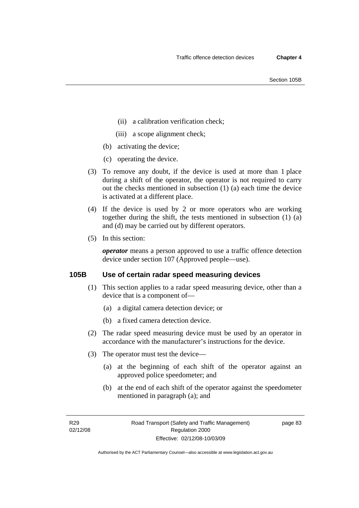- (ii) a calibration verification check;
- (iii) a scope alignment check;
- (b) activating the device;
- (c) operating the device.
- (3) To remove any doubt, if the device is used at more than 1 place during a shift of the operator, the operator is not required to carry out the checks mentioned in subsection (1) (a) each time the device is activated at a different place.
- (4) If the device is used by 2 or more operators who are working together during the shift, the tests mentioned in subsection (1) (a) and (d) may be carried out by different operators.
- (5) In this section:

*operator* means a person approved to use a traffic offence detection device under section 107 (Approved people—use).

### **105B Use of certain radar speed measuring devices**

- (1) This section applies to a radar speed measuring device, other than a device that is a component of—
	- (a) a digital camera detection device; or
	- (b) a fixed camera detection device.
- (2) The radar speed measuring device must be used by an operator in accordance with the manufacturer's instructions for the device.
- (3) The operator must test the device—
	- (a) at the beginning of each shift of the operator against an approved police speedometer; and
	- (b) at the end of each shift of the operator against the speedometer mentioned in paragraph (a); and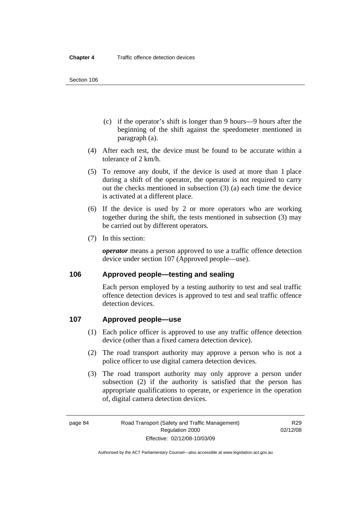- (c) if the operator's shift is longer than 9 hours—9 hours after the beginning of the shift against the speedometer mentioned in paragraph (a).
- (4) After each test, the device must be found to be accurate within a tolerance of 2 km/h.
- (5) To remove any doubt, if the device is used at more than 1 place during a shift of the operator, the operator is not required to carry out the checks mentioned in subsection (3) (a) each time the device is activated at a different place.
- (6) If the device is used by 2 or more operators who are working together during the shift, the tests mentioned in subsection (3) may be carried out by different operators.
- (7) In this section:

*operator* means a person approved to use a traffic offence detection device under section 107 (Approved people—use).

### **106 Approved people—testing and sealing**

Each person employed by a testing authority to test and seal traffic offence detection devices is approved to test and seal traffic offence detection devices.

### **107 Approved people—use**

- (1) Each police officer is approved to use any traffic offence detection device (other than a fixed camera detection device).
- (2) The road transport authority may approve a person who is not a police officer to use digital camera detection devices.
- (3) The road transport authority may only approve a person under subsection (2) if the authority is satisfied that the person has appropriate qualifications to operate, or experience in the operation of, digital camera detection devices.

Authorised by the ACT Parliamentary Counsel—also accessible at www.legislation.act.gov.au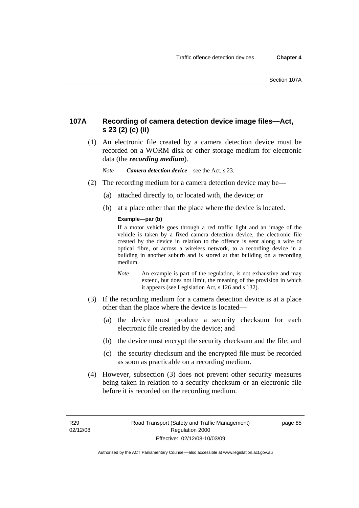### **107A Recording of camera detection device image files—Act, s 23 (2) (c) (ii)**

 (1) An electronic file created by a camera detection device must be recorded on a WORM disk or other storage medium for electronic data (the *recording medium*).

*Note Camera detection device*—see the Act, s 23.

- (2) The recording medium for a camera detection device may be—
	- (a) attached directly to, or located with, the device; or
	- (b) at a place other than the place where the device is located.

#### **Example—par (b)**

If a motor vehicle goes through a red traffic light and an image of the vehicle is taken by a fixed camera detection device, the electronic file created by the device in relation to the offence is sent along a wire or optical fibre, or across a wireless network, to a recording device in a building in another suburb and is stored at that building on a recording medium.

- *Note* An example is part of the regulation, is not exhaustive and may extend, but does not limit, the meaning of the provision in which it appears (see Legislation Act, s 126 and s 132).
- (3) If the recording medium for a camera detection device is at a place other than the place where the device is located—
	- (a) the device must produce a security checksum for each electronic file created by the device; and
	- (b) the device must encrypt the security checksum and the file; and
	- (c) the security checksum and the encrypted file must be recorded as soon as practicable on a recording medium.
- (4) However, subsection (3) does not prevent other security measures being taken in relation to a security checksum or an electronic file before it is recorded on the recording medium.

R29 02/12/08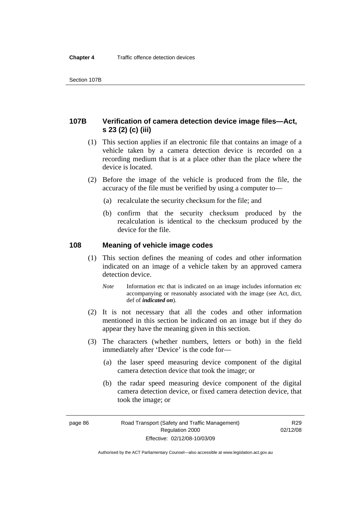### **107B Verification of camera detection device image files—Act, s 23 (2) (c) (iii)**

- (1) This section applies if an electronic file that contains an image of a vehicle taken by a camera detection device is recorded on a recording medium that is at a place other than the place where the device is located.
- (2) Before the image of the vehicle is produced from the file, the accuracy of the file must be verified by using a computer to—
	- (a) recalculate the security checksum for the file; and
	- (b) confirm that the security checksum produced by the recalculation is identical to the checksum produced by the device for the file.

### **108 Meaning of vehicle image codes**

- (1) This section defines the meaning of codes and other information indicated on an image of a vehicle taken by an approved camera detection device.
	- *Note* Information etc that is indicated on an image includes information etc accompanying or reasonably associated with the image (see Act, dict, def of *indicated on*).
- (2) It is not necessary that all the codes and other information mentioned in this section be indicated on an image but if they do appear they have the meaning given in this section.
- (3) The characters (whether numbers, letters or both) in the field immediately after 'Device' is the code for—
	- (a) the laser speed measuring device component of the digital camera detection device that took the image; or
	- (b) the radar speed measuring device component of the digital camera detection device, or fixed camera detection device, that took the image; or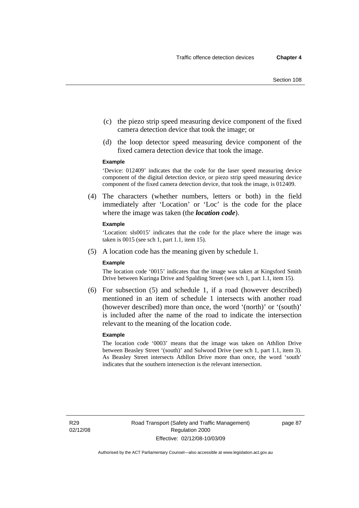- (c) the piezo strip speed measuring device component of the fixed camera detection device that took the image; or
- (d) the loop detector speed measuring device component of the fixed camera detection device that took the image.

#### **Example**

'Device: 012409' indicates that the code for the laser speed measuring device component of the digital detection device, or piezo strip speed measuring device component of the fixed camera detection device, that took the image, is 012409.

 (4) The characters (whether numbers, letters or both) in the field immediately after 'Location' or 'Loc' is the code for the place where the image was taken (the *location code*).

#### **Example**

'Location: sls0015' indicates that the code for the place where the image was taken is 0015 (see sch 1, part 1.1, item 15).

(5) A location code has the meaning given by schedule 1.

#### **Example**

The location code '0015' indicates that the image was taken at Kingsford Smith Drive between Kuringa Drive and Spalding Street (see sch 1, part 1.1, item 15).

 (6) For subsection (5) and schedule 1, if a road (however described) mentioned in an item of schedule 1 intersects with another road (however described) more than once, the word '(north)' or '(south)' is included after the name of the road to indicate the intersection relevant to the meaning of the location code.

#### **Example**

The location code '0003' means that the image was taken on Athllon Drive between Beasley Street '(south)' and Sulwood Drive (see sch 1, part 1.1, item 3). As Beasley Street intersects Athllon Drive more than once, the word 'south' indicates that the southern intersection is the relevant intersection.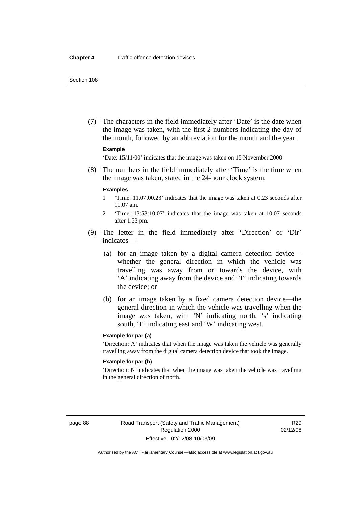(7) The characters in the field immediately after 'Date' is the date when the image was taken, with the first 2 numbers indicating the day of the month, followed by an abbreviation for the month and the year.

#### **Example**

'Date: 15/11/00' indicates that the image was taken on 15 November 2000.

 (8) The numbers in the field immediately after 'Time' is the time when the image was taken, stated in the 24-hour clock system.

#### **Examples**

- 1 'Time: 11.07.00.23' indicates that the image was taken at 0.23 seconds after 11.07 am.
- 2 'Time: 13:53:10:07' indicates that the image was taken at 10.07 seconds after 1.53 pm.
- (9) The letter in the field immediately after 'Direction' or 'Dir' indicates—
	- (a) for an image taken by a digital camera detection device whether the general direction in which the vehicle was travelling was away from or towards the device, with 'A' indicating away from the device and 'T' indicating towards the device; or
	- (b) for an image taken by a fixed camera detection device—the general direction in which the vehicle was travelling when the image was taken, with 'N' indicating north, 's' indicating south, 'E' indicating east and 'W' indicating west.

#### **Example for par (a)**

'Direction: A' indicates that when the image was taken the vehicle was generally travelling away from the digital camera detection device that took the image.

#### **Example for par (b)**

'Direction: N' indicates that when the image was taken the vehicle was travelling in the general direction of north.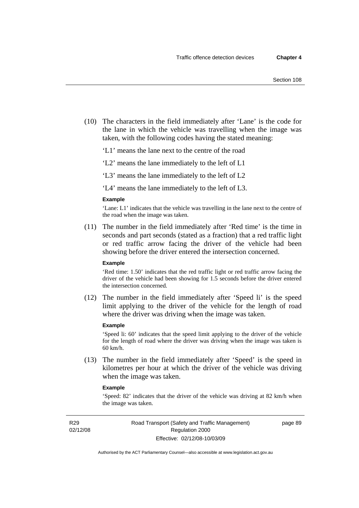(10) The characters in the field immediately after 'Lane' is the code for the lane in which the vehicle was travelling when the image was taken, with the following codes having the stated meaning:

'L1' means the lane next to the centre of the road

'L2' means the lane immediately to the left of L1

'L3' means the lane immediately to the left of L2

'L4' means the lane immediately to the left of L3.

#### **Example**

'Lane: L1' indicates that the vehicle was travelling in the lane next to the centre of the road when the image was taken.

 (11) The number in the field immediately after 'Red time' is the time in seconds and part seconds (stated as a fraction) that a red traffic light or red traffic arrow facing the driver of the vehicle had been showing before the driver entered the intersection concerned.

### **Example**

'Red time: 1.50' indicates that the red traffic light or red traffic arrow facing the driver of the vehicle had been showing for 1.5 seconds before the driver entered the intersection concerned.

 (12) The number in the field immediately after 'Speed li' is the speed limit applying to the driver of the vehicle for the length of road where the driver was driving when the image was taken.

#### **Example**

'Speed li: 60' indicates that the speed limit applying to the driver of the vehicle for the length of road where the driver was driving when the image was taken is 60 km/h.

 (13) The number in the field immediately after 'Speed' is the speed in kilometres per hour at which the driver of the vehicle was driving when the image was taken.

#### **Example**

'Speed: 82' indicates that the driver of the vehicle was driving at 82 km/h when the image was taken.

R29 02/12/08 page 89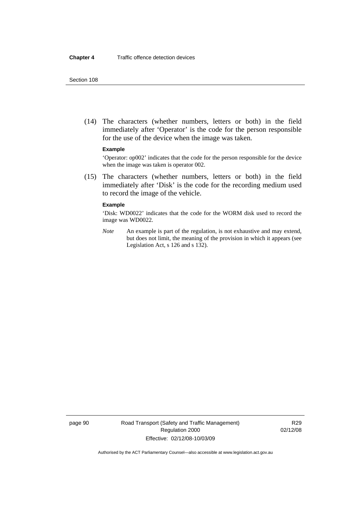(14) The characters (whether numbers, letters or both) in the field immediately after 'Operator' is the code for the person responsible for the use of the device when the image was taken.

#### **Example**

'Operator: op002' indicates that the code for the person responsible for the device when the image was taken is operator 002.

 (15) The characters (whether numbers, letters or both) in the field immediately after 'Disk' is the code for the recording medium used to record the image of the vehicle.

#### **Example**

'Disk: WD0022' indicates that the code for the WORM disk used to record the image was WD0022.

*Note* An example is part of the regulation, is not exhaustive and may extend, but does not limit, the meaning of the provision in which it appears (see Legislation Act, s 126 and s 132).

page 90 Road Transport (Safety and Traffic Management) Regulation 2000 Effective: 02/12/08-10/03/09

R29 02/12/08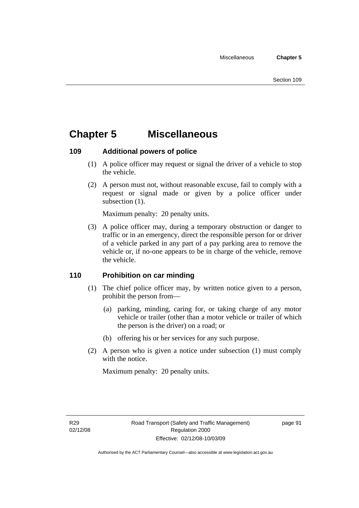## **Chapter 5 Miscellaneous**

### **109 Additional powers of police**

- (1) A police officer may request or signal the driver of a vehicle to stop the vehicle.
- (2) A person must not, without reasonable excuse, fail to comply with a request or signal made or given by a police officer under subsection  $(1)$ .

Maximum penalty: 20 penalty units.

 (3) A police officer may, during a temporary obstruction or danger to traffic or in an emergency, direct the responsible person for or driver of a vehicle parked in any part of a pay parking area to remove the vehicle or, if no-one appears to be in charge of the vehicle, remove the vehicle.

### **110 Prohibition on car minding**

- (1) The chief police officer may, by written notice given to a person, prohibit the person from—
	- (a) parking, minding, caring for, or taking charge of any motor vehicle or trailer (other than a motor vehicle or trailer of which the person is the driver) on a road; or
	- (b) offering his or her services for any such purpose.
- (2) A person who is given a notice under subsection (1) must comply with the notice.

Maximum penalty: 20 penalty units.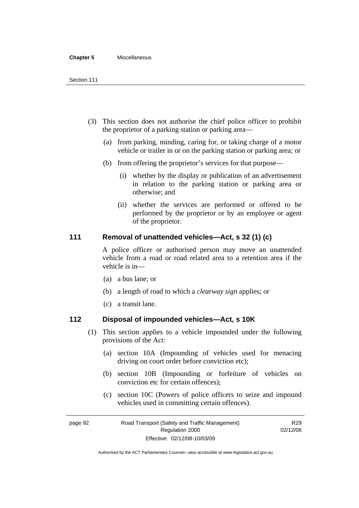#### **Chapter 5** Miscellaneous

- (3) This section does not authorise the chief police officer to prohibit the proprietor of a parking station or parking area—
	- (a) from parking, minding, caring for, or taking charge of a motor vehicle or trailer in or on the parking station or parking area; or
	- (b) from offering the proprietor's services for that purpose—
		- (i) whether by the display or publication of an advertisement in relation to the parking station or parking area or otherwise; and
		- (ii) whether the services are performed or offered to be performed by the proprietor or by an employee or agent of the proprietor.

### **111 Removal of unattended vehicles—Act, s 32 (1) (c)**

A police officer or authorised person may move an unattended vehicle from a road or road related area to a retention area if the vehicle is in—

- (a) a bus lane; or
- (b) a length of road to which a *clearway sign* applies; or
- (c) a transit lane.

### **112 Disposal of impounded vehicles—Act, s 10K**

- (1) This section applies to a vehicle impounded under the following provisions of the Act:
	- (a) section 10A (Impounding of vehicles used for menacing driving on court order before conviction etc);
	- (b) section 10B (Impounding or forfeiture of vehicles on conviction etc for certain offences);
	- (c) section 10C (Powers of police officers to seize and impound vehicles used in committing certain offences).

page 92 Road Transport (Safety and Traffic Management) Regulation 2000 Effective: 02/12/08-10/03/09

R29 02/12/08

Authorised by the ACT Parliamentary Counsel—also accessible at www.legislation.act.gov.au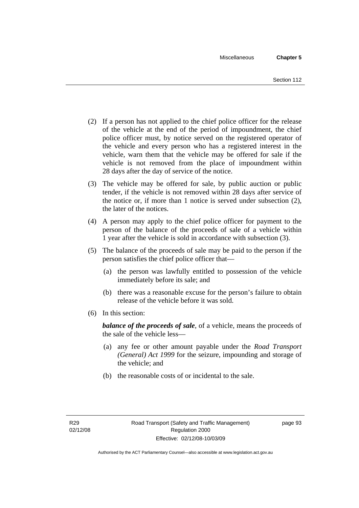- (2) If a person has not applied to the chief police officer for the release of the vehicle at the end of the period of impoundment, the chief police officer must, by notice served on the registered operator of the vehicle and every person who has a registered interest in the vehicle, warn them that the vehicle may be offered for sale if the vehicle is not removed from the place of impoundment within 28 days after the day of service of the notice.
- (3) The vehicle may be offered for sale, by public auction or public tender, if the vehicle is not removed within 28 days after service of the notice or, if more than 1 notice is served under subsection (2), the later of the notices.
- (4) A person may apply to the chief police officer for payment to the person of the balance of the proceeds of sale of a vehicle within 1 year after the vehicle is sold in accordance with subsection (3).
- (5) The balance of the proceeds of sale may be paid to the person if the person satisfies the chief police officer that—
	- (a) the person was lawfully entitled to possession of the vehicle immediately before its sale; and
	- (b) there was a reasonable excuse for the person's failure to obtain release of the vehicle before it was sold.
- (6) In this section:

*balance of the proceeds of sale*, of a vehicle, means the proceeds of the sale of the vehicle less—

- (a) any fee or other amount payable under the *Road Transport (General) Act 1999* for the seizure, impounding and storage of the vehicle; and
- (b) the reasonable costs of or incidental to the sale.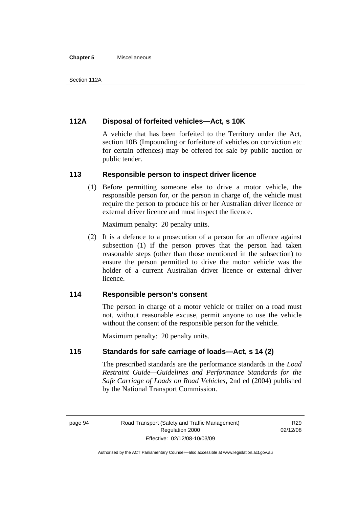#### **Chapter 5** Miscellaneous

### **112A Disposal of forfeited vehicles—Act, s 10K**

A vehicle that has been forfeited to the Territory under the Act, section 10B (Impounding or forfeiture of vehicles on conviction etc for certain offences) may be offered for sale by public auction or public tender.

### **113 Responsible person to inspect driver licence**

 (1) Before permitting someone else to drive a motor vehicle, the responsible person for, or the person in charge of, the vehicle must require the person to produce his or her Australian driver licence or external driver licence and must inspect the licence.

Maximum penalty: 20 penalty units.

 (2) It is a defence to a prosecution of a person for an offence against subsection (1) if the person proves that the person had taken reasonable steps (other than those mentioned in the subsection) to ensure the person permitted to drive the motor vehicle was the holder of a current Australian driver licence or external driver licence.

### **114 Responsible person's consent**

The person in charge of a motor vehicle or trailer on a road must not, without reasonable excuse, permit anyone to use the vehicle without the consent of the responsible person for the vehicle.

Maximum penalty: 20 penalty units.

### **115 Standards for safe carriage of loads—Act, s 14 (2)**

The prescribed standards are the performance standards in the *Load Restraint Guide—Guidelines and Performance Standards for the Safe Carriage of Loads on Road Vehicles*, 2nd ed (2004) published by the National Transport Commission.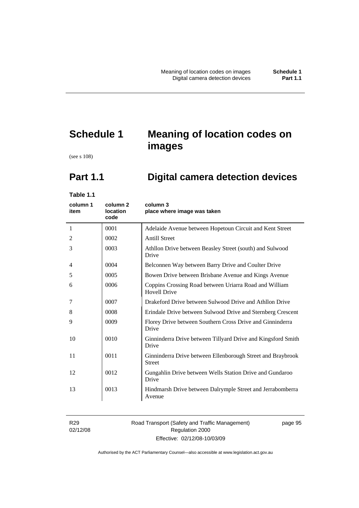# **Schedule 1 Meaning of location codes on images**

(see s 108)

# **Part 1.1 Digital camera detection devices**

**Table 1.1** 

| column 1<br>item | column <sub>2</sub><br><b>location</b><br>code | column 3<br>place where image was taken                                       |
|------------------|------------------------------------------------|-------------------------------------------------------------------------------|
| 1                | 0001                                           | Adelaide Avenue between Hopetoun Circuit and Kent Street                      |
| 2                | 0002                                           | <b>Antill Street</b>                                                          |
| 3                | 0003                                           | Athllon Drive between Beasley Street (south) and Sulwood<br>Drive             |
| $\overline{4}$   | 0004                                           | Belconnen Way between Barry Drive and Coulter Drive                           |
| 5                | 0005                                           | Bowen Drive between Brisbane Avenue and Kings Avenue                          |
| 6                | 0006                                           | Coppins Crossing Road between Uriarra Road and William<br><b>Hovell Drive</b> |
| 7                | 0007                                           | Drakeford Drive between Sulwood Drive and Athllon Drive                       |
| 8                | 0008                                           | Erindale Drive between Sulwood Drive and Sternberg Crescent                   |
| 9                | 0009                                           | Florey Drive between Southern Cross Drive and Ginninderra<br>Drive            |
| 10               | 0010                                           | Ginninderra Drive between Tillyard Drive and Kingsford Smith<br>Drive         |
| 11               | 0011                                           | Ginninderra Drive between Ellenborough Street and Braybrook<br><b>Street</b>  |
| 12               | 0012                                           | Gungahlin Drive between Wells Station Drive and Gundaroo<br>Drive             |
| 13               | 0013                                           | Hindmarsh Drive between Dalrymple Street and Jerrabomberra<br>Avenue          |

R29 02/12/08

### Road Transport (Safety and Traffic Management) Regulation 2000 Effective: 02/12/08-10/03/09

page 95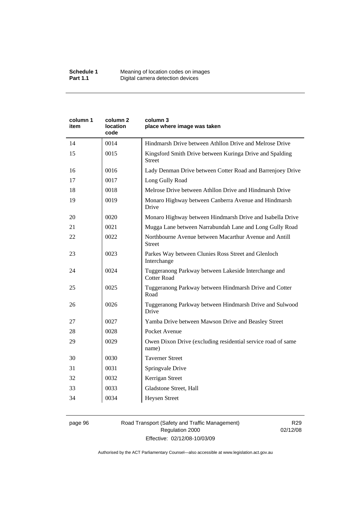| Kingsford Smith Drive between Kuringa Drive and Spalding<br>Lady Denman Drive between Cotter Road and Barrenjoey Drive |
|------------------------------------------------------------------------------------------------------------------------|
|                                                                                                                        |
|                                                                                                                        |
|                                                                                                                        |
|                                                                                                                        |
|                                                                                                                        |
| Monaro Highway between Canberra Avenue and Hindmarsh                                                                   |
| Monaro Highway between Hindmarsh Drive and Isabella Drive                                                              |
| Mugga Lane between Narrabundah Lane and Long Gully Road                                                                |
|                                                                                                                        |
|                                                                                                                        |
|                                                                                                                        |
| Tuggeranong Parkway between Hindmarsh Drive and Cotter                                                                 |
| Tuggeranong Parkway between Hindmarsh Drive and Sulwood                                                                |
|                                                                                                                        |
|                                                                                                                        |
| Owen Dixon Drive (excluding residential service road of same                                                           |
|                                                                                                                        |
|                                                                                                                        |
|                                                                                                                        |
|                                                                                                                        |
|                                                                                                                        |
|                                                                                                                        |

### page 96 Road Transport (Safety and Traffic Management) Regulation 2000 Effective: 02/12/08-10/03/09

R29 02/12/08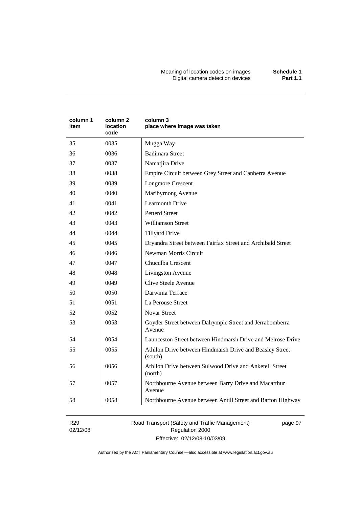Meaning of location codes on images **Schedule 1**  Digital camera detection devices **Part 1.1** 

| column 1<br>item | column 2<br>location<br>code | column 3<br>place where image was taken                             |
|------------------|------------------------------|---------------------------------------------------------------------|
| 35               | 0035                         | Mugga Way                                                           |
| 36               | 0036                         | <b>Badimara Street</b>                                              |
| 37               | 0037                         | Namatjira Drive                                                     |
| 38               | 0038                         | Empire Circuit between Grey Street and Canberra Avenue              |
| 39               | 0039                         | <b>Longmore Crescent</b>                                            |
| 40               | 0040                         | Maribyrnong Avenue                                                  |
| 41               | 0041                         | <b>Learmonth Drive</b>                                              |
| 42               | 0042                         | <b>Petterd Street</b>                                               |
| 43               | 0043                         | <b>Williamson Street</b>                                            |
| 44               | 0044                         | <b>Tillyard Drive</b>                                               |
| 45               | 0045                         | Dryandra Street between Fairfax Street and Archibald Street         |
| 46               | 0046                         | Newman Morris Circuit                                               |
| 47               | 0047                         | Chuculba Crescent                                                   |
| 48               | 0048                         | Livingston Avenue                                                   |
| 49               | 0049                         | Clive Steele Avenue                                                 |
| 50               | 0050                         | Darwinia Terrace                                                    |
| 51               | 0051                         | La Perouse Street                                                   |
| 52               | 0052                         | <b>Novar Street</b>                                                 |
| 53               | 0053                         | Goyder Street between Dalrymple Street and Jerrabomberra<br>Avenue  |
| 54               | 0054                         | Launceston Street between Hindmarsh Drive and Melrose Drive         |
| 55               | 0055                         | Athllon Drive between Hindmarsh Drive and Beasley Street<br>(south) |
| 56               | 0056                         | Athllon Drive between Sulwood Drive and Anketell Street<br>(north)  |
| 57               | 0057                         | Northbourne Avenue between Barry Drive and Macarthur<br>Avenue      |
| 58               | 0058                         | Northbourne Avenue between Antill Street and Barton Highway         |

R29 02/12/08 Road Transport (Safety and Traffic Management) Regulation 2000 Effective: 02/12/08-10/03/09

page 97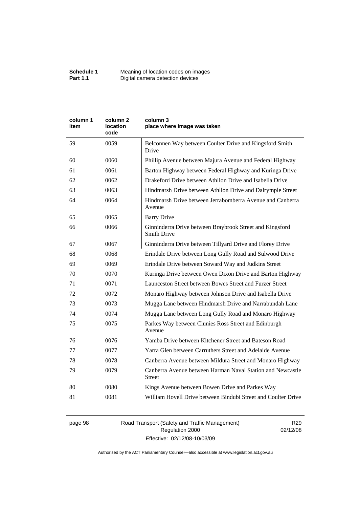| column 1<br>item | column <sub>2</sub><br>location<br>code | column 3<br>place where image was taken                                        |
|------------------|-----------------------------------------|--------------------------------------------------------------------------------|
| 59               | 0059                                    | Belconnen Way between Coulter Drive and Kingsford Smith<br>Drive               |
| 60               | 0060                                    | Phillip Avenue between Majura Avenue and Federal Highway                       |
| 61               | 0061                                    | Barton Highway between Federal Highway and Kuringa Drive                       |
| 62               | 0062                                    | Drakeford Drive between Athllon Drive and Isabella Drive                       |
| 63               | 0063                                    | Hindmarsh Drive between Athllon Drive and Dalrymple Street                     |
| 64               | 0064                                    | Hindmarsh Drive between Jerrabomberra Avenue and Canberra<br>Avenue            |
| 65               | 0065                                    | <b>Barry Drive</b>                                                             |
| 66               | 0066                                    | Ginninderra Drive between Braybrook Street and Kingsford<br><b>Smith Drive</b> |
| 67               | 0067                                    | Ginninderra Drive between Tillyard Drive and Florey Drive                      |
| 68               | 0068                                    | Erindale Drive between Long Gully Road and Sulwood Drive                       |
| 69               | 0069                                    | Erindale Drive between Soward Way and Judkins Street                           |
| 70               | 0070                                    | Kuringa Drive between Owen Dixon Drive and Barton Highway                      |
| 71               | 0071                                    | Launceston Street between Bowes Street and Furzer Street                       |
| 72               | 0072                                    | Monaro Highway between Johnson Drive and Isabella Drive                        |
| 73               | 0073                                    | Mugga Lane between Hindmarsh Drive and Narrabundah Lane                        |
| 74               | 0074                                    | Mugga Lane between Long Gully Road and Monaro Highway                          |
| 75               | 0075                                    | Parkes Way between Clunies Ross Street and Edinburgh<br>Avenue                 |
| 76               | 0076                                    | Yamba Drive between Kitchener Street and Bateson Road                          |
| 77               | 0077                                    | Yarra Glen between Carruthers Street and Adelaide Avenue                       |
| 78               | 0078                                    | Canberra Avenue between Mildura Street and Monaro Highway                      |
| 79               | 0079                                    | Canberra Avenue between Harman Naval Station and Newcastle<br><b>Street</b>    |
| 80               | 0080                                    | Kings Avenue between Bowen Drive and Parkes Way                                |
| 81               | 0081                                    | William Hovell Drive between Bindubi Street and Coulter Drive                  |

page 98 Road Transport (Safety and Traffic Management) Regulation 2000 Effective: 02/12/08-10/03/09

R29 02/12/08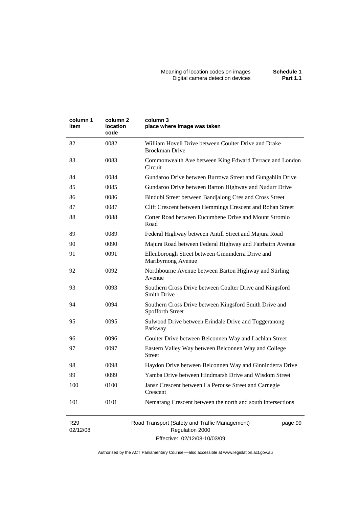| column 1<br>item | column <sub>2</sub><br>location<br>code | column 3<br>place where image was taken                                        |
|------------------|-----------------------------------------|--------------------------------------------------------------------------------|
| 82               | 0082                                    | William Hovell Drive between Coulter Drive and Drake<br><b>Brockman Drive</b>  |
| 83               | 0083                                    | Commonwealth Ave between King Edward Terrace and London<br>Circuit             |
| 84               | 0084                                    | Gundaroo Drive between Burrowa Street and Gungahlin Drive                      |
| 85               | 0085                                    | Gundaroo Drive between Barton Highway and Nudurr Drive                         |
| 86               | 0086                                    | Bindubi Street between Bandjalong Cres and Cross Street                        |
| 87               | 0087                                    | Clift Crescent between Hemmings Crescent and Rohan Street                      |
| 88               | 0088                                    | Cotter Road between Eucumbene Drive and Mount Stromlo<br>Road                  |
| 89               | 0089                                    | Federal Highway between Antill Street and Majura Road                          |
| 90               | 0090                                    | Majura Road between Federal Highway and Fairbairn Avenue                       |
| 91               | 0091                                    | Ellenborough Street between Ginninderra Drive and<br>Maribyrnong Avenue        |
| 92               | 0092                                    | Northbourne Avenue between Barton Highway and Stirling<br>Avenue               |
| 93               | 0093                                    | Southern Cross Drive between Coulter Drive and Kingsford<br><b>Smith Drive</b> |
| 94               | 0094                                    | Southern Cross Drive between Kingsford Smith Drive and<br>Spofforth Street     |
| 95               | 0095                                    | Sulwood Drive between Erindale Drive and Tuggeranong<br>Parkway                |
| 96               | 0096                                    | Coulter Drive between Belconnen Way and Lachlan Street                         |
| 97               | 0097                                    | Eastern Valley Way between Belconnen Way and College<br><b>Street</b>          |
| 98               | 0098                                    | Haydon Drive between Belconnen Way and Ginninderra Drive                       |
| 99               | 0099                                    | Yamba Drive between Hindmarsh Drive and Wisdom Street                          |
| 100              | 0100                                    | Jansz Crescent between La Perouse Street and Carnegie<br>Crescent              |
| 101              | 0101                                    | Nemarang Crescent between the north and south intersections                    |

R29 02/12/08 Road Transport (Safety and Traffic Management) Regulation 2000 Effective: 02/12/08-10/03/09

page 99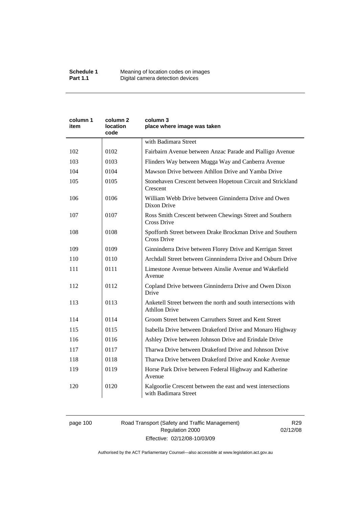| column 1<br>item | column 2<br>location<br>code | column 3<br>place where image was taken                                                |
|------------------|------------------------------|----------------------------------------------------------------------------------------|
|                  |                              | with Badimara Street                                                                   |
| 102              | 0102                         | Fairbairn Avenue between Anzac Parade and Pialligo Avenue                              |
| 103              | 0103                         | Flinders Way between Mugga Way and Canberra Avenue                                     |
| 104              | 0104                         | Mawson Drive between Athllon Drive and Yamba Drive                                     |
| 105              | 0105                         | Stonehaven Crescent between Hopetoun Circuit and Strickland<br>Crescent                |
| 106              | 0106                         | William Webb Drive between Ginninderra Drive and Owen<br>Dixon Drive                   |
| 107              | 0107                         | Ross Smith Crescent between Chewings Street and Southern<br>Cross Drive                |
| 108              | 0108                         | Spofforth Street between Drake Brockman Drive and Southern<br><b>Cross Drive</b>       |
| 109              | 0109                         | Ginninderra Drive between Florey Drive and Kerrigan Street                             |
| 110              | 0110                         | Archdall Street between Ginnninderra Drive and Osburn Drive                            |
| 111              | 0111                         | Limestone Avenue between Ainslie Avenue and Wakefield<br>Avenue                        |
| 112              | 0112                         | Copland Drive between Ginninderra Drive and Owen Dixon<br>Drive                        |
| 113              | 0113                         | Anketell Street between the north and south intersections with<br><b>Athllon Drive</b> |
| 114              | 0114                         | Groom Street between Carruthers Street and Kent Street                                 |
| 115              | 0115                         | Isabella Drive between Drakeford Drive and Monaro Highway                              |
| 116              | 0116                         | Ashley Drive between Johnson Drive and Erindale Drive                                  |
| 117              | 0117                         | Tharwa Drive between Drakeford Drive and Johnson Drive                                 |
| 118              | 0118                         | Tharwa Drive between Drakeford Drive and Knoke Avenue                                  |
| 119              | 0119                         | Horse Park Drive between Federal Highway and Katherine<br>Avenue                       |
| 120              | 0120                         | Kalgoorlie Crescent between the east and west intersections<br>with Badimara Street    |

# page 100 Road Transport (Safety and Traffic Management) Regulation 2000 Effective: 02/12/08-10/03/09

R29 02/12/08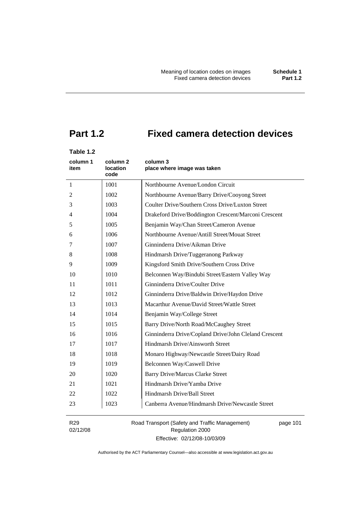# **Part 1.2 Fixed camera detection devices**

# **Table 1.2**

| column 1<br>item | column 2<br>location<br>code | column 3<br>place where image was taken               |
|------------------|------------------------------|-------------------------------------------------------|
| $\mathbf{1}$     | 1001                         | Northbourne Avenue/London Circuit                     |
| 2                | 1002                         | Northbourne Avenue/Barry Drive/Cooyong Street         |
| 3                | 1003                         | Coulter Drive/Southern Cross Drive/Luxton Street      |
| 4                | 1004                         | Drakeford Drive/Boddington Crescent/Marconi Crescent  |
| 5                | 1005                         | Benjamin Way/Chan Street/Cameron Avenue               |
| 6                | 1006                         | Northbourne Avenue/Antill Street/Mouat Street         |
| 7                | 1007                         | Ginninderra Drive/Aikman Drive                        |
| 8                | 1008                         | Hindmarsh Drive/Tuggeranong Parkway                   |
| 9                | 1009                         | Kingsford Smith Drive/Southern Cross Drive            |
| 10               | 1010                         | Belconnen Way/Bindubi Street/Eastern Valley Way       |
| 11               | 1011                         | Ginninderra Drive/Coulter Drive                       |
| 12               | 1012                         | Ginninderra Drive/Baldwin Drive/Haydon Drive          |
| 13               | 1013                         | Macarthur Avenue/David Street/Wattle Street           |
| 14               | 1014                         | Benjamin Way/College Street                           |
| 15               | 1015                         | Barry Drive/North Road/McCaughey Street               |
| 16               | 1016                         | Ginninderra Drive/Copland Drive/John Cleland Crescent |
| 17               | 1017                         | Hindmarsh Drive/Ainsworth Street                      |
| 18               | 1018                         | Monaro Highway/Newcastle Street/Dairy Road            |
| 19               | 1019                         | Belconnen Way/Caswell Drive                           |
| 20               | 1020                         | <b>Barry Drive/Marcus Clarke Street</b>               |
| 21               | 1021                         | Hindmarsh Drive/Yamba Drive                           |
| 22               | 1022                         | Hindmarsh Drive/Ball Street                           |
| 23               | 1023                         | Canberra Avenue/Hindmarsh Drive/Newcastle Street      |

R29 02/12/08 Road Transport (Safety and Traffic Management) Regulation 2000 Effective: 02/12/08-10/03/09

page 101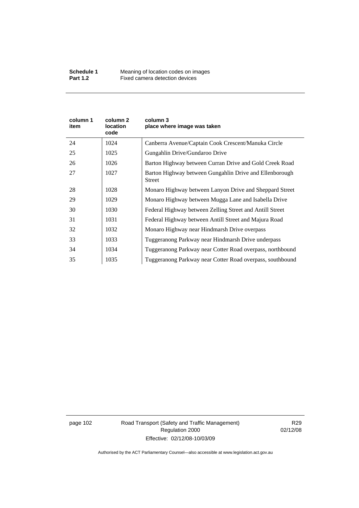| column 1<br>item | column 2<br><b>location</b><br>code | column 3<br>place where image was taken                                  |
|------------------|-------------------------------------|--------------------------------------------------------------------------|
| 24               | 1024                                | Canberra Avenue/Captain Cook Crescent/Manuka Circle                      |
| 25               | 1025                                | Gungahlin Drive/Gundaroo Drive                                           |
| 26               | 1026                                | Barton Highway between Curran Drive and Gold Creek Road                  |
| 27               | 1027                                | Barton Highway between Gungahlin Drive and Ellenborough<br><b>Street</b> |
| 28               | 1028                                | Monaro Highway between Lanyon Drive and Sheppard Street                  |
| 29               | 1029                                | Monaro Highway between Mugga Lane and Isabella Drive                     |
| 30               | 1030                                | Federal Highway between Zelling Street and Antill Street                 |
| 31               | 1031                                | Federal Highway between Antill Street and Majura Road                    |
| 32               | 1032                                | Monaro Highway near Hindmarsh Drive overpass                             |
| 33               | 1033                                | Tuggeranong Parkway near Hindmarsh Drive underpass                       |
| 34               | 1034                                | Tuggeranong Parkway near Cotter Road overpass, northbound                |
| 35               | 1035                                | Tuggeranong Parkway near Cotter Road overpass, southbound                |

page 102 Road Transport (Safety and Traffic Management) Regulation 2000 Effective: 02/12/08-10/03/09

R29 02/12/08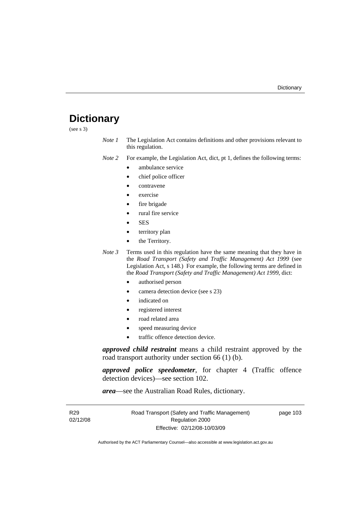# **Dictionary**

(see s 3)

*Note 1* The Legislation Act contains definitions and other provisions relevant to this regulation.

*Note 2* For example, the Legislation Act, dict, pt 1, defines the following terms:

- ambulance service
	- chief police officer
- contravene
- exercise
- fire brigade
- rural fire service
- SES
- territory plan
- the Territory.
- *Note 3* Terms used in this regulation have the same meaning that they have in the *Road Transport (Safety and Traffic Management) Act 1999* (see Legislation Act, s 148.) For example, the following terms are defined in the *Road Transport (Safety and Traffic Management) Act 1999*, dict:
	- authorised person
	- camera detection device (see s 23)
	- indicated on
	- registered interest
	- road related area
	- speed measuring device
	- traffic offence detection device.

*approved child restraint* means a child restraint approved by the road transport authority under section 66 (1) (b).

*approved police speedometer*, for chapter 4 (Traffic offence detection devices)—see section 102.

*area*—see the Australian Road Rules, dictionary.

| R <sub>29</sub> | Road Transport (Safety and Traffic Management) | page 103 |
|-----------------|------------------------------------------------|----------|
| 02/12/08        | Regulation 2000                                |          |
|                 | Effective: 02/12/08-10/03/09                   |          |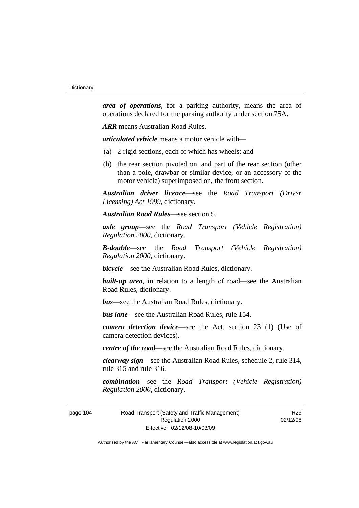*area of operations*, for a parking authority, means the area of operations declared for the parking authority under section 75A.

*ARR* means Australian Road Rules.

*articulated vehicle* means a motor vehicle with—

- (a) 2 rigid sections, each of which has wheels; and
- (b) the rear section pivoted on, and part of the rear section (other than a pole, drawbar or similar device, or an accessory of the motor vehicle) superimposed on, the front section.

*Australian driver licence*—see the *Road Transport (Driver Licensing) Act 1999*, dictionary.

*Australian Road Rules*—see section 5.

*axle group*—see the *Road Transport (Vehicle Registration) Regulation 2000*, dictionary.

*B-double*—see the *Road Transport (Vehicle Registration) Regulation 2000*, dictionary.

*bicycle*—see the Australian Road Rules, dictionary.

**built-up area**, in relation to a length of road—see the Australian Road Rules, dictionary.

*bus*—see the Australian Road Rules, dictionary.

*bus lane*—see the Australian Road Rules, rule 154.

*camera detection device*—see the Act, section 23 (1) (Use of camera detection devices).

*centre of the road*—see the Australian Road Rules, dictionary.

*clearway sign*—see the Australian Road Rules, schedule 2, rule 314, rule 315 and rule 316.

*combination*—see the *Road Transport (Vehicle Registration) Regulation 2000*, dictionary.

page 104 Road Transport (Safety and Traffic Management) Regulation 2000 Effective: 02/12/08-10/03/09

R<sub>29</sub> 02/12/08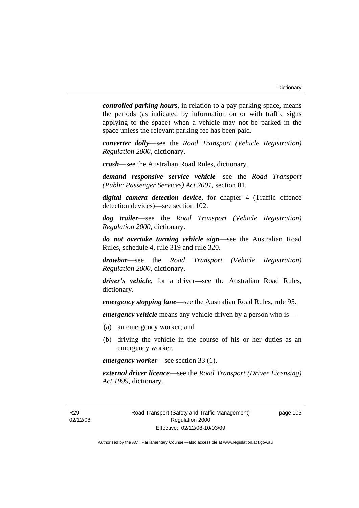*controlled parking hours*, in relation to a pay parking space, means the periods (as indicated by information on or with traffic signs applying to the space) when a vehicle may not be parked in the space unless the relevant parking fee has been paid.

*converter dolly*—see the *Road Transport (Vehicle Registration) Regulation 2000*, dictionary.

*crash*—see the Australian Road Rules, dictionary.

*demand responsive service vehicle*—see the *Road Transport (Public Passenger Services) Act 2001*, section 81.

*digital camera detection device*, for chapter 4 (Traffic offence detection devices)—see section 102.

*dog trailer*—see the *Road Transport (Vehicle Registration) Regulation 2000*, dictionary.

*do not overtake turning vehicle sign*—see the Australian Road Rules, schedule 4, rule 319 and rule 320.

*drawbar*—see the *Road Transport (Vehicle Registration) Regulation 2000*, dictionary.

*driver's vehicle*, for a driver*—*see the Australian Road Rules, dictionary.

*emergency stopping lane*—see the Australian Road Rules, rule 95.

*emergency vehicle* means any vehicle driven by a person who is—

- (a) an emergency worker; and
- (b) driving the vehicle in the course of his or her duties as an emergency worker.

*emergency worker*—see section 33 (1).

*external driver licence*—see the *Road Transport (Driver Licensing) Act 1999*, dictionary.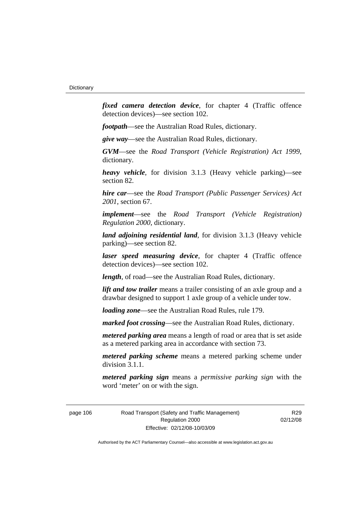*fixed camera detection device*, for chapter 4 (Traffic offence detection devices)—see section 102.

*footpath*—see the Australian Road Rules, dictionary.

*give way*—see the Australian Road Rules, dictionary.

*GVM*—see the *Road Transport (Vehicle Registration) Act 1999*, dictionary.

*heavy vehicle*, for division 3.1.3 (Heavy vehicle parking)—see section 82.

*hire car*—see the *Road Transport (Public Passenger Services) Act 2001*, section 67.

*implement*—see the *Road Transport (Vehicle Registration) Regulation 2000*, dictionary.

*land adjoining residential land*, for division 3.1.3 (Heavy vehicle parking)—see section 82.

*laser speed measuring device*, for chapter 4 (Traffic offence detection devices)—see section 102.

*length*, of road—see the Australian Road Rules, dictionary.

*lift and tow trailer* means a trailer consisting of an axle group and a drawbar designed to support 1 axle group of a vehicle under tow.

*loading zone*—see the Australian Road Rules, rule 179.

*marked foot crossing*—see the Australian Road Rules, dictionary.

*metered parking area* means a length of road or area that is set aside as a metered parking area in accordance with section 73.

*metered parking scheme* means a metered parking scheme under division 3.1.1.

*metered parking sign* means a *permissive parking sign* with the word 'meter' on or with the sign.

page 106 Road Transport (Safety and Traffic Management) Regulation 2000 Effective: 02/12/08-10/03/09

R<sub>29</sub> 02/12/08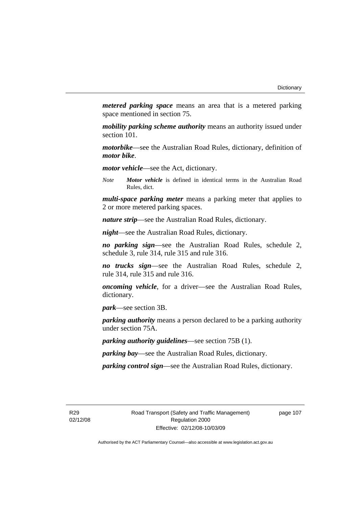*metered parking space* means an area that is a metered parking space mentioned in section 75.

*mobility parking scheme authority* means an authority issued under section 101.

*motorbike*—see the Australian Road Rules, dictionary, definition of *motor bike*.

*motor vehicle*—see the Act, dictionary.

*Note Motor vehicle* is defined in identical terms in the Australian Road Rules, dict.

*multi-space parking meter* means a parking meter that applies to 2 or more metered parking spaces.

*nature strip*—see the Australian Road Rules, dictionary.

*night*—see the Australian Road Rules, dictionary.

*no parking sign*—see the Australian Road Rules, schedule 2, schedule 3, rule 314, rule 315 and rule 316.

*no trucks sign*—see the Australian Road Rules, schedule 2, rule 314, rule 315 and rule 316.

*oncoming vehicle*, for a driver—see the Australian Road Rules, dictionary.

*park*—see section 3B.

*parking authority* means a person declared to be a parking authority under section 75A.

*parking authority guidelines*—see section 75B (1).

*parking bay*—see the Australian Road Rules, dictionary.

*parking control sign*—see the Australian Road Rules, dictionary.

R29 02/12/08 page 107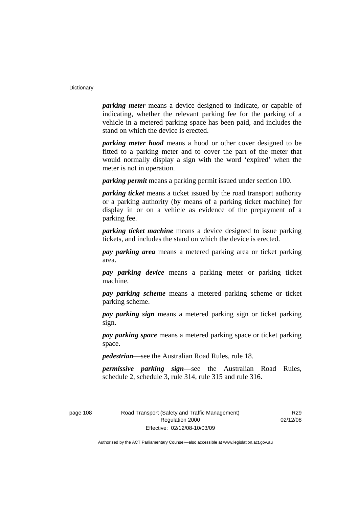*parking meter* means a device designed to indicate, or capable of indicating, whether the relevant parking fee for the parking of a vehicle in a metered parking space has been paid, and includes the stand on which the device is erected.

*parking meter hood* means a hood or other cover designed to be fitted to a parking meter and to cover the part of the meter that would normally display a sign with the word 'expired' when the meter is not in operation.

*parking permit* means a parking permit issued under section 100.

*parking ticket* means a ticket issued by the road transport authority or a parking authority (by means of a parking ticket machine) for display in or on a vehicle as evidence of the prepayment of a parking fee.

*parking ticket machine* means a device designed to issue parking tickets, and includes the stand on which the device is erected.

*pay parking area* means a metered parking area or ticket parking area.

*pay parking device* means a parking meter or parking ticket machine.

*pay parking scheme* means a metered parking scheme or ticket parking scheme.

*pay parking sign* means a metered parking sign or ticket parking sign.

*pay parking space* means a metered parking space or ticket parking space.

*pedestrian*—see the Australian Road Rules, rule 18.

*permissive parking sign*—see the Australian Road Rules, schedule 2, schedule 3, rule 314, rule 315 and rule 316.

page 108 Road Transport (Safety and Traffic Management) Regulation 2000 Effective: 02/12/08-10/03/09

R<sub>20</sub> 02/12/08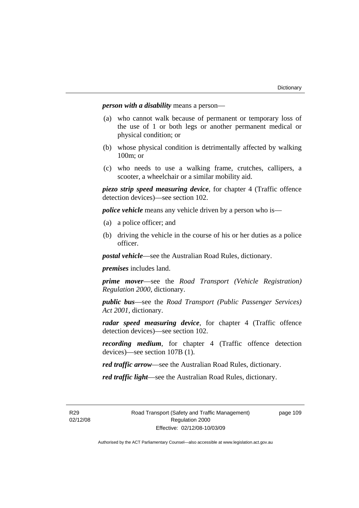*person with a disability* means a person—

- (a) who cannot walk because of permanent or temporary loss of the use of 1 or both legs or another permanent medical or physical condition; or
- (b) whose physical condition is detrimentally affected by walking 100m; or
- (c) who needs to use a walking frame, crutches, callipers, a scooter, a wheelchair or a similar mobility aid.

*piezo strip speed measuring device*, for chapter 4 (Traffic offence detection devices)—see section 102.

*police vehicle* means any vehicle driven by a person who is—

- (a) a police officer; and
- (b) driving the vehicle in the course of his or her duties as a police officer.

*postal vehicle*—see the Australian Road Rules, dictionary.

*premises* includes land.

*prime mover*—see the *Road Transport (Vehicle Registration) Regulation 2000*, dictionary.

*public bus*—see the *Road Transport (Public Passenger Services) Act 2001*, dictionary.

*radar speed measuring device*, for chapter 4 (Traffic offence detection devices)—see section 102.

*recording medium*, for chapter 4 (Traffic offence detection devices)—see section 107B (1).

*red traffic arrow*—see the Australian Road Rules, dictionary.

*red traffic light*—see the Australian Road Rules, dictionary.

R29 02/12/08 page 109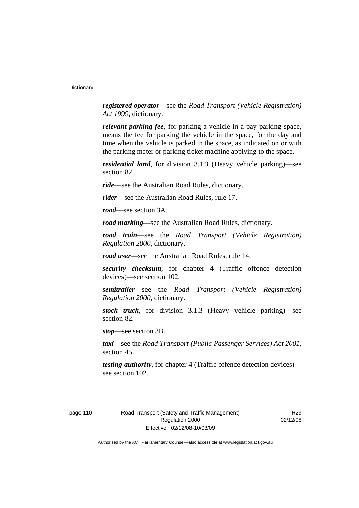*registered operator*—see the *Road Transport (Vehicle Registration) Act 1999*, dictionary.

*relevant parking fee*, for parking a vehicle in a pay parking space, means the fee for parking the vehicle in the space, for the day and time when the vehicle is parked in the space, as indicated on or with the parking meter or parking ticket machine applying to the space.

*residential land*, for division 3.1.3 (Heavy vehicle parking)—see section 82.

*ride*—see the Australian Road Rules, dictionary.

*rider*—see the Australian Road Rules, rule 17.

*road*—see section 3A.

*road marking*—see the Australian Road Rules, dictionary.

*road train*—see the *Road Transport (Vehicle Registration) Regulation 2000*, dictionary.

*road user*—see the Australian Road Rules, rule 14.

*security checksum*, for chapter 4 (Traffic offence detection devices)—see section 102.

*semitrailer*—see the *Road Transport (Vehicle Registration) Regulation 2000*, dictionary.

*stock truck*, for division 3.1.3 (Heavy vehicle parking)—see section 82.

*stop*—see section 3B.

*taxi*—see the *Road Transport (Public Passenger Services) Act 2001*, section 45.

*testing authority*, for chapter 4 (Traffic offence detection devices) see section 102.

R<sub>29</sub> 02/12/08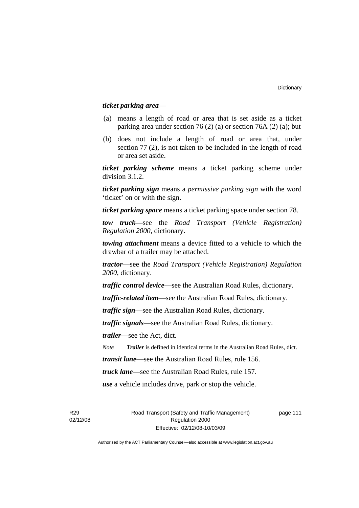# *ticket parking area*—

- (a) means a length of road or area that is set aside as a ticket parking area under section 76 (2) (a) or section 76A (2) (a); but
- (b) does not include a length of road or area that, under section 77 (2), is not taken to be included in the length of road or area set aside.

*ticket parking scheme* means a ticket parking scheme under division 3.1.2.

*ticket parking sign* means a *permissive parking sign* with the word 'ticket' on or with the sign.

*ticket parking space* means a ticket parking space under section 78.

*tow truck*—see the *Road Transport (Vehicle Registration) Regulation 2000*, dictionary.

*towing attachment* means a device fitted to a vehicle to which the drawbar of a trailer may be attached.

*tractor*—see the *Road Transport (Vehicle Registration) Regulation 2000*, dictionary.

*traffic control device*—see the Australian Road Rules, dictionary.

*traffic-related item*—see the Australian Road Rules, dictionary.

*traffic sign*—see the Australian Road Rules, dictionary.

*traffic signals*—see the Australian Road Rules, dictionary.

*trailer*—see the Act, dict.

*Note Trailer* is defined in identical terms in the Australian Road Rules, dict.

*transit lane*—see the Australian Road Rules, rule 156.

*truck lane*—see the Australian Road Rules, rule 157.

*use* a vehicle includes drive, park or stop the vehicle.

R29 02/12/08 Road Transport (Safety and Traffic Management) Regulation 2000 Effective: 02/12/08-10/03/09

page 111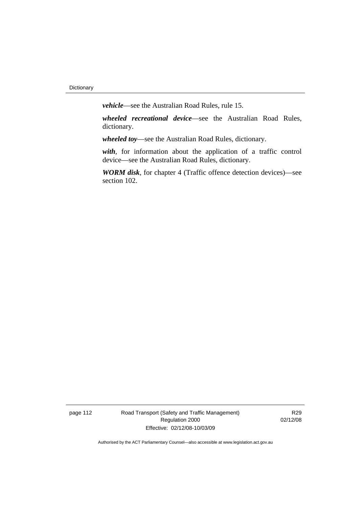*vehicle*—see the Australian Road Rules, rule 15.

*wheeled recreational device*—see the Australian Road Rules, dictionary.

*wheeled toy*—see the Australian Road Rules, dictionary.

*with*, for information about the application of a traffic control device—see the Australian Road Rules, dictionary.

*WORM disk*, for chapter 4 (Traffic offence detection devices)—see section 102.

page 112 Road Transport (Safety and Traffic Management) Regulation 2000 Effective: 02/12/08-10/03/09

R29 02/12/08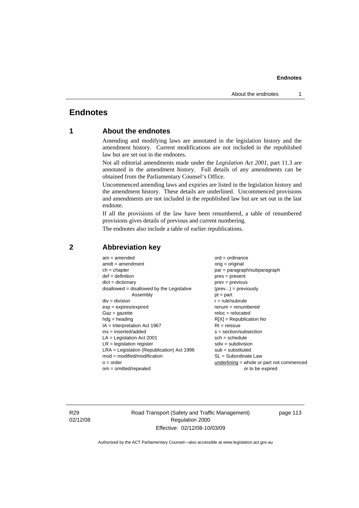# **Endnotes**

# **1 About the endnotes**

Amending and modifying laws are annotated in the legislation history and the amendment history. Current modifications are not included in the republished law but are set out in the endnotes.

Not all editorial amendments made under the *Legislation Act 2001*, part 11.3 are annotated in the amendment history. Full details of any amendments can be obtained from the Parliamentary Counsel's Office.

Uncommenced amending laws and expiries are listed in the legislation history and the amendment history. These details are underlined. Uncommenced provisions and amendments are not included in the republished law but are set out in the last endnote.

If all the provisions of the law have been renumbered, a table of renumbered provisions gives details of previous and current numbering.

The endnotes also include a table of earlier republications.

| $am = amended$                               | $ord = ordinance$                         |
|----------------------------------------------|-------------------------------------------|
| $amdt = amendment$                           | $orig = original$                         |
| $ch = chapter$                               | par = paragraph/subparagraph              |
| $def = definition$                           | $pres = present$                          |
| $dict = dictionary$                          | $prev = previous$                         |
| $disallowed = disallowed by the Legislative$ | $(\text{prev}) = \text{previously}$       |
| Assembly                                     | $pt = part$                               |
| $div = division$                             | $r = rule/subrule$                        |
| $exp = expires/expired$                      | $remum = renumbered$                      |
| $Gaz = gazette$                              | $reloc = relocated$                       |
| $hdg =$ heading                              | $R[X]$ = Republication No                 |
| $IA = Interpretation Act 1967$               | $RI = reissue$                            |
| $ins = inserted/added$                       | $s = section/subsection$                  |
| $LA =$ Legislation Act 2001                  | $sch = schedule$                          |
| $LR =$ legislation register                  | $sdiv = subdivision$                      |
| $LRA =$ Legislation (Republication) Act 1996 | $sub = substituted$                       |
| $mod = modified/modification$                | $SL = Subordinate$ Law                    |
| $o = order$                                  | underlining = whole or part not commenced |
| $om = omitted/repealed$                      | or to be expired                          |
|                                              |                                           |

# **2 Abbreviation key**

R29 02/12/08 Road Transport (Safety and Traffic Management) Regulation 2000 Effective: 02/12/08-10/03/09

page 113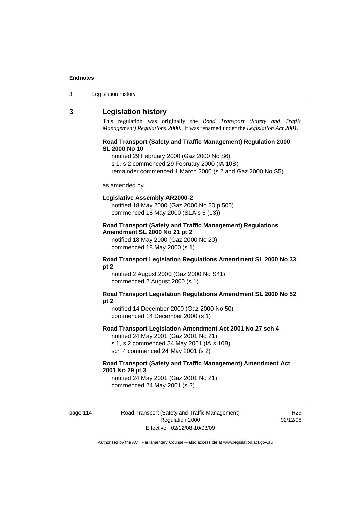| Legislation history<br>3 |
|--------------------------|
|--------------------------|

# **3 Legislation history**

This regulation was originally the *Road Transport (Safety and Traffic Management) Regulations 2000*. It was renamed under the *Legislation Act 2001*.

### **Road Transport (Safety and Traffic Management) Regulation 2000 SL 2000 No 10**

notified 29 February 2000 (Gaz 2000 No S6)

s 1, s 2 commenced 29 February 2000 (IA 10B)

remainder commenced 1 March 2000 (s 2 and Gaz 2000 No S5)

#### as amended by

#### **Legislative Assembly AR2000-2**

notified 18 May 2000 (Gaz 2000 No 20 p 505) commenced 18 May 2000 (SLA s 6 (13))

# **Road Transport (Safety and Traffic Management) Regulations Amendment SL 2000 No 21 pt 2**

notified 18 May 2000 (Gaz 2000 No 20) commenced 18 May 2000 (s 1)

#### **Road Transport Legislation Regulations Amendment SL 2000 No 33 pt 2**

notified 2 August 2000 (Gaz 2000 No S41) commenced 2 August 2000 (s 1)

#### **Road Transport Legislation Regulations Amendment SL 2000 No 52 pt 2**

notified 14 December 2000 (Gaz 2000 No 50) commenced 14 December 2000 (s 1)

### **Road Transport Legislation Amendment Act 2001 No 27 sch 4**

notified 24 May 2001 (Gaz 2001 No 21) s 1, s 2 commenced 24 May 2001 (IA s 10B) sch 4 commenced 24 May 2001 (s 2)

# **Road Transport (Safety and Traffic Management) Amendment Act 2001 No 29 pt 3**

notified 24 May 2001 (Gaz 2001 No 21) commenced 24 May 2001 (s 2)

page 114 Road Transport (Safety and Traffic Management) Regulation 2000 Effective: 02/12/08-10/03/09

R<sub>29</sub> 02/12/08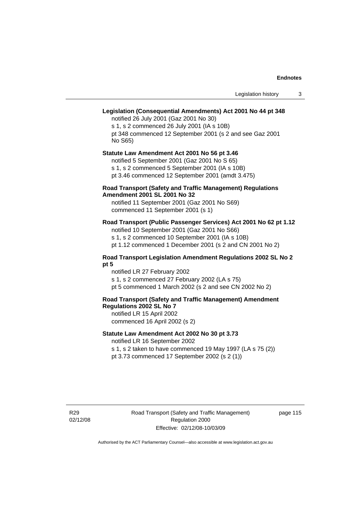# **Legislation (Consequential Amendments) Act 2001 No 44 pt 348**

notified 26 July 2001 (Gaz 2001 No 30) s 1, s 2 commenced 26 July 2001 (IA s 10B) pt 348 commenced 12 September 2001 (s 2 and see Gaz 2001 No S65)

# **Statute Law Amendment Act 2001 No 56 pt 3.46**

notified 5 September 2001 (Gaz 2001 No S 65) s 1, s 2 commenced 5 September 2001 (IA s 10B)

pt 3.46 commenced 12 September 2001 (amdt 3.475)

# **Road Transport (Safety and Traffic Management) Regulations Amendment 2001 SL 2001 No 32**

notified 11 September 2001 (Gaz 2001 No S69) commenced 11 September 2001 (s 1)

# **Road Transport (Public Passenger Services) Act 2001 No 62 pt 1.12**

notified 10 September 2001 (Gaz 2001 No S66) s 1, s 2 commenced 10 September 2001 (IA s 10B)

pt 1.12 commenced 1 December 2001 (s 2 and CN 2001 No 2)

# **Road Transport Legislation Amendment Regulations 2002 SL No 2 pt 5**

notified LR 27 February 2002 s 1, s 2 commenced 27 February 2002 (LA s 75) pt 5 commenced 1 March 2002 (s 2 and see CN 2002 No 2)

# **Road Transport (Safety and Traffic Management) Amendment Regulations 2002 SL No 7**

notified LR 15 April 2002 commenced 16 April 2002 (s 2)

# **Statute Law Amendment Act 2002 No 30 pt 3.73**

notified LR 16 September 2002

s 1, s 2 taken to have commenced 19 May 1997 (LA s 75 (2)) pt 3.73 commenced 17 September 2002 (s 2 (1))

R29 02/12/08 page 115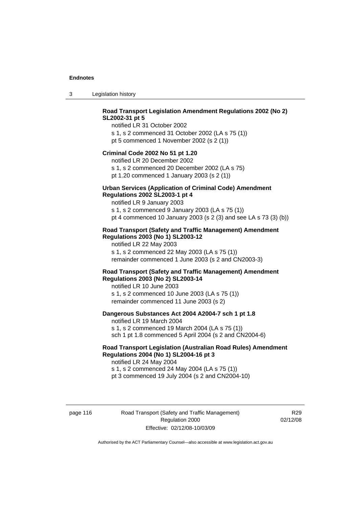3 Legislation history

# **Road Transport Legislation Amendment Regulations 2002 (No 2) SL2002-31 pt 5**

notified LR 31 October 2002 s 1, s 2 commenced 31 October 2002 (LA s 75 (1)) pt 5 commenced 1 November 2002 (s 2 (1))

#### **Criminal Code 2002 No 51 pt 1.20**

notified LR 20 December 2002 s 1, s 2 commenced 20 December 2002 (LA s 75) pt 1.20 commenced 1 January 2003 (s 2 (1))

#### **Urban Services (Application of Criminal Code) Amendment Regulations 2002 SL2003-1 pt 4**

notified LR 9 January 2003 s 1, s 2 commenced 9 January 2003 (LA s 75 (1)) pt 4 commenced 10 January 2003 (s 2 (3) and see LA s 73 (3) (b))

# **Road Transport (Safety and Traffic Management) Amendment Regulations 2003 (No 1) SL2003-12**

notified LR 22 May 2003 s 1, s 2 commenced 22 May 2003 (LA s 75 (1)) remainder commenced 1 June 2003 (s 2 and CN2003-3)

# **Road Transport (Safety and Traffic Management) Amendment Regulations 2003 (No 2) SL2003-14**

notified LR 10 June 2003 s 1, s 2 commenced 10 June 2003 (LA s 75 (1)) remainder commenced 11 June 2003 (s 2)

### **Dangerous Substances Act 2004 A2004-7 sch 1 pt 1.8**

notified LR 19 March 2004 s 1, s 2 commenced 19 March 2004 (LA s 75 (1)) sch 1 pt 1.8 commenced 5 April 2004 (s 2 and CN2004-6)

# **Road Transport Legislation (Australian Road Rules) Amendment Regulations 2004 (No 1) SL2004-16 pt 3**

notified LR 24 May 2004 s 1, s 2 commenced 24 May 2004 (LA s 75 (1)) pt 3 commenced 19 July 2004 (s 2 and CN2004-10)

page 116 Road Transport (Safety and Traffic Management) Regulation 2000 Effective: 02/12/08-10/03/09

R<sub>29</sub> 02/12/08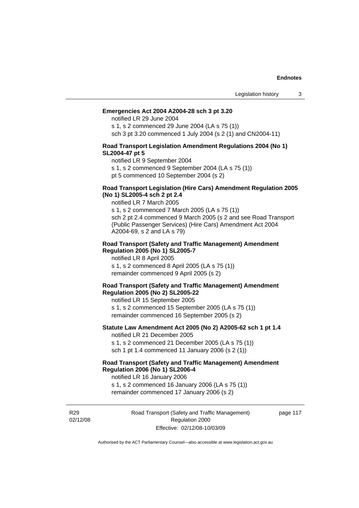#### **Emergencies Act 2004 A2004-28 sch 3 pt 3.20**

notified LR 29 June 2004

s 1, s 2 commenced 29 June 2004 (LA s 75 (1)) sch 3 pt 3.20 commenced 1 July 2004 (s 2 (1) and CN2004-11)

### **Road Transport Legislation Amendment Regulations 2004 (No 1) SL2004-47 pt 5**

notified LR 9 September 2004

s 1, s 2 commenced 9 September 2004 (LA s 75 (1))

pt 5 commenced 10 September 2004 (s 2)

### **Road Transport Legislation (Hire Cars) Amendment Regulation 2005 (No 1) SL2005-4 sch 2 pt 2.4**

notified LR 7 March 2005

s 1, s 2 commenced 7 March 2005 (LA s 75 (1)) sch 2 pt 2.4 commenced 9 March 2005 (s 2 and see Road Transport (Public Passenger Services) (Hire Cars) Amendment Act 2004 A2004-69, s 2 and LA s 79)

#### **Road Transport (Safety and Traffic Management) Amendment Regulation 2005 (No 1) SL2005-7**

notified LR 8 April 2005 s 1, s 2 commenced 8 April 2005 (LA s 75 (1)) remainder commenced 9 April 2005 (s 2)

#### **Road Transport (Safety and Traffic Management) Amendment Regulation 2005 (No 2) SL2005-22**

notified LR 15 September 2005 s 1, s 2 commenced 15 September 2005 (LA s 75 (1)) remainder commenced 16 September 2005 (s 2)

#### **Statute Law Amendment Act 2005 (No 2) A2005-62 sch 1 pt 1.4**  notified LR 21 December 2005

s 1, s 2 commenced 21 December 2005 (LA s 75 (1)) sch 1 pt 1.4 commenced 11 January 2006 (s 2 (1))

# **Road Transport (Safety and Traffic Management) Amendment Regulation 2006 (No 1) SL2006-4**

notified LR 16 January 2006 s 1, s 2 commenced 16 January 2006 (LA s 75 (1))

remainder commenced 17 January 2006 (s 2)

R29 02/12/08 Road Transport (Safety and Traffic Management) Regulation 2000 Effective: 02/12/08-10/03/09

page 117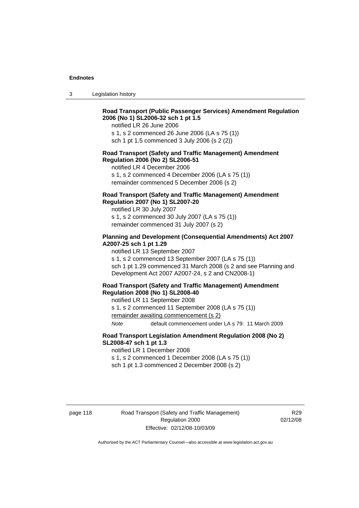3 Legislation history

# **Road Transport (Public Passenger Services) Amendment Regulation 2006 (No 1) SL2006-32 sch 1 pt 1.5**

notified LR 26 June 2006

s 1, s 2 commenced 26 June 2006 (LA s 75 (1)) sch 1 pt 1.5 commenced 3 July 2006 (s 2 (2))

#### **Road Transport (Safety and Traffic Management) Amendment Regulation 2006 (No 2) SL2006-51**

notified LR 4 December 2006

s 1, s 2 commenced 4 December 2006 (LA s 75 (1)) remainder commenced 5 December 2006 (s 2)

# **Road Transport (Safety and Traffic Management) Amendment Regulation 2007 (No 1) SL2007-20**

notified LR 30 July 2007 s 1, s 2 commenced 30 July 2007 (LA s 75 (1)) remainder commenced 31 July 2007 (s 2)

# **Planning and Development (Consequential Amendments) Act 2007 A2007-25 sch 1 pt 1.29**

notified LR 13 September 2007

s 1, s 2 commenced 13 September 2007 (LA s 75 (1)) sch 1 pt 1.29 commenced 31 March 2008 (s 2 and see Planning and Development Act 2007 A2007-24, s 2 and CN2008-1)

#### **Road Transport (Safety and Traffic Management) Amendment Regulation 2008 (No 1) SL2008-40**

notified LR 11 September 2008

s 1, s 2 commenced 11 September 2008 (LA s 75 (1)) remainder awaiting commencement (s 2)

*Note* default commencement under LA s 79: 11 March 2009

# **Road Transport Legislation Amendment Regulation 2008 (No 2) SL2008-47 sch 1 pt 1.3**

notified LR 1 December 2008 s 1, s 2 commenced 1 December 2008 (LA s 75 (1))

sch 1 pt 1.3 commenced 2 December 2008 (s 2)

page 118 Road Transport (Safety and Traffic Management) Regulation 2000 Effective: 02/12/08-10/03/09

R<sub>29</sub> 02/12/08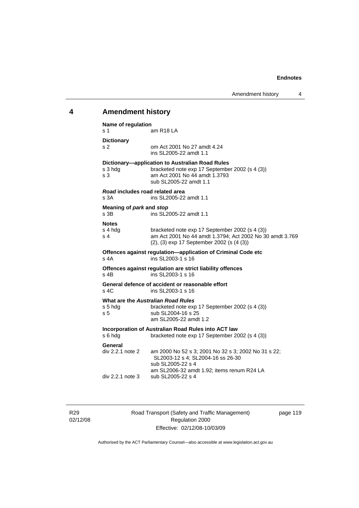# **4 Amendment history**

| Name of regulation                      |                                                                                                                                                              |  |  |
|-----------------------------------------|--------------------------------------------------------------------------------------------------------------------------------------------------------------|--|--|
| s 1                                     | am R18 LA                                                                                                                                                    |  |  |
| <b>Dictionary</b><br>s 2                | om Act 2001 No 27 amdt 4.24<br>ins SL2005-22 amdt 1.1                                                                                                        |  |  |
| s 3 hda<br>s <sub>3</sub>               | Dictionary-application to Australian Road Rules<br>bracketed note exp 17 September 2002 (s 4 (3))<br>am Act 2001 No 44 amdt 1.3793<br>sub SL2005-22 amdt 1.1 |  |  |
| Road includes road related area<br>s 3A | ins SL2005-22 amdt 1.1                                                                                                                                       |  |  |
| Meaning of park and stop<br>s 3B        | ins SL2005-22 amdt 1.1                                                                                                                                       |  |  |
| <b>Notes</b><br>s 4 hdg<br>s 4          | bracketed note exp 17 September 2002 (s 4 (3))<br>am Act 2001 No 44 amdt 1.3794; Act 2002 No 30 amdt 3.769<br>(2), (3) exp 17 September 2002 (s (4 (3))      |  |  |
| s 4A                                    | Offences against regulation-application of Criminal Code etc<br>ins SL2003-1 s 16                                                                            |  |  |
| $s$ 4 <sub>R</sub>                      | Offences against regulation are strict liability offences<br>ins SL2003-1 s 16                                                                               |  |  |
| s, 4C                                   | General defence of accident or reasonable effort<br>ins SL2003-1 s 16                                                                                        |  |  |
| s 5 hdg<br>s <sub>5</sub>               | What are the Australian Road Rules<br>bracketed note exp 17 September 2002 (s 4 (3))<br>sub SL2004-16 s 25<br>am SL2005-22 amdt 1.2                          |  |  |
| s 6 hdg                                 | Incorporation of Australian Road Rules into ACT law<br>bracketed note exp 17 September 2002 (s 4 (3))                                                        |  |  |
| General<br>div 2.2.1 note 2             | am 2000 No 52 s 3; 2001 No 32 s 3; 2002 No 31 s 22;<br>SL2003-12 s 4; SL2004-16 ss 26-30<br>sub SL2005-22 s 4<br>am SL2006-32 amdt 1.92; items renum R24 LA  |  |  |
| div 2.2.1 note 3                        | sub SL2005-22 s 4                                                                                                                                            |  |  |

R29 02/12/08 Road Transport (Safety and Traffic Management) Regulation 2000 Effective: 02/12/08-10/03/09

page 119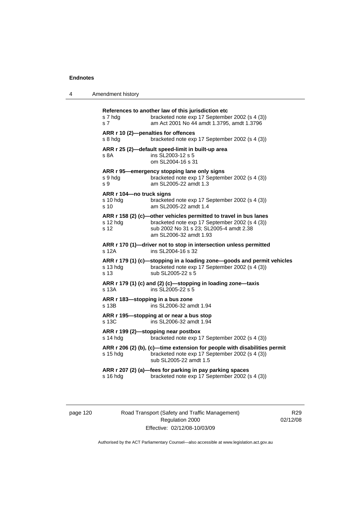| 4 | Amendment history |
|---|-------------------|
|---|-------------------|

| s 7 hda<br>s 7                                            | References to another law of this jurisdiction etc<br>bracketed note exp 17 September 2002 (s 4 (3))<br>am Act 2001 No 44 amdt 1.3795, amdt 1.3796                                       |
|-----------------------------------------------------------|------------------------------------------------------------------------------------------------------------------------------------------------------------------------------------------|
| ARR r 10 (2)-penalties for offences<br>s 8 hdg            | bracketed note exp 17 September 2002 (s 4 (3))                                                                                                                                           |
| s 8A                                                      | ARR r 25 (2)-default speed-limit in built-up area<br>ins SL2003-12 s 5<br>om SL2004-16 s 31                                                                                              |
| s 9 hda<br>s 9                                            | ARR r 95—emergency stopping lane only signs<br>bracketed note exp 17 September 2002 (s 4 (3))<br>am SL2005-22 amdt 1.3                                                                   |
| ARR r 104-no truck signs<br>$s$ 10 hdg<br>s <sub>10</sub> | bracketed note exp 17 September 2002 (s 4 (3))<br>am SL2005-22 amdt 1.4                                                                                                                  |
| s 12 hda<br>s 12                                          | ARR r 158 (2) (c)-other vehicles permitted to travel in bus lanes<br>bracketed note exp 17 September 2002 (s 4 (3))<br>sub 2002 No 31 s 23; SL2005-4 amdt 2.38<br>am SL2006-32 amdt 1.93 |
| s 12A                                                     | ARR r 170 (1)—driver not to stop in intersection unless permitted<br>ins SL2004-16 s 32                                                                                                  |
| s 13 hda<br>s 13                                          | ARR r 179 (1) (c)-stopping in a loading zone-goods and permit vehicles<br>bracketed note exp 17 September 2002 (s 4 (3))<br>sub SL2005-22 s 5                                            |
| s 13A                                                     | ARR r 179 (1) (c) and (2) (c)-stopping in loading zone-taxis<br>ins SL2005-22 s 5                                                                                                        |
| ARR r 183-stopping in a bus zone<br>s 13B                 | ins SL2006-32 amdt 1.94                                                                                                                                                                  |
| s 13C                                                     | ARR r 195—stopping at or near a bus stop<br>ins SL2006-32 amdt 1.94                                                                                                                      |
| $s$ 14 hdg                                                | ARR r 199 (2)-stopping near postbox<br>bracketed note exp 17 September 2002 (s 4 (3))                                                                                                    |
| $s$ 15 hdg                                                | ARR r 206 (2) (b), (c)—time extension for people with disabilities permit<br>bracketed note exp 17 September 2002 (s 4 (3))<br>sub SL2005-22 amdt 1.5                                    |
| s 16 hdg                                                  | ARR r 207 (2) (a)-fees for parking in pay parking spaces<br>bracketed note exp 17 September 2002 (s 4 (3))                                                                               |
|                                                           |                                                                                                                                                                                          |

page 120 Road Transport (Safety and Traffic Management) Regulation 2000 Effective: 02/12/08-10/03/09

R29 02/12/08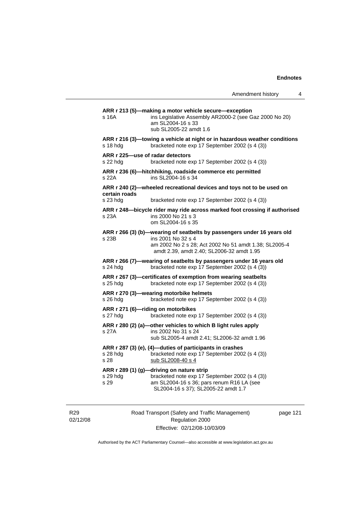| Amendment history |  |  |
|-------------------|--|--|
|-------------------|--|--|

**ARR r 213 (5)—making a motor vehicle secure—exception**  s 16A ins Legislative Assembly AR2000-2 (see Gaz 2000 No 20) am SL2004-16 s 33 sub SL2005-22 amdt 1.6 **ARR r 216 (3)—towing a vehicle at night or in hazardous weather conditions**  s 18 hdg bracketed note exp 17 September 2002 (s 4 (3)) **ARR r 225—use of radar detectors**  s 22 hdg bracketed note exp 17 September 2002 (s 4 (3)) **ARR r 236 (6)—hitchhiking, roadside commerce etc permitted**  s 22A ins SL2004-16 s 34 **ARR r 240 (2)—wheeled recreational devices and toys not to be used on certain roads**  s 23 hdg bracketed note exp 17 September 2002 (s 4 (3)) **ARR r 248—bicycle rider may ride across marked foot crossing if authorised**  s 23A ins 2000 No 21 s 3 om SL2004-16 s 35 **ARR r 266 (3) (b)—wearing of seatbelts by passengers under 16 years old**  s 23B ins 2001 No 32 s 4 am 2002 No 2 s 28; Act 2002 No 51 amdt 1.38; SL2005-4 amdt 2.39, amdt 2.40; SL2006-32 amdt 1.95 **ARR r 266 (7)—wearing of seatbelts by passengers under 16 years old**  s 24 hdg bracketed note exp 17 September 2002 (s 4 (3)) **ARR r 267 (3)—certificates of exemption from wearing seatbelts**  s 25 hdg bracketed note exp 17 September 2002 (s 4 (3)) **ARR r 270 (3)—wearing motorbike helmets**  s 26 hdg bracketed note exp 17 September 2002 (s 4 (3)) **ARR r 271 (6)—riding on motorbikes**  s 27 hdg bracketed note exp 17 September 2002 (s 4 (3)) **ARR r 280 (2) (a)—other vehicles to which B light rules apply**  s 27A ins 2002 No 31 s 24 sub SL2005-4 amdt 2.41; SL2006-32 amdt 1.96 **ARR r 287 (3) (e), (4)—duties of participants in crashes**  s 28 hdg bracketed note exp 17 September 2002 (s 4 (3)) s 28 sub SL2008-40 s 4 **ARR r 289 (1) (g)—driving on nature strip**  bracketed note exp 17 September 2002 (s 4 (3)) s 29 am SL2004-16 s 36; pars renum R16 LA (see SL2004-16 s 37); SL2005-22 amdt 1.7

R29 02/12/08 Road Transport (Safety and Traffic Management) Regulation 2000 Effective: 02/12/08-10/03/09

page 121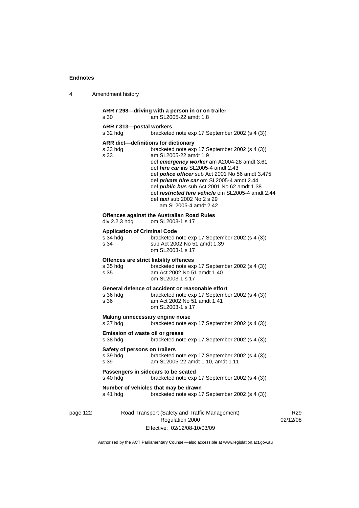| 4        | Amendment history                                                                                                                                                                                                                                                                                                                                                                                                                                                                                                 |
|----------|-------------------------------------------------------------------------------------------------------------------------------------------------------------------------------------------------------------------------------------------------------------------------------------------------------------------------------------------------------------------------------------------------------------------------------------------------------------------------------------------------------------------|
|          | ARR r 298-driving with a person in or on trailer<br>s 30<br>am SL2005-22 amdt 1.8                                                                                                                                                                                                                                                                                                                                                                                                                                 |
|          | ARR r 313-postal workers<br>bracketed note exp 17 September 2002 (s 4 (3))<br>s 32 hdg                                                                                                                                                                                                                                                                                                                                                                                                                            |
|          | ARR dict-definitions for dictionary<br>bracketed note exp 17 September 2002 (s 4 (3))<br>s 33 hdg<br>am SL2005-22 amdt 1.9<br>s 33<br>def emergency worker am A2004-28 amdt 3.61<br>def hire car ins SL2005-4 amdt 2.43<br>def <i>police officer</i> sub Act 2001 No 56 amdt 3.475<br>def <i>private hire car</i> om SL2005-4 amdt 2.44<br>def <i>public bus</i> sub Act 2001 No 62 amdt 1.38<br>def restricted hire vehicle om SL2005-4 amdt 2.44<br>def <i>taxi</i> sub 2002 No 2 s 29<br>am SL2005-4 amdt 2.42 |
|          | <b>Offences against the Australian Road Rules</b><br>div 2.2.3 hda<br>om SL2003-1 s 17                                                                                                                                                                                                                                                                                                                                                                                                                            |
|          | <b>Application of Criminal Code</b><br>s 34 hdg<br>bracketed note exp 17 September 2002 (s 4 (3))<br>s 34<br>sub Act 2002 No 51 amdt 1.39<br>om SL2003-1 s 17                                                                                                                                                                                                                                                                                                                                                     |
|          | Offences are strict liability offences<br>bracketed note exp 17 September 2002 (s 4 (3))<br>s 35 hdg<br>s 35<br>am Act 2002 No 51 amdt 1.40<br>om SL2003-1 s 17                                                                                                                                                                                                                                                                                                                                                   |
|          | General defence of accident or reasonable effort<br>bracketed note exp 17 September 2002 (s 4 (3))<br>s 36 hdg<br>s 36<br>am Act 2002 No 51 amdt 1.41<br>om SL2003-1 s 17                                                                                                                                                                                                                                                                                                                                         |
|          | Making unnecessary engine noise<br>s 37 hdg<br>bracketed note exp 17 September 2002 (s 4 (3))                                                                                                                                                                                                                                                                                                                                                                                                                     |
|          | Emission of waste oil or grease<br>bracketed note exp 17 September 2002 (s 4 (3))<br>s 38 hdg                                                                                                                                                                                                                                                                                                                                                                                                                     |
|          | Safety of persons on trailers<br>bracketed note exp 17 September 2002 (s 4 (3))<br>s 39 hdg<br>am SL2005-22 amdt 1.10, amdt 1.11<br>s 39                                                                                                                                                                                                                                                                                                                                                                          |
|          | Passengers in sidecars to be seated<br>s 40 hdg<br>bracketed note exp 17 September 2002 (s 4 (3))                                                                                                                                                                                                                                                                                                                                                                                                                 |
|          | Number of vehicles that may be drawn<br>bracketed note exp 17 September 2002 (s 4 (3))<br>s 41 hdg                                                                                                                                                                                                                                                                                                                                                                                                                |
| page 122 | Road Transport (Safety and Traffic Management)<br>Regulation 2000                                                                                                                                                                                                                                                                                                                                                                                                                                                 |

Effective: 02/12/08-10/03/09

R29 02/12/08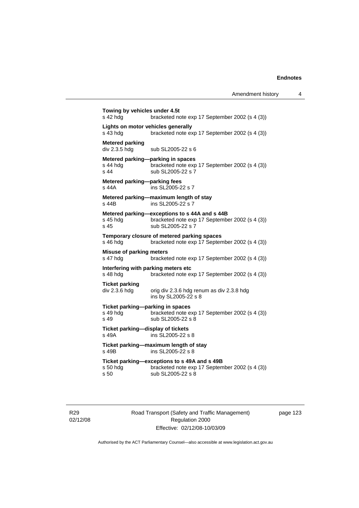**Towing by vehicles under 4.5t**  s 42 hdg bracketed note exp 17 September 2002 (s 4 (3)) **Lights on motor vehicles generally**  s 43 hdg bracketed note exp 17 September 2002 (s 4 (3)) **Metered parking**<br>div 2.3.5 hdg sub SL2005-22 s 6 **Metered parking—parking in spaces**  s 44 hdg<br>s 44 sub SI 2005-22 s 7<br>s 44 sub SI 2005-22 s 7 sub SL2005-22 s 7 **Metered parking—parking fees**  s 44A ins SL2005-22 s 7 **Metered parking—maximum length of stay**  s 44B ins SL2005-22 s 7 **Metered parking—exceptions to s 44A and s 44B**  s 45 hdg bracketed note exp 17 September 2002 (s 4 (3))<br>s 45 sub SL2005-22 s 7 sub SL2005-22 s 7 **Temporary closure of metered parking spaces**  s 46 hdg bracketed note exp 17 September 2002 (s 4 (3)) **Misuse of parking meters**  s 47 hdg bracketed note exp 17 September 2002 (s 4 (3)) **Interfering with parking meters etc**  bracketed note exp 17 September 2002 (s 4 (3)) **Ticket parking**  div 2.3.6 hdg orig div 2.3.6 hdg renum as div 2.3.8 hdg ins by SL2005-22 s 8 **Ticket parking—parking in spaces**  s 49 hdg bracketed note exp 17 September 2002 (s 4 (3)) s 49 sub SL2005-22 s 8 **Ticket parking—display of tickets**  s 49A ins SL2005-22 s 8 **Ticket parking—maximum length of stay**  s 49B ins SL2005-22 s 8 **Ticket parking—exceptions to s 49A and s 49B**  s 50 hdg bracketed note exp 17 September 2002 (s 4 (3)) s 50 sub SL2005-22 s 8

R29 02/12/08 Road Transport (Safety and Traffic Management) Regulation 2000 Effective: 02/12/08-10/03/09

page 123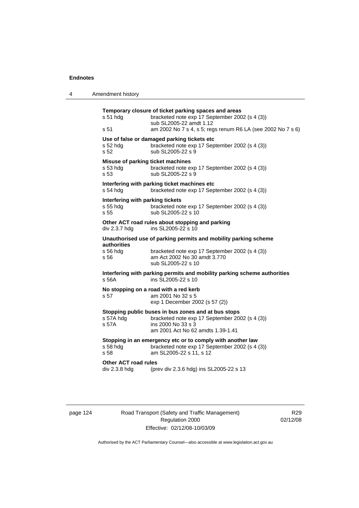| 4 | Amendment history                                                                                                                                                                                                    |
|---|----------------------------------------------------------------------------------------------------------------------------------------------------------------------------------------------------------------------|
|   | Temporary closure of ticket parking spaces and areas<br>s 51 hdg<br>bracketed note exp 17 September 2002 (s 4 (3))<br>sub SL2005-22 amdt 1.12<br>am 2002 No 7 s 4, s 5; regs renum R6 LA (see 2002 No 7 s 6)<br>s 51 |
|   | Use of false or damaged parking tickets etc<br>s 52 hdg<br>bracketed note exp 17 September 2002 (s 4 (3))<br>s 52<br>sub SL2005-22 s 9                                                                               |
|   | Misuse of parking ticket machines<br>s 53 hdg<br>bracketed note exp 17 September 2002 (s 4 (3))<br>sub SL2005-22 s 9<br>s 53                                                                                         |
|   | Interfering with parking ticket machines etc<br>$s$ 54 hdg<br>bracketed note exp 17 September 2002 (s 4 (3))                                                                                                         |
|   | Interfering with parking tickets<br>s 55 hdg<br>bracketed note exp 17 September 2002 (s 4 (3))<br>s <sub>55</sub><br>sub SL2005-22 s 10                                                                              |
|   | Other ACT road rules about stopping and parking<br>ins SL2005-22 s 10<br>div 2.3.7 hdg                                                                                                                               |
|   | Unauthorised use of parking permits and mobility parking scheme<br><b>authorities</b><br>s 56 hdg<br>bracketed note exp 17 September 2002 (s 4 (3))<br>am Act 2002 No 30 amdt 3.770<br>s 56<br>sub SL2005-22 s 10    |
|   | Interfering with parking permits and mobility parking scheme authorities<br>s 56A<br>ins SL2005-22 s 10                                                                                                              |
|   | No stopping on a road with a red kerb<br>s 57<br>am 2001 No 32 s 5<br>exp 1 December 2002 (s 57 (2))                                                                                                                 |
|   | Stopping public buses in bus zones and at bus stops<br>s 57A hdg<br>bracketed note exp 17 September 2002 (s 4 (3))<br>ins 2000 No 33 s 3<br>s 57A<br>am 2001 Act No 62 amdts 1.39-1.41                               |
|   | Stopping in an emergency etc or to comply with another law<br>s 58 hdg<br>bracketed note exp 17 September 2002 (s 4 (3))<br>am SL2005-22 s 11, s 12<br>s 58                                                          |
|   | Other ACT road rules<br>div 2.3.8 hdg<br>(prev div 2.3.6 hdg) ins SL2005-22 s 13                                                                                                                                     |
|   |                                                                                                                                                                                                                      |

page 124 Road Transport (Safety and Traffic Management) Regulation 2000 Effective: 02/12/08-10/03/09

R29 02/12/08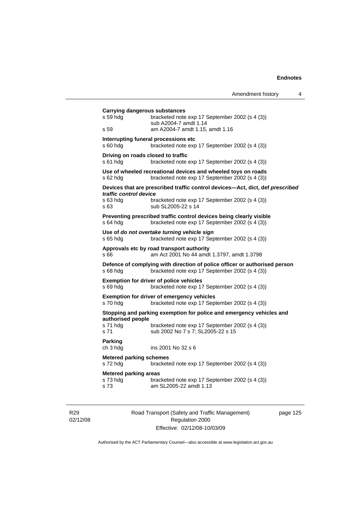|                                                   |                                                                                                                              | Amendment history | 4 |
|---------------------------------------------------|------------------------------------------------------------------------------------------------------------------------------|-------------------|---|
| Carrying dangerous substances<br>s 59 hdg<br>s 59 | bracketed note exp 17 September 2002 (s 4 (3))<br>sub A2004-7 amdt 1.14<br>am A2004-7 amdt 1.15, amdt 1.16                   |                   |   |
| s 60 hdg                                          | Interrupting funeral processions etc<br>bracketed note exp 17 September 2002 (s 4 (3))                                       |                   |   |
| Driving on roads closed to traffic<br>s 61 hdg    | bracketed note exp 17 September 2002 (s 4 (3))                                                                               |                   |   |
| s 62 hdg                                          | Use of wheeled recreational devices and wheeled toys on roads<br>bracketed note exp 17 September 2002 (s 4 (3))              |                   |   |
|                                                   | Devices that are prescribed traffic control devices—Act, dict, def prescribed                                                |                   |   |
| traffic control device<br>s 63 hdg<br>s 63        | bracketed note exp 17 September 2002 (s 4 (3))<br>sub SL2005-22 s 14                                                         |                   |   |
| $s$ 64 hdg                                        | Preventing prescribed traffic control devices being clearly visible<br>bracketed note exp 17 September 2002 (s 4 (3))        |                   |   |
| s 65 hdg                                          | Use of do not overtake turning vehicle sign<br>bracketed note exp 17 September 2002 (s 4 (3))                                |                   |   |
| s 66                                              | Approvals etc by road transport authority<br>am Act 2001 No 44 amdt 1.3797, amdt 1.3798                                      |                   |   |
| s 68 hdg                                          | Defence of complying with direction of police officer or authorised person<br>bracketed note exp 17 September 2002 (s 4 (3)) |                   |   |
| s 69 hda                                          | <b>Exemption for driver of police vehicles</b><br>bracketed note exp 17 September 2002 (s 4 (3))                             |                   |   |
| s 70 hdg                                          | <b>Exemption for driver of emergency vehicles</b><br>bracketed note exp 17 September 2002 (s 4 (3))                          |                   |   |
|                                                   | Stopping and parking exemption for police and emergency vehicles and                                                         |                   |   |
| authorised people<br>s 71 hdg<br>s 71             | bracketed note exp 17 September 2002 (s 4 (3))<br>sub 2002 No 7 s 7; SL2005-22 s 15                                          |                   |   |
| <b>Parking</b><br>ch 3 hdg                        | ins 2001 No 32 s 6                                                                                                           |                   |   |
| <b>Metered parking schemes</b><br>s 72 hdg        | bracketed note exp 17 September 2002 (s 4 (3))                                                                               |                   |   |
| <b>Metered parking areas</b><br>s 73 hdg<br>s 73  | bracketed note exp 17 September 2002 (s 4 (3))<br>am SL2005-22 amdt 1.13                                                     |                   |   |

R29 02/12/08 Road Transport (Safety and Traffic Management) Regulation 2000 Effective: 02/12/08-10/03/09

page 125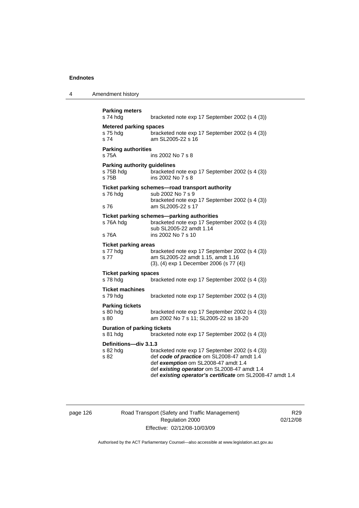4 Amendment history

| <b>Parking meters</b><br>s 74 hdg                         | bracketed note exp 17 September 2002 (s 4 (3))                                                                                                                                                                                                  |
|-----------------------------------------------------------|-------------------------------------------------------------------------------------------------------------------------------------------------------------------------------------------------------------------------------------------------|
| <b>Metered parking spaces</b><br>s 75 hdg<br>s 74         | bracketed note exp 17 September 2002 (s 4 (3))<br>am SL2005-22 s 16                                                                                                                                                                             |
| <b>Parking authorities</b><br>s 75A                       | ins 2002 No 7 s 8                                                                                                                                                                                                                               |
| <b>Parking authority guidelines</b><br>s 75B hdg<br>s 75B | bracketed note exp 17 September 2002 (s 4 (3))<br>ins 2002 No 7 s 8                                                                                                                                                                             |
| s 76 hdg<br>s 76                                          | Ticket parking schemes-road transport authority<br>sub 2002 No 7 s 9<br>bracketed note exp 17 September 2002 (s 4 (3))<br>am SL2005-22 s 17                                                                                                     |
| s 76A hdg<br>s 76A                                        | Ticket parking schemes-parking authorities<br>bracketed note exp 17 September 2002 (s 4 (3))<br>sub SL2005-22 amdt 1.14<br>ins 2002 No 7 s 10                                                                                                   |
| <b>Ticket parking areas</b><br>s 77 hdg<br>s 77           | bracketed note exp 17 September 2002 (s 4 (3))<br>am SL2005-22 amdt 1.15, amdt 1.16<br>(3), (4) exp 1 December 2006 (s 77 (4))                                                                                                                  |
| <b>Ticket parking spaces</b><br>s 78 hdg                  | bracketed note exp 17 September 2002 (s 4 (3))                                                                                                                                                                                                  |
| <b>Ticket machines</b><br>s 79 hdg                        | bracketed note exp 17 September 2002 (s 4 (3))                                                                                                                                                                                                  |
| <b>Parking tickets</b><br>s 80 hdg<br>s 80                | bracketed note exp 17 September 2002 (s 4 (3))<br>am 2002 No 7 s 11; SL2005-22 ss 18-20                                                                                                                                                         |
| <b>Duration of parking tickets</b><br>s 81 hdg            | bracketed note exp 17 September 2002 (s 4 (3))                                                                                                                                                                                                  |
| Definitions-div 3.1.3<br>s 82 hda<br>s 82                 | bracketed note exp 17 September 2002 (s 4 (3))<br>def code of practice om SL2008-47 amdt 1.4<br>def exemption om SL2008-47 amdt 1.4<br>def existing operator om SL2008-47 amdt 1.4<br>def existing operator's certificate om SL2008-47 amdt 1.4 |

# page 126 Road Transport (Safety and Traffic Management) Regulation 2000 Effective: 02/12/08-10/03/09

R29 02/12/08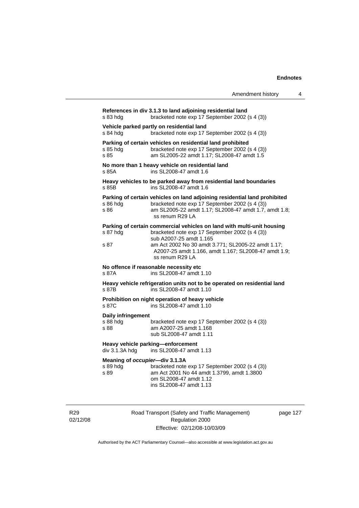$\overline{4}$ 

|                                                    | Amendment history                                                                                                                                                                                                                                                                    |
|----------------------------------------------------|--------------------------------------------------------------------------------------------------------------------------------------------------------------------------------------------------------------------------------------------------------------------------------------|
| s 83 hdg                                           | References in div 3.1.3 to land adjoining residential land<br>bracketed note exp 17 September 2002 (s 4 (3))                                                                                                                                                                         |
| s 84 hdg                                           | Vehicle parked partly on residential land<br>bracketed note exp 17 September 2002 (s 4 (3))                                                                                                                                                                                          |
| s 85 hdg<br>s 85                                   | Parking of certain vehicles on residential land prohibited<br>bracketed note exp 17 September 2002 (s 4 (3))<br>am SL2005-22 amdt 1.17; SL2008-47 amdt 1.5                                                                                                                           |
| s 85A                                              | No more than 1 heavy vehicle on residential land<br>ins SL2008-47 amdt 1.6                                                                                                                                                                                                           |
| s 85B                                              | Heavy vehicles to be parked away from residential land boundaries<br>ins SL2008-47 amdt 1.6                                                                                                                                                                                          |
| s 86 hda<br>s 86                                   | Parking of certain vehicles on land adjoining residential land prohibited<br>bracketed note exp 17 September 2002 (s 4 (3))<br>am SL2005-22 amdt 1.17; SL2008-47 amdt 1.7, amdt 1.8;<br>ss renum R29 LA                                                                              |
| s 87 hdg<br>s 87                                   | Parking of certain commercial vehicles on land with multi-unit housing<br>bracketed note exp 17 September 2002 (s 4 (3))<br>sub A2007-25 amdt 1.165<br>am Act 2002 No 30 amdt 3.771; SL2005-22 amdt 1.17;<br>A2007-25 amdt 1.166, amdt 1.167; SL2008-47 amdt 1.9;<br>ss renum R29 LA |
| s 87A                                              | No offence if reasonable necessity etc<br>ins SL2008-47 amdt 1.10                                                                                                                                                                                                                    |
| s 87B                                              | Heavy vehicle refrigeration units not to be operated on residential land<br>ins SL2008-47 amdt 1.10                                                                                                                                                                                  |
| s 87C                                              | Prohibition on night operation of heavy vehicle<br>ins SL2008-47 amdt 1.10                                                                                                                                                                                                           |
| Daily infringement<br>s 88 hdg<br>s 88             | bracketed note exp 17 September 2002 (s 4 (3))<br>am A2007-25 amdt 1.168<br>sub SL2008-47 amdt 1.11                                                                                                                                                                                  |
| div 3.1.3A hdg                                     | Heavy vehicle parking—enforcement<br>ins SL2008-47 amdt 1.13                                                                                                                                                                                                                         |
| Meaning of occupier-div 3.1.3A<br>s 89 hda<br>s 89 | bracketed note exp 17 September 2002 (s 4 (3))<br>am Act 2001 No 44 amdt 1.3799, amdt 1.3800<br>om SL2008-47 amdt 1.12<br>ins SL2008-47 amdt 1.13                                                                                                                                    |

R29 02/12/08 Road Transport (Safety and Traffic Management) Regulation 2000 Effective: 02/12/08-10/03/09

page 127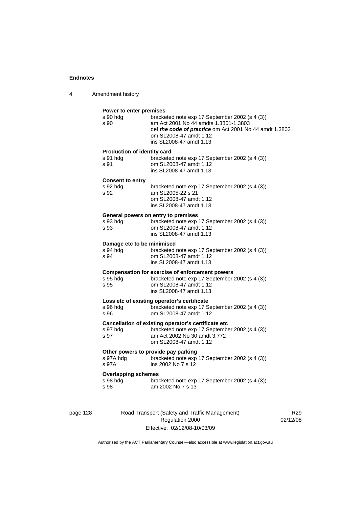| 4 | Amendment history |
|---|-------------------|
|---|-------------------|

#### **Power to enter premises**

| s 90 hdg<br>s 90            | bracketed note exp 17 September 2002 (s 4 (3))<br>am Act 2001 No 44 amdts 1.3801-1.3803<br>def the code of practice om Act 2001 No 44 amdt 1.3803<br>om SL2008-47 amdt 1.12<br>ins SL2008-47 amdt 1.13 |
|-----------------------------|--------------------------------------------------------------------------------------------------------------------------------------------------------------------------------------------------------|
| Production of identity card |                                                                                                                                                                                                        |
| s 91 hdg<br>s 91            | bracketed note exp 17 September 2002 (s 4 (3))<br>om SL2008-47 amdt 1.12<br>ins SL2008-47 amdt 1.13                                                                                                    |
| <b>Consent to entry</b>     |                                                                                                                                                                                                        |
| s 92 hdg<br>s 92            | bracketed note exp 17 September 2002 (s 4 (3))<br>am SL2005-22 s 21<br>om SL2008-47 amdt 1.12<br>ins SL2008-47 amdt 1.13                                                                               |
|                             | General powers on entry to premises                                                                                                                                                                    |
| s 93 hdg<br>s 93            | bracketed note exp 17 September 2002 (s 4 (3))<br>om SL2008-47 amdt 1.12<br>ins SL2008-47 amdt 1.13                                                                                                    |
| Damage etc to be minimised  |                                                                                                                                                                                                        |
| s 94 hdg<br>s 94            | bracketed note exp 17 September 2002 (s 4 (3))<br>om SL2008-47 amdt 1.12<br>ins SL2008-47 amdt 1.13                                                                                                    |
|                             | <b>Compensation for exercise of enforcement powers</b>                                                                                                                                                 |
| s 95 hdg<br>s 95            | bracketed note exp 17 September 2002 (s 4 (3))<br>om SL2008-47 amdt 1.12<br>ins SL2008-47 amdt 1.13                                                                                                    |
|                             | Loss etc of existing operator's certificate                                                                                                                                                            |
| s 96 hda<br>s 96            | bracketed note exp 17 September 2002 (s 4 (3))<br>om SL2008-47 amdt 1.12                                                                                                                               |
|                             | Cancellation of existing operator's certificate etc                                                                                                                                                    |
| s 97 hdg<br>s 97            | bracketed note exp 17 September 2002 (s 4 (3))<br>am Act 2002 No 30 amdt 3.772<br>om SL2008-47 amdt 1.12                                                                                               |
|                             | Other powers to provide pay parking                                                                                                                                                                    |
| s 97A hdg<br>s 97A          | bracketed note exp 17 September 2002 (s 4 (3))<br>ins 2002 No 7 s 12                                                                                                                                   |
| <b>Overlapping schemes</b>  |                                                                                                                                                                                                        |
| s 98 hdg<br>s 98            | bracketed note exp 17 September 2002 (s 4 (3))<br>am 2002 No 7 s 13                                                                                                                                    |
|                             |                                                                                                                                                                                                        |

page 128 Road Transport (Safety and Traffic Management) Regulation 2000 Effective: 02/12/08-10/03/09

R29 02/12/08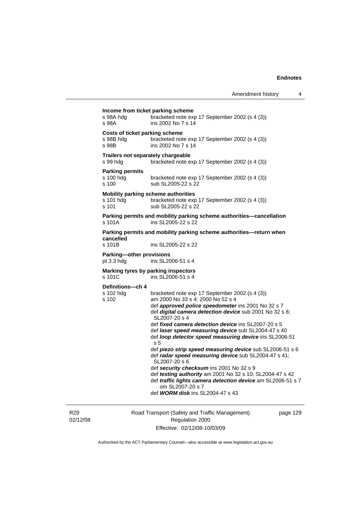|                          | Income from ticket parking scheme                                                                                                           |
|--------------------------|---------------------------------------------------------------------------------------------------------------------------------------------|
| s 98A hdg<br>s 98A       | bracketed note exp 17 September 2002 (s 4 (3))<br>ins 2002 No 7 s 14                                                                        |
|                          |                                                                                                                                             |
| s 98B hdg<br>s 98B       | <b>Costs of ticket parking scheme</b><br>bracketed note exp 17 September 2002 (s 4 (3))<br>ins 2002 No 7 s 14                               |
|                          | Trailers not separately chargeable                                                                                                          |
| s 99 hdg                 | bracketed note exp 17 September 2002 (s 4 (3))                                                                                              |
| <b>Parking permits</b>   |                                                                                                                                             |
| s 100 hdg<br>s 100       | bracketed note exp 17 September 2002 (s 4 (3))<br>sub SL2005-22 s 22                                                                        |
|                          | Mobility parking scheme authorities                                                                                                         |
| s 101 hdg<br>s 101       | bracketed note exp 17 September 2002 (s 4 (3))<br>sub SL2005-22 s 22                                                                        |
| s 101A                   | Parking permits and mobility parking scheme authorities-cancellation<br>ins SL2005-22 s 22                                                  |
|                          | Parking permits and mobility parking scheme authorities-return when                                                                         |
| cancelled<br>s 101B      | ins SL2005-22 s 22                                                                                                                          |
| Parking-other provisions |                                                                                                                                             |
| pt 3.3 hdg               | ins SL2006-51 s 4                                                                                                                           |
| s 101C                   | Marking tyres by parking inspectors<br>ins SL2006-51 s 4                                                                                    |
| Definitions-ch 4         |                                                                                                                                             |
| s 102 hdg<br>s 102       | bracketed note exp 17 September 2002 (s 4 (3))<br>am 2000 No 33 s 4; 2000 No 52 s 4                                                         |
|                          | def approved police speedometer ins 2001 No 32 s 7<br>def digital camera detection device sub 2001 No 32 s 8;<br>SL2007-20 s 4              |
|                          | def <i>fixed camera detection device</i> ins SL2007-20 s 5                                                                                  |
|                          | def laser speed measuring device sub SL2004-47 s 40                                                                                         |
|                          | def loop detector speed measuring device ins SL2006-51<br>s <sub>5</sub>                                                                    |
|                          | def piezo strip speed measuring device sub SL2006-51 s 6                                                                                    |
|                          | def radar speed measuring device sub SL2004-47 s 41;                                                                                        |
|                          | SL2007-20 s 6                                                                                                                               |
|                          | def security checksum ins 2001 No 32 s 9                                                                                                    |
|                          | def testing authority am 2001 No 32 s 10; SL2004-47 s 42<br>def traffic lights camera detection device am SL2006-51 s 7<br>om SL2007-20 s 7 |

R29 02/12/08 Road Transport (Safety and Traffic Management) Regulation 2000 Effective: 02/12/08-10/03/09

page 129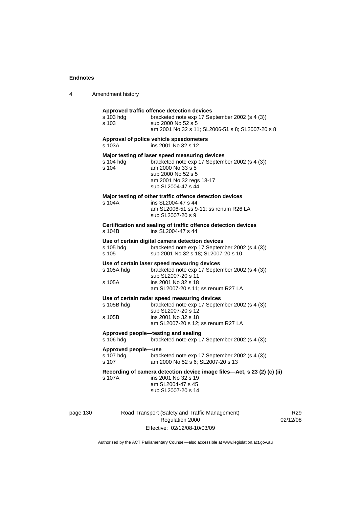|  | Amendment history |
|--|-------------------|
|--|-------------------|

| s 103 hda<br>s 103                               | Approved traffic offence detection devices<br>bracketed note exp 17 September 2002 (s 4 (3))<br>sub 2000 No 52 s 5<br>am 2001 No 32 s 11; SL2006-51 s 8; SL2007-20 s 8                        |
|--------------------------------------------------|-----------------------------------------------------------------------------------------------------------------------------------------------------------------------------------------------|
| s 103A                                           | Approval of police vehicle speedometers<br>ins 2001 No 32 s 12                                                                                                                                |
| s 104 hdg<br>s 104                               | Major testing of laser speed measuring devices<br>bracketed note exp 17 September 2002 (s 4 (3))<br>am 2000 No 33 s 5<br>sub 2000 No 52 s 5<br>am 2001 No 32 regs 13-17<br>sub SL2004-47 s 44 |
| s 104A                                           | Major testing of other traffic offence detection devices<br>ins SL2004-47 s 44<br>am SL2006-51 ss 9-11; ss renum R26 LA<br>sub SL2007-20 s 9                                                  |
| s 104B                                           | Certification and sealing of traffic offence detection devices<br>ins SL2004-47 s 44                                                                                                          |
| s 105 hdg<br>s 105                               | Use of certain digital camera detection devices<br>bracketed note exp 17 September 2002 (s 4 (3))<br>sub 2001 No 32 s 18; SL2007-20 s 10                                                      |
| s 105A hdg<br>s 105A                             | Use of certain laser speed measuring devices<br>bracketed note exp 17 September 2002 (s 4 (3))<br>sub SL2007-20 s 11<br>ins 2001 No 32 s 18<br>am SL2007-20 s 11; ss renum R27 LA             |
| s 105B hdg<br>s 105B                             | Use of certain radar speed measuring devices<br>bracketed note exp 17 September 2002 (s 4 (3))<br>sub SL2007-20 s 12<br>ins 2001 No 32 s 18<br>am SL2007-20 s 12; ss renum R27 LA             |
| Approved people-testing and sealing<br>s 106 hdg | bracketed note exp 17 September 2002 (s 4 (3))                                                                                                                                                |
| Approved people-use<br>s 107 hdg<br>$s$ 107      | bracketed note exp 17 September 2002 (s 4 (3))<br>am 2000 No 52 s 6; SL2007-20 s 13                                                                                                           |
| s 107A                                           | Recording of camera detection device image files-Act, s 23 (2) (c) (ii)<br>ins 2001 No 32 s 19<br>am SL2004-47 s 45<br>sub SL2007-20 s 14                                                     |

page 130 Road Transport (Safety and Traffic Management) Regulation 2000 Effective: 02/12/08-10/03/09

R29 02/12/08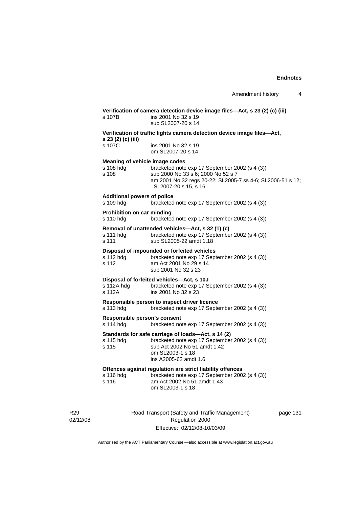| s 107B                                          | ins 2001 No 32 s 19<br>sub SL2007-20 s 14                                                                                                                                                                    |
|-------------------------------------------------|--------------------------------------------------------------------------------------------------------------------------------------------------------------------------------------------------------------|
| s 23 (2) (c) (iii)                              | Verification of traffic lights camera detection device image files-Act,                                                                                                                                      |
| s 107C                                          | ins 2001 No 32 s 19<br>om SL2007-20 s 14                                                                                                                                                                     |
| s 108 hdg<br>s 108                              | Meaning of vehicle image codes<br>bracketed note exp 17 September 2002 (s 4 (3))<br>sub 2000 No 33 s 6; 2000 No 52 s 7<br>am 2001 No 32 regs 20-22; SL2005-7 ss 4-6; SL2006-51 s 12;<br>SL2007-20 s 15, s 16 |
| <b>Additional powers of police</b><br>s 109 hdg | bracketed note exp 17 September 2002 (s 4 (3))                                                                                                                                                               |
| Prohibition on car minding<br>s 110 hdg         | bracketed note exp 17 September 2002 (s 4 (3))                                                                                                                                                               |
| s 111 hdg<br>s 111                              | Removal of unattended vehicles—Act, s 32 (1) (c)<br>bracketed note exp 17 September 2002 (s 4 (3))<br>sub SL2005-22 amdt 1.18                                                                                |
| s 112 hdg<br>s 112                              | Disposal of impounded or forfeited vehicles<br>bracketed note exp 17 September 2002 (s 4 (3))<br>am Act 2001 No 29 s 14<br>sub 2001 No 32 s 23                                                               |
| s 112A hdg<br>s 112A                            | Disposal of forfeited vehicles-Act, s 10J<br>bracketed note exp 17 September 2002 (s 4 (3))<br>ins 2001 No 32 s 23                                                                                           |
| s 113 hdg                                       | Responsible person to inspect driver licence<br>bracketed note exp 17 September 2002 (s 4 (3))                                                                                                               |
| s 114 hdg                                       | Responsible person's consent<br>bracketed note exp 17 September 2002 (s 4 (3))                                                                                                                               |
| s 115 hdg<br>s 115                              | Standards for safe carriage of loads-Act, s 14 (2)<br>bracketed note exp 17 September 2002 (s 4 (3))<br>sub Act 2002 No 51 amdt 1.42<br>om SL2003-1 s 18<br>ins A2005-62 amdt 1.6                            |
| s 116 hdg<br>s 116                              | Offences against regulation are strict liability offences<br>bracketed note exp 17 September 2002 (s 4 (3))<br>am Act 2002 No 51 amdt 1.43<br>om SL2003-1 s 18                                               |

R29 02/12/08 Road Transport (Safety and Traffic Management) Regulation 2000 Effective: 02/12/08-10/03/09

page 131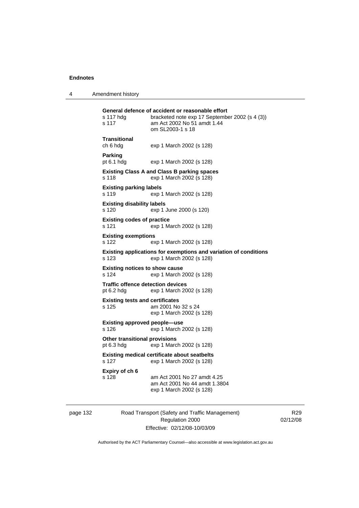4 Amendment history

| s 117 hdg<br>s 117                                     | General defence of accident or reasonable effort<br>bracketed note exp 17 September 2002 (s 4 (3))<br>am Act 2002 No 51 amdt 1.44<br>om SL2003-1 s 18 |
|--------------------------------------------------------|-------------------------------------------------------------------------------------------------------------------------------------------------------|
| Transitional<br>ch 6 hdg                               | exp 1 March 2002 (s 128)                                                                                                                              |
| Parking<br>pt 6.1 hdg                                  | exp 1 March 2002 (s 128)                                                                                                                              |
| s 118                                                  | <b>Existing Class A and Class B parking spaces</b><br>exp 1 March 2002 (s 128)                                                                        |
| <b>Existing parking labels</b><br>s 119                | exp 1 March 2002 (s 128)                                                                                                                              |
| <b>Existing disability labels</b><br>s 120             | exp 1 June 2000 (s 120)                                                                                                                               |
| <b>Existing codes of practice</b><br>s 121             | exp 1 March 2002 (s 128)                                                                                                                              |
| <b>Existing exemptions</b><br>s 122                    | exp 1 March 2002 (s 128)                                                                                                                              |
| s 123                                                  | Existing applications for exemptions and variation of conditions<br>exp 1 March 2002 (s 128)                                                          |
| <b>Existing notices to show cause</b><br>s 124         | exp 1 March 2002 (s 128)                                                                                                                              |
| <b>Traffic offence detection devices</b><br>pt 6.2 hdg | exp 1 March 2002 (s 128)                                                                                                                              |
| <b>Existing tests and certificates</b><br>s 125        | am 2001 No 32 s 24<br>exp 1 March 2002 (s 128)                                                                                                        |
| Existing approved people—use<br>s 126                  | exp 1 March 2002 (s 128)                                                                                                                              |
| <b>Other transitional provisions</b><br>pt 6.3 hdg     | exp 1 March 2002 (s 128)                                                                                                                              |
| s 127                                                  | <b>Existing medical certificate about seatbelts</b><br>exp 1 March 2002 (s 128)                                                                       |
| Expiry of ch 6<br>s 128                                | am Act 2001 No 27 amdt 4.25<br>am Act 2001 No 44 amdt 1.3804<br>exp 1 March 2002 (s 128)                                                              |

page 132 Road Transport (Safety and Traffic Management) Regulation 2000 Effective: 02/12/08-10/03/09

R29 02/12/08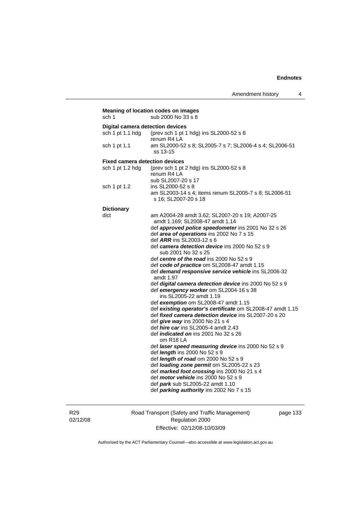| sch 1                                   | Meaning of location codes on images<br>sub 2000 No 33 s 8            |
|-----------------------------------------|----------------------------------------------------------------------|
| <b>Digital camera detection devices</b> |                                                                      |
| sch 1 pt 1.1 hdg                        | (prev sch 1 pt 1 hdg) ins SL2000-52 s 8                              |
|                                         | renum R4 LA                                                          |
| sch 1 pt 1.1                            | am SL2000-52 s 8; SL2005-7 s 7; SL2006-4 s 4; SL2006-51              |
|                                         | ss 13-15                                                             |
|                                         |                                                                      |
| <b>Fixed camera detection devices</b>   |                                                                      |
| sch 1 pt 1.2 hdg                        | (prev sch 1 pt 2 hdg) ins SL2000-52 s 8                              |
|                                         | renum R4 LA                                                          |
|                                         | sub SL2007-20 s 17                                                   |
| sch 1 pt 1.2                            | ins SL2000-52 s 8                                                    |
|                                         | am SL2003-14 s 4; items renum SL2005-7 s 8; SL2006-51                |
|                                         | s 16; SL2007-20 s 18                                                 |
| <b>Dictionary</b>                       |                                                                      |
| dict                                    | am A2004-28 amdt 3.62; SL2007-20 s 19; A2007-25                      |
|                                         | amdt 1.169; SL2008-47 amdt 1.14                                      |
|                                         | def approved police speedometer ins 2001 No 32 s 26                  |
|                                         | def area of operations ins 2002 No 7 s 15                            |
|                                         | def ARR ins SL2003-12 s 6                                            |
|                                         | def camera detection device ins 2000 No 52 s 9                       |
|                                         | sub 2001 No 32 s 25                                                  |
|                                         | def centre of the road ins 2000 No 52 s 9                            |
|                                         | def code of practice om SL2008-47 amdt 1.15                          |
|                                         | def demand responsive service vehicle ins SL2006-32                  |
|                                         | amdt 1.97                                                            |
|                                         | def digital camera detection device ins 2000 No 52 s 9               |
|                                         | def emergency worker om SL2004-16 s 38                               |
|                                         | ins SL2005-22 amdt 1.19                                              |
|                                         | def exemption om SL2008-47 amdt 1.15                                 |
|                                         | def existing operator's certificate om SL2008-47 amdt 1.15           |
|                                         | def fixed camera detection device ins SL2007-20 s 20                 |
|                                         | def give way ins 2000 No 21 s 4                                      |
|                                         | def hire car ins SL2005-4 amdt 2.43                                  |
|                                         | def <i>indicated on</i> ins 2001 No 32 s 26<br>om R <sub>18</sub> LA |
|                                         | def laser speed measuring device ins 2000 No 52 s 9                  |
|                                         | def <i>length</i> ins 2000 No 52 s 9                                 |
|                                         | def length of road om 2000 No 52 s 9                                 |
|                                         | def loading zone permit om SL2005-22 s 23                            |
|                                         | def marked foot crossing ins 2000 No 21 s 4                          |
|                                         | def <i>motor vehicle</i> ins 2000 No 52 s 9                          |
|                                         | def park sub SL2005-22 amdt 1.10                                     |
|                                         | def parking authority ins 2002 No 7 s 15                             |
|                                         |                                                                      |

R29 02/12/08 Road Transport (Safety and Traffic Management) Regulation 2000 Effective: 02/12/08-10/03/09

page 133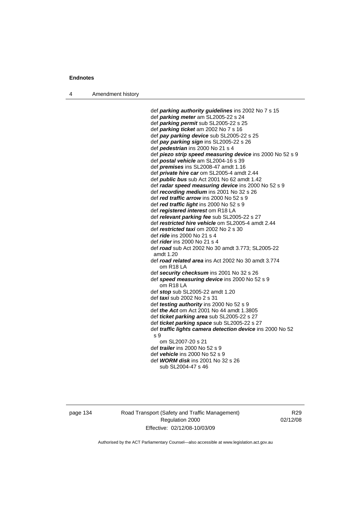4 Amendment history

 def *parking authority guidelines* ins 2002 No 7 s 15 def *parking meter* am SL2005-22 s 24 def *parking permit* sub SL2005-22 s 25 def *parking ticket* am 2002 No 7 s 16 def *pay parking device* sub SL2005-22 s 25 def *pay parking sign* ins SL2005-22 s 26 def *pedestrian* ins 2000 No 21 s 4 def *piezo strip speed measuring device* ins 2000 No 52 s 9 def *postal vehicle* am SL2004-16 s 39 def *premises* ins SL2008-47 amdt 1.16 def *private hire car* om SL2005-4 amdt 2.44 def *public bus* sub Act 2001 No 62 amdt 1.42 def *radar speed measuring device* ins 2000 No 52 s 9 def *recording medium* ins 2001 No 32 s 26 def *red traffic arrow* ins 2000 No 52 s 9 def *red traffic light* ins 2000 No 52 s 9 def *registered interest* om R18 LA def *relevant parking fee* sub SL2005-22 s 27 def *restricted hire vehicle* om SL2005-4 amdt 2.44 def *restricted taxi* om 2002 No 2 s 30 def *ride* ins 2000 No 21 s 4 def *rider* ins 2000 No 21 s 4 def *road* sub Act 2002 No 30 amdt 3.773; SL2005-22 amdt 1.20 def *road related area* ins Act 2002 No 30 amdt 3.774 om R18 LA def *security checksum* ins 2001 No 32 s 26 def *speed measuring device* ins 2000 No 52 s 9 om R18 LA def *stop* sub SL2005-22 amdt 1.20 def *taxi* sub 2002 No 2 s 31 def *testing authority* ins 2000 No 52 s 9 def *the Act* om Act 2001 No 44 amdt 1.3805 def *ticket parking area* sub SL2005-22 s 27 def *ticket parking space* sub SL2005-22 s 27 def *traffic lights camera detection device* ins 2000 No 52 s 9 om SL2007-20 s 21 def *trailer* ins 2000 No 52 s 9 def *vehicle* ins 2000 No 52 s 9 def *WORM disk* ins 2001 No 32 s 26 sub SL2004-47 s 46

page 134 Road Transport (Safety and Traffic Management) Regulation 2000 Effective: 02/12/08-10/03/09

R29 02/12/08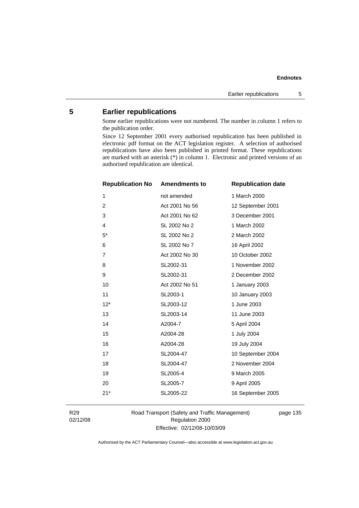#### **Endnotes**

# **5 Earlier republications**

Some earlier republications were not numbered. The number in column 1 refers to the publication order.

Since 12 September 2001 every authorised republication has been published in electronic pdf format on the ACT legislation register. A selection of authorised republications have also been published in printed format. These republications are marked with an asterisk (\*) in column 1. Electronic and printed versions of an authorised republication are identical.

| <b>Republication No</b> | <b>Amendments to</b> | <b>Republication date</b> |
|-------------------------|----------------------|---------------------------|
| 1                       | not amended          | 1 March 2000              |
| $\overline{2}$          | Act 2001 No 56       | 12 September 2001         |
| 3                       | Act 2001 No 62       | 3 December 2001           |
| 4                       | SL 2002 No 2         | 1 March 2002              |
| $5*$                    | SL 2002 No 2         | 2 March 2002              |
| 6                       | SL 2002 No 7         | 16 April 2002             |
| 7                       | Act 2002 No 30       | 10 October 2002           |
| 8                       | SL2002-31            | 1 November 2002           |
| 9                       | SL2002-31            | 2 December 2002           |
| 10                      | Act 2002 No 51       | 1 January 2003            |
| 11                      | SL2003-1             | 10 January 2003           |
| $12*$                   | SL2003-12            | 1 June 2003               |
| 13                      | SL2003-14            | 11 June 2003              |
| 14                      | A2004-7              | 5 April 2004              |
| 15                      | A2004-28             | 1 July 2004               |
| 16                      | A2004-28             | 19 July 2004              |
| 17                      | SL2004-47            | 10 September 2004         |
| 18                      | SL2004-47            | 2 November 2004           |
| 19                      | SL2005-4             | 9 March 2005              |
| 20                      | SL2005-7             | 9 April 2005              |
| $21*$                   | SL2005-22            | 16 September 2005         |
|                         |                      |                           |

R29 02/12/08 Road Transport (Safety and Traffic Management) Regulation 2000 Effective: 02/12/08-10/03/09

page 135

Authorised by the ACT Parliamentary Counsel—also accessible at www.legislation.act.gov.au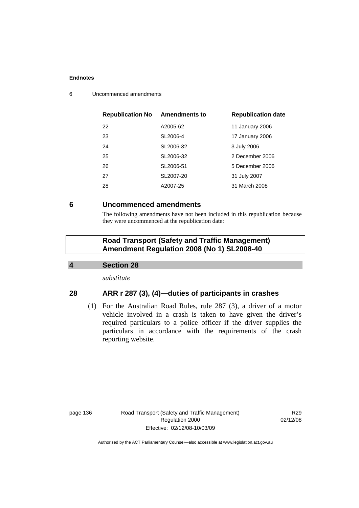### **Endnotes**

| <b>Republication No Amendments to</b> |           | <b>Republication date</b> |
|---------------------------------------|-----------|---------------------------|
| 22                                    | A2005-62  | 11 January 2006           |
| 23                                    | SL2006-4  | 17 January 2006           |
| 24                                    | SL2006-32 | 3 July 2006               |
| 25                                    | SL2006-32 | 2 December 2006           |
| 26                                    | SL2006-51 | 5 December 2006           |
| 27                                    | SL2007-20 | 31 July 2007              |
| 28                                    | A2007-25  | 31 March 2008             |
|                                       |           |                           |

6 Uncommenced amendments

## **6 Uncommenced amendments**

The following amendments have not been included in this republication because they were uncommenced at the republication date:

# **Road Transport (Safety and Traffic Management) Amendment Regulation 2008 (No 1) SL2008-40**

## **4 Section 28**

*substitute* 

## **28 ARR r 287 (3), (4)—duties of participants in crashes**

 (1) For the Australian Road Rules, rule 287 (3), a driver of a motor vehicle involved in a crash is taken to have given the driver's required particulars to a police officer if the driver supplies the particulars in accordance with the requirements of the crash reporting website.

page 136 Road Transport (Safety and Traffic Management) Regulation 2000 Effective: 02/12/08-10/03/09

R29 02/12/08

Authorised by the ACT Parliamentary Counsel—also accessible at www.legislation.act.gov.au